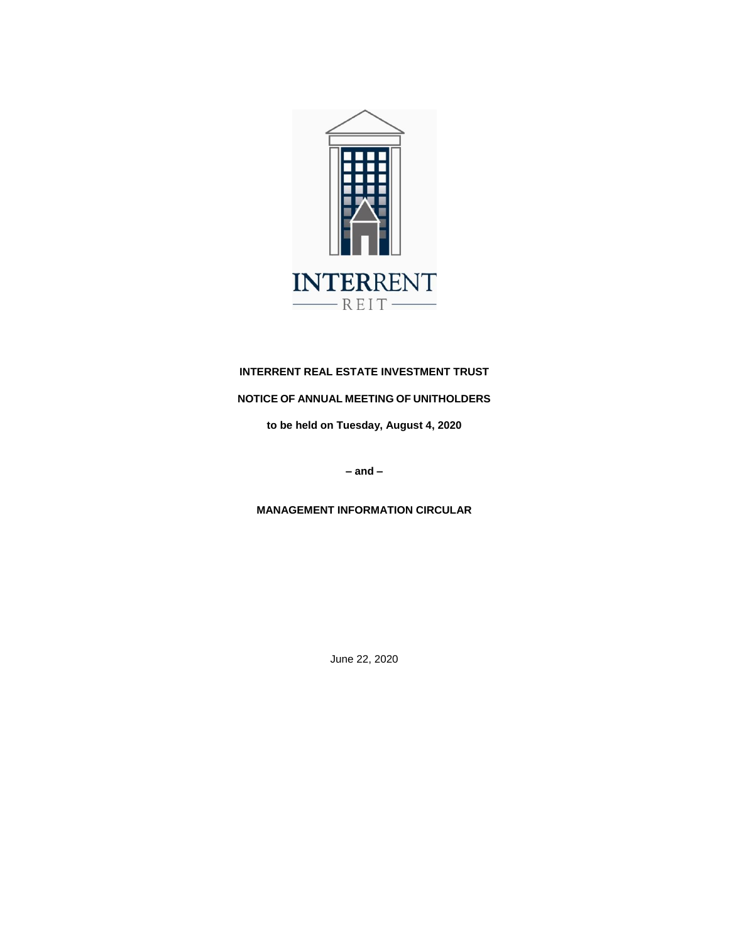

# **INTERRENT REAL ESTATE INVESTMENT TRUST**

# **NOTICE OF ANNUAL MEETING OF UNITHOLDERS**

**to be held on Tuesday, August 4, 2020**

**– and –**

**MANAGEMENT INFORMATION CIRCULAR**

June 22, 2020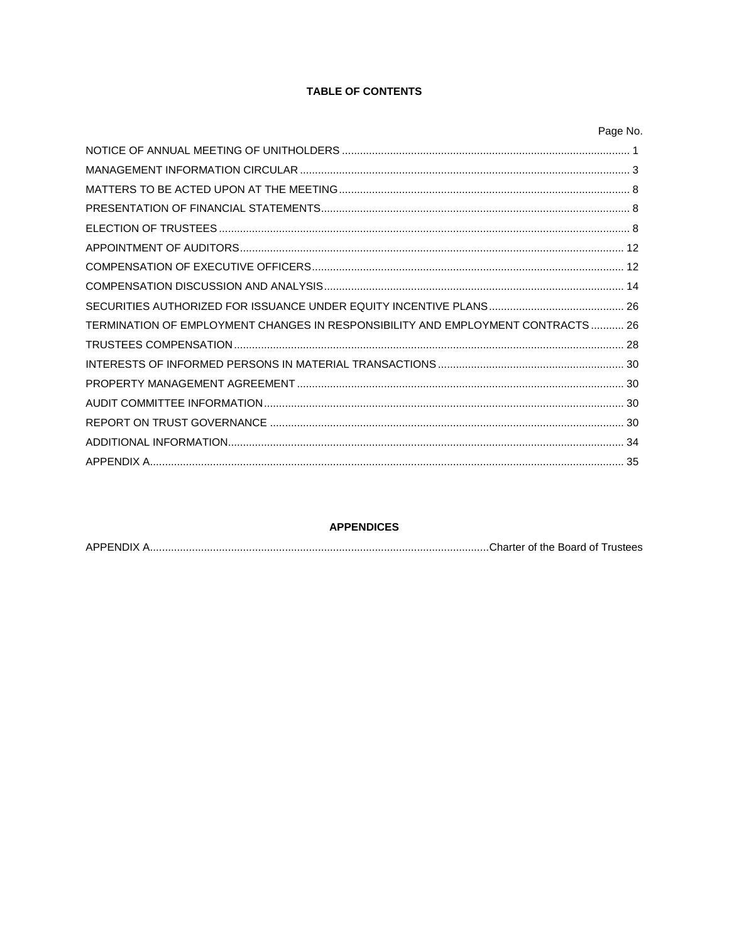# **TABLE OF CONTENTS**

|                                                                                 | Page No. |
|---------------------------------------------------------------------------------|----------|
|                                                                                 |          |
|                                                                                 |          |
|                                                                                 |          |
|                                                                                 |          |
|                                                                                 |          |
|                                                                                 |          |
|                                                                                 |          |
|                                                                                 |          |
|                                                                                 |          |
| TERMINATION OF EMPLOYMENT CHANGES IN RESPONSIBILITY AND EMPLOYMENT CONTRACTS 26 |          |
|                                                                                 |          |
|                                                                                 |          |
|                                                                                 |          |
|                                                                                 |          |
|                                                                                 |          |
|                                                                                 |          |
|                                                                                 |          |

# **APPENDICES**

|--|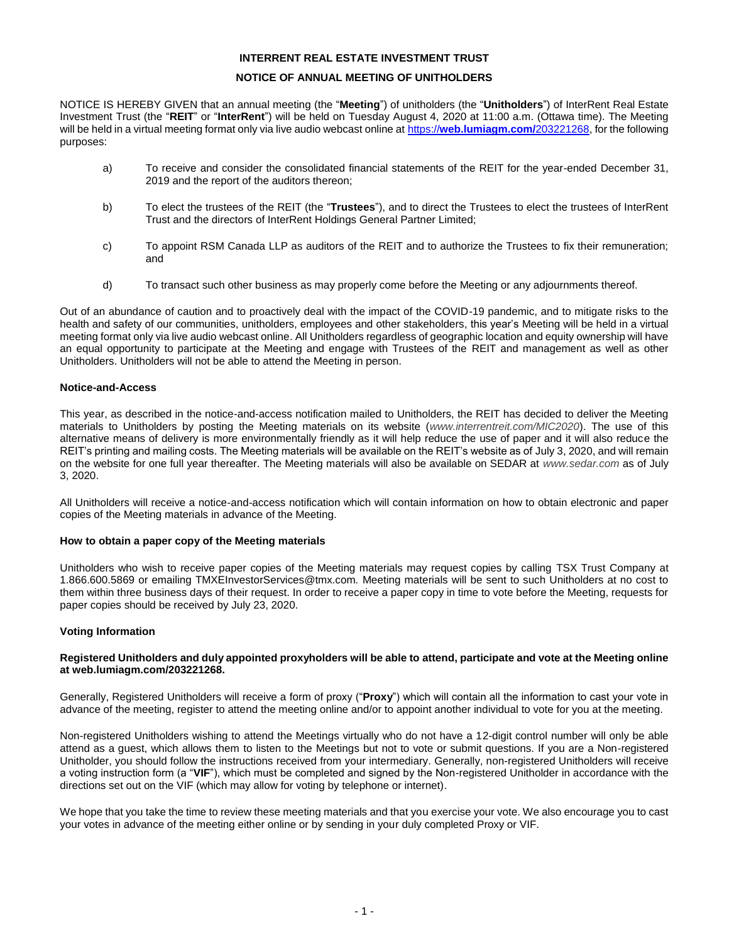# **INTERRENT REAL ESTATE INVESTMENT TRUST**

### **NOTICE OF ANNUAL MEETING OF UNITHOLDERS**

<span id="page-2-0"></span>NOTICE IS HEREBY GIVEN that an annual meeting (the "**Meeting**") of unitholders (the "**Unitholders**") of InterRent Real Estate Investment Trust (the "**REIT**" or "**InterRent**") will be held on Tuesday August 4, 2020 at 11:00 a.m. (Ottawa time). The Meeting will be held in a virtual meeting format only via live audio webcast online at https://**[web.lumiagm.com/](https://web.lumiagm.com/203221268)**203221268, for the following purposes:

- a) To receive and consider the consolidated financial statements of the REIT for the year-ended December 31, 2019 and the report of the auditors thereon;
- b) To elect the trustees of the REIT (the "**Trustees**"), and to direct the Trustees to elect the trustees of InterRent Trust and the directors of InterRent Holdings General Partner Limited;
- c) To appoint RSM Canada LLP as auditors of the REIT and to authorize the Trustees to fix their remuneration; and
- d) To transact such other business as may properly come before the Meeting or any adjournments thereof.

Out of an abundance of caution and to proactively deal with the impact of the COVID-19 pandemic, and to mitigate risks to the health and safety of our communities, unitholders, employees and other stakeholders, this year's Meeting will be held in a virtual meeting format only via live audio webcast online. All Unitholders regardless of geographic location and equity ownership will have an equal opportunity to participate at the Meeting and engage with Trustees of the REIT and management as well as other Unitholders. Unitholders will not be able to attend the Meeting in person.

### **Notice-and-Access**

This year, as described in the notice-and-access notification mailed to Unitholders, the REIT has decided to deliver the Meeting materials to Unitholders by posting the Meeting materials on its website (*www.interrentreit.com/MIC2020*). The use of this alternative means of delivery is more environmentally friendly as it will help reduce the use of paper and it will also reduce the REIT's printing and mailing costs. The Meeting materials will be available on the REIT's website as of July 3, 2020, and will remain on the website for one full year thereafter. The Meeting materials will also be available on SEDAR at *www.sedar.com* as of July 3, 2020.

All Unitholders will receive a notice-and-access notification which will contain information on how to obtain electronic and paper copies of the Meeting materials in advance of the Meeting.

### **How to obtain a paper copy of the Meeting materials**

Unitholders who wish to receive paper copies of the Meeting materials may request copies by calling TSX Trust Company at 1.866.600.5869 or emailing TMXEInvestorServices@tmx.com*.* Meeting materials will be sent to such Unitholders at no cost to them within three business days of their request. In order to receive a paper copy in time to vote before the Meeting, requests for paper copies should be received by July 23, 2020.

### **Voting Information**

#### **Registered Unitholders and duly appointed proxyholders will be able to attend, participate and vote at the Meeting online at web.lumiagm.com/203221268.**

Generally, Registered Unitholders will receive a form of proxy ("**Proxy**") which will contain all the information to cast your vote in advance of the meeting, register to attend the meeting online and/or to appoint another individual to vote for you at the meeting.

Non-registered Unitholders wishing to attend the Meetings virtually who do not have a 12-digit control number will only be able attend as a guest, which allows them to listen to the Meetings but not to vote or submit questions. If you are a Non-registered Unitholder, you should follow the instructions received from your intermediary. Generally, non-registered Unitholders will receive a voting instruction form (a "**VIF**"), which must be completed and signed by the Non-registered Unitholder in accordance with the directions set out on the VIF (which may allow for voting by telephone or internet).

We hope that you take the time to review these meeting materials and that you exercise your vote. We also encourage you to cast your votes in advance of the meeting either online or by sending in your duly completed Proxy or VIF.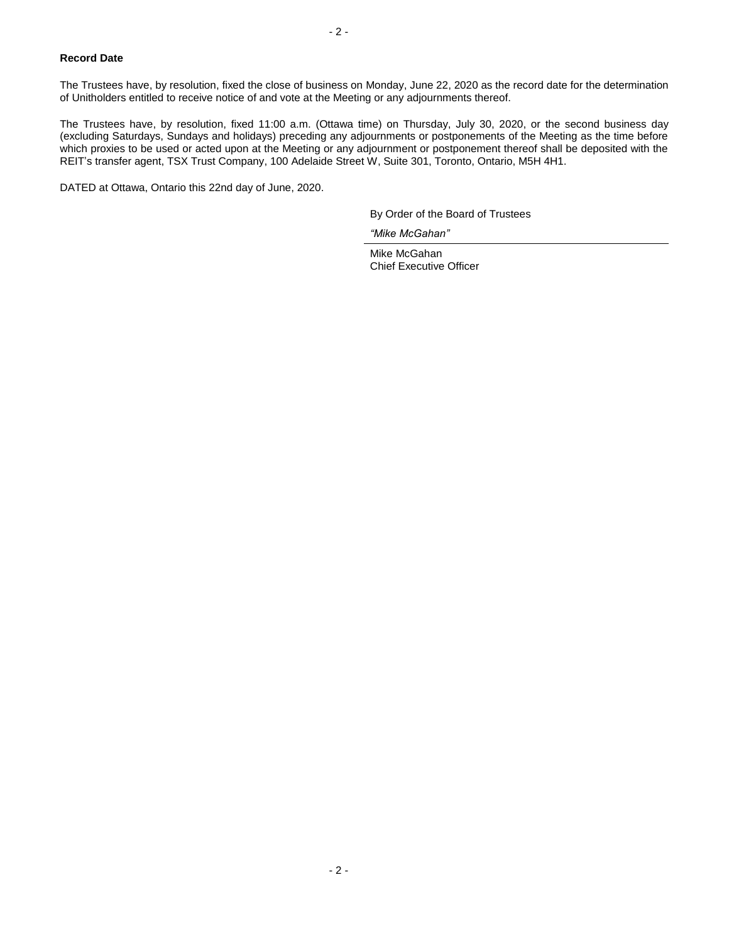### **Record Date**

The Trustees have, by resolution, fixed the close of business on Monday, June 22, 2020 as the record date for the determination of Unitholders entitled to receive notice of and vote at the Meeting or any adjournments thereof.

The Trustees have, by resolution, fixed 11:00 a.m. (Ottawa time) on Thursday, July 30, 2020, or the second business day (excluding Saturdays, Sundays and holidays) preceding any adjournments or postponements of the Meeting as the time before which proxies to be used or acted upon at the Meeting or any adjournment or postponement thereof shall be deposited with the REIT's transfer agent, TSX Trust Company, 100 Adelaide Street W, Suite 301, Toronto, Ontario, M5H 4H1.

DATED at Ottawa, Ontario this 22nd day of June, 2020.

By Order of the Board of Trustees

*"Mike McGahan"*

Mike McGahan Chief Executive Officer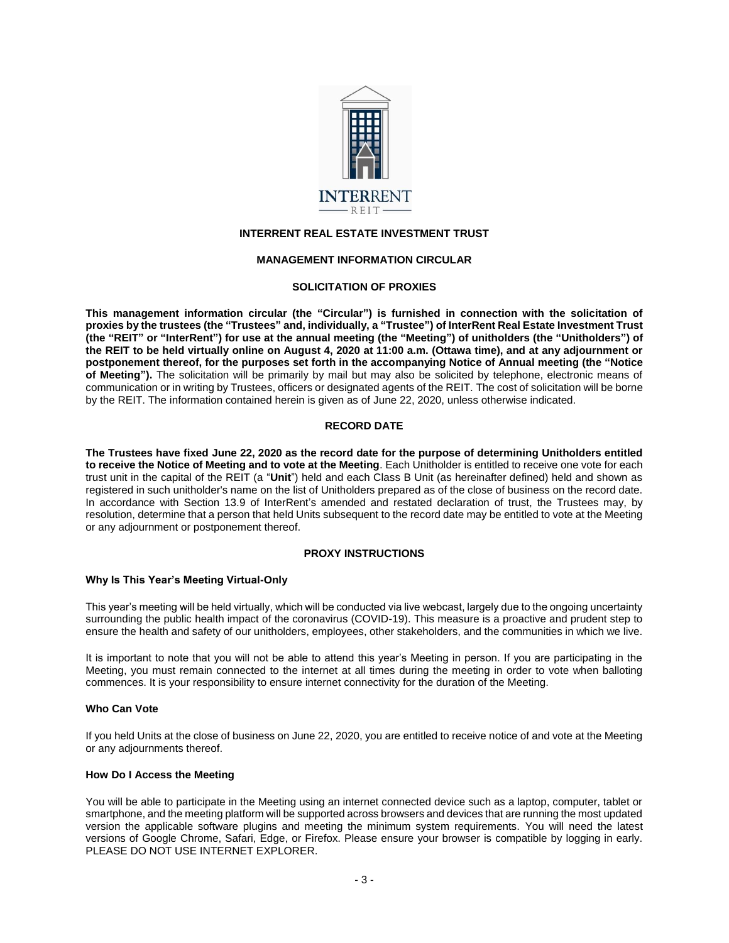

# **INTERRENT REAL ESTATE INVESTMENT TRUST**

# **MANAGEMENT INFORMATION CIRCULAR**

### **SOLICITATION OF PROXIES**

<span id="page-4-0"></span>**This management information circular (the "Circular") is furnished in connection with the solicitation of proxies by the trustees (the "Trustees" and, individually, a "Trustee") of InterRent Real Estate Investment Trust (the "REIT" or "InterRent") for use at the annual meeting (the "Meeting") of unitholders (the "Unitholders") of the REIT to be held virtually online on August 4, 2020 at 11:00 a.m. (Ottawa time), and at any adjournment or postponement thereof, for the purposes set forth in the accompanying Notice of Annual meeting (the "Notice of Meeting").** The solicitation will be primarily by mail but may also be solicited by telephone, electronic means of communication or in writing by Trustees, officers or designated agents of the REIT. The cost of solicitation will be borne by the REIT. The information contained herein is given as of June 22, 2020, unless otherwise indicated.

# **RECORD DATE**

**The Trustees have fixed June 22, 2020 as the record date for the purpose of determining Unitholders entitled to receive the Notice of Meeting and to vote at the Meeting**. Each Unitholder is entitled to receive one vote for each trust unit in the capital of the REIT (a "**Unit**") held and each Class B Unit (as hereinafter defined) held and shown as registered in such unitholder's name on the list of Unitholders prepared as of the close of business on the record date. In accordance with Section 13.9 of InterRent's amended and restated declaration of trust, the Trustees may, by resolution, determine that a person that held Units subsequent to the record date may be entitled to vote at the Meeting or any adjournment or postponement thereof.

### **PROXY INSTRUCTIONS**

### **Why Is This Year's Meeting Virtual-Only**

This year's meeting will be held virtually, which will be conducted via live webcast, largely due to the ongoing uncertainty surrounding the public health impact of the coronavirus (COVID-19). This measure is a proactive and prudent step to ensure the health and safety of our unitholders, employees, other stakeholders, and the communities in which we live.

It is important to note that you will not be able to attend this year's Meeting in person. If you are participating in the Meeting, you must remain connected to the internet at all times during the meeting in order to vote when balloting commences. It is your responsibility to ensure internet connectivity for the duration of the Meeting.

# **Who Can Vote**

If you held Units at the close of business on June 22, 2020, you are entitled to receive notice of and vote at the Meeting or any adjournments thereof.

### **How Do I Access the Meeting**

You will be able to participate in the Meeting using an internet connected device such as a laptop, computer, tablet or smartphone, and the meeting platform will be supported across browsers and devices that are running the most updated version the applicable software plugins and meeting the minimum system requirements. You will need the latest versions of Google Chrome, Safari, Edge, or Firefox. Please ensure your browser is compatible by logging in early. PLEASE DO NOT USE INTERNET EXPLORER.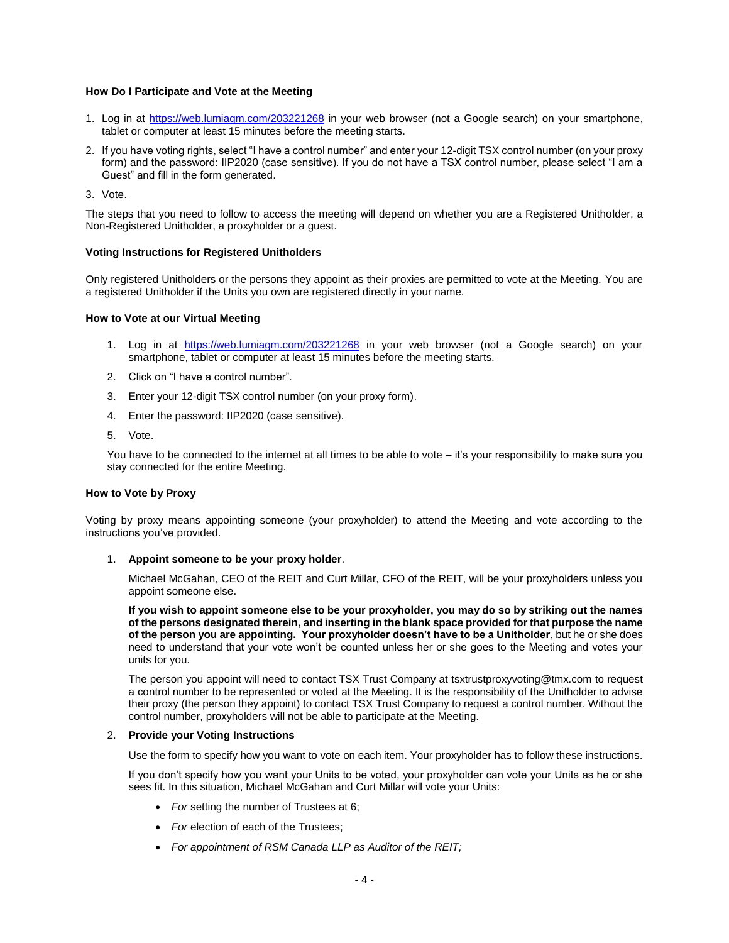### **How Do I Participate and Vote at the Meeting**

- 1. Log in at <https://web.lumiagm.com/203221268> in your web browser (not a Google search) on your smartphone, tablet or computer at least 15 minutes before the meeting starts.
- 2. If you have voting rights, select "I have a control number" and enter your 12-digit TSX control number (on your proxy form) and the password: IIP2020 (case sensitive). If you do not have a TSX control number, please select "I am a Guest" and fill in the form generated.

3. Vote.

The steps that you need to follow to access the meeting will depend on whether you are a Registered Unitholder, a Non-Registered Unitholder, a proxyholder or a guest.

### **Voting Instructions for Registered Unitholders**

Only registered Unitholders or the persons they appoint as their proxies are permitted to vote at the Meeting. You are a registered Unitholder if the Units you own are registered directly in your name.

### **How to Vote at our Virtual Meeting**

- 1. Log in at <https://web.lumiagm.com/203221268> in your web browser (not a Google search) on your smartphone, tablet or computer at least 15 minutes before the meeting starts.
- 2. Click on "I have a control number".
- 3. Enter your 12-digit TSX control number (on your proxy form).
- 4. Enter the password: IIP2020 (case sensitive).
- 5. Vote.

You have to be connected to the internet at all times to be able to vote – it's your responsibility to make sure you stay connected for the entire Meeting.

### **How to Vote by Proxy**

Voting by proxy means appointing someone (your proxyholder) to attend the Meeting and vote according to the instructions you've provided.

### 1. **Appoint someone to be your proxy holder**.

Michael McGahan, CEO of the REIT and Curt Millar, CFO of the REIT, will be your proxyholders unless you appoint someone else.

**If you wish to appoint someone else to be your proxyholder, you may do so by striking out the names of the persons designated therein, and inserting in the blank space provided for that purpose the name of the person you are appointing. Your proxyholder doesn't have to be a Unitholder**, but he or she does need to understand that your vote won't be counted unless her or she goes to the Meeting and votes your units for you.

The person you appoint will need to contact TSX Trust Company at tsxtrustproxyvoting@tmx.com to request a control number to be represented or voted at the Meeting. It is the responsibility of the Unitholder to advise their proxy (the person they appoint) to contact TSX Trust Company to request a control number. Without the control number, proxyholders will not be able to participate at the Meeting.

### 2. **Provide your Voting Instructions**

Use the form to specify how you want to vote on each item. Your proxyholder has to follow these instructions.

If you don't specify how you want your Units to be voted, your proxyholder can vote your Units as he or she sees fit. In this situation, Michael McGahan and Curt Millar will vote your Units:

- *For* setting the number of Trustees at 6;
- For election of each of the Trustees;
- *For appointment of RSM Canada LLP as Auditor of the REIT;*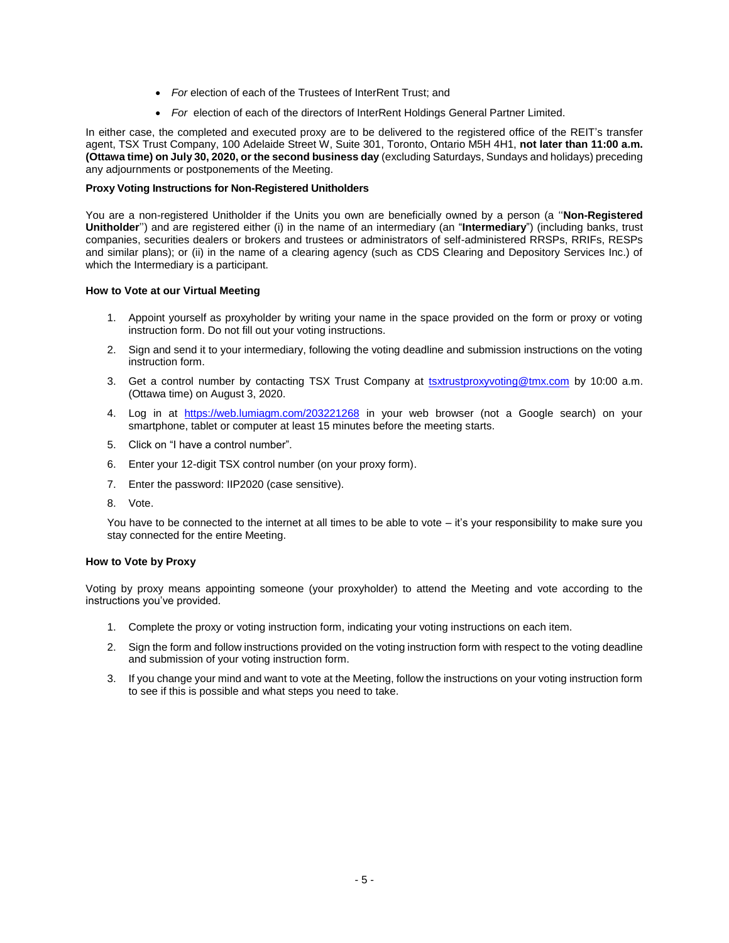- For election of each of the Trustees of InterRent Trust; and
- *For* election of each of the directors of InterRent Holdings General Partner Limited.

In either case, the completed and executed proxy are to be delivered to the registered office of the REIT's transfer agent, TSX Trust Company, 100 Adelaide Street W, Suite 301, Toronto, Ontario M5H 4H1, **not later than 11:00 a.m. (Ottawa time) on July 30, 2020, or the second business day** (excluding Saturdays, Sundays and holidays) preceding any adjournments or postponements of the Meeting.

#### **Proxy Voting Instructions for Non-Registered Unitholders**

You are a non-registered Unitholder if the Units you own are beneficially owned by a person (a ''**Non-Registered Unitholder**'') and are registered either (i) in the name of an intermediary (an "**Intermediary**") (including banks, trust companies, securities dealers or brokers and trustees or administrators of self-administered RRSPs, RRIFs, RESPs and similar plans); or (ii) in the name of a clearing agency (such as CDS Clearing and Depository Services Inc.) of which the Intermediary is a participant.

#### **How to Vote at our Virtual Meeting**

- 1. Appoint yourself as proxyholder by writing your name in the space provided on the form or proxy or voting instruction form. Do not fill out your voting instructions.
- 2. Sign and send it to your intermediary, following the voting deadline and submission instructions on the voting instruction form.
- 3. Get a control number by contacting TSX Trust Company at [tsxtrustproxyvoting@tmx.com](mailto:tsxtrustproxyvoting@tmx.com) by 10:00 a.m. (Ottawa time) on August 3, 2020.
- 4. Log in at <https://web.lumiagm.com/203221268> in your web browser (not a Google search) on your smartphone, tablet or computer at least 15 minutes before the meeting starts.
- 5. Click on "I have a control number".
- 6. Enter your 12-digit TSX control number (on your proxy form).
- 7. Enter the password: IIP2020 (case sensitive).
- 8. Vote.

You have to be connected to the internet at all times to be able to vote – it's your responsibility to make sure you stay connected for the entire Meeting.

#### **How to Vote by Proxy**

Voting by proxy means appointing someone (your proxyholder) to attend the Meeting and vote according to the instructions you've provided.

- 1. Complete the proxy or voting instruction form, indicating your voting instructions on each item.
- 2. Sign the form and follow instructions provided on the voting instruction form with respect to the voting deadline and submission of your voting instruction form.
- 3. If you change your mind and want to vote at the Meeting, follow the instructions on your voting instruction form to see if this is possible and what steps you need to take.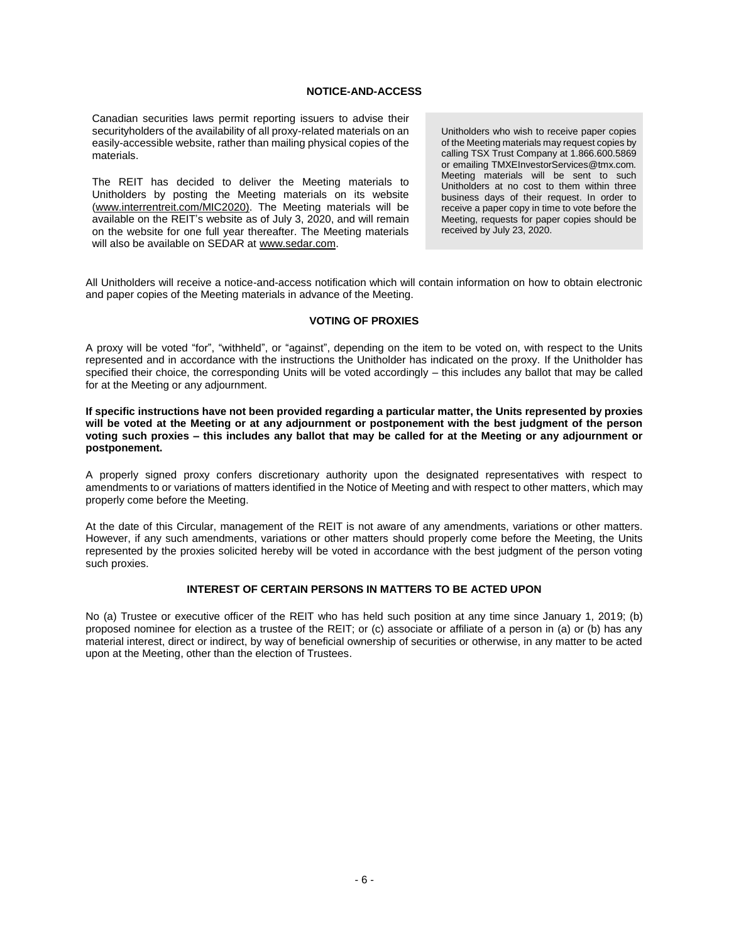### **NOTICE-AND-ACCESS**

Canadian securities laws permit reporting issuers to advise their securityholders of the availability of all proxy-related materials on an easily-accessible website, rather than mailing physical copies of the materials.

The REIT has decided to deliver the Meeting materials to Unitholders by posting the Meeting materials on its website [\(www.interrentreit.com/](http://www.interrentreit.com/)MIC2020). The Meeting materials will be available on the REIT's website as of July 3, 2020, and will remain on the website for one full year thereafter. The Meeting materials will also be available on SEDAR at www.sedar.com.

Unitholders who wish to receive paper copies of the Meeting materials may request copies by calling TSX Trust Company at 1.866.600.5869 or emailing TMXEInvestorServices@tmx.com*.* Meeting materials will be sent to such Unitholders at no cost to them within three business days of their request. In order to receive a paper copy in time to vote before the Meeting, requests for paper copies should be received by July 23, 2020.

All Unitholders will receive a notice-and-access notification which will contain information on how to obtain electronic and paper copies of the Meeting materials in advance of the Meeting.

#### **VOTING OF PROXIES**

A proxy will be voted "for", "withheld", or "against", depending on the item to be voted on, with respect to the Units represented and in accordance with the instructions the Unitholder has indicated on the proxy. If the Unitholder has specified their choice, the corresponding Units will be voted accordingly – this includes any ballot that may be called for at the Meeting or any adjournment.

**If specific instructions have not been provided regarding a particular matter, the Units represented by proxies will be voted at the Meeting or at any adjournment or postponement with the best judgment of the person voting such proxies – this includes any ballot that may be called for at the Meeting or any adjournment or postponement.**

A properly signed proxy confers discretionary authority upon the designated representatives with respect to amendments to or variations of matters identified in the Notice of Meeting and with respect to other matters, which may properly come before the Meeting.

At the date of this Circular, management of the REIT is not aware of any amendments, variations or other matters. However, if any such amendments, variations or other matters should properly come before the Meeting, the Units represented by the proxies solicited hereby will be voted in accordance with the best judgment of the person voting such proxies.

# **INTEREST OF CERTAIN PERSONS IN MATTERS TO BE ACTED UPON**

No (a) Trustee or executive officer of the REIT who has held such position at any time since January 1, 2019; (b) proposed nominee for election as a trustee of the REIT; or (c) associate or affiliate of a person in (a) or (b) has any material interest, direct or indirect, by way of beneficial ownership of securities or otherwise, in any matter to be acted upon at the Meeting, other than the election of Trustees.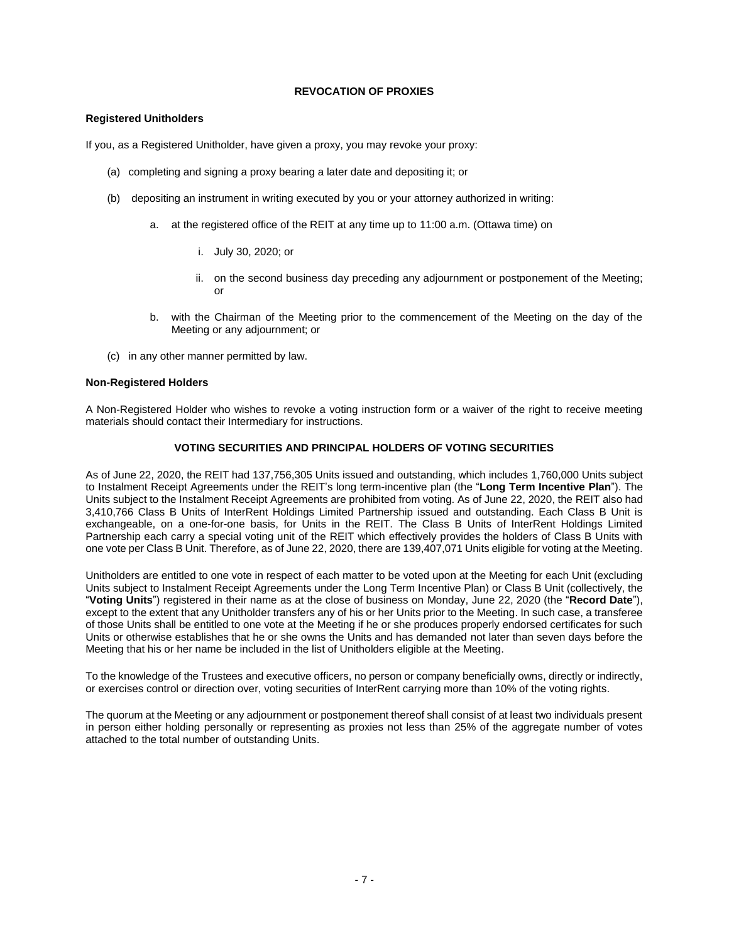# **REVOCATION OF PROXIES**

# **Registered Unitholders**

If you, as a Registered Unitholder, have given a proxy, you may revoke your proxy:

- (a) completing and signing a proxy bearing a later date and depositing it; or
- (b) depositing an instrument in writing executed by you or your attorney authorized in writing:
	- a. at the registered office of the REIT at any time up to 11:00 a.m. (Ottawa time) on
		- i. July 30, 2020; or
		- ii. on the second business day preceding any adjournment or postponement of the Meeting; or
	- b. with the Chairman of the Meeting prior to the commencement of the Meeting on the day of the Meeting or any adjournment; or
- (c) in any other manner permitted by law.

#### **Non-Registered Holders**

A Non-Registered Holder who wishes to revoke a voting instruction form or a waiver of the right to receive meeting materials should contact their Intermediary for instructions.

### **VOTING SECURITIES AND PRINCIPAL HOLDERS OF VOTING SECURITIES**

As of June 22, 2020, the REIT had 137,756,305 Units issued and outstanding, which includes 1,760,000 Units subject to Instalment Receipt Agreements under the REIT's long term-incentive plan (the "**Long Term Incentive Plan**"). The Units subject to the Instalment Receipt Agreements are prohibited from voting. As of June 22, 2020, the REIT also had 3,410,766 Class B Units of InterRent Holdings Limited Partnership issued and outstanding. Each Class B Unit is exchangeable, on a one-for-one basis, for Units in the REIT. The Class B Units of InterRent Holdings Limited Partnership each carry a special voting unit of the REIT which effectively provides the holders of Class B Units with one vote per Class B Unit. Therefore, as of June 22, 2020, there are 139,407,071 Units eligible for voting at the Meeting.

Unitholders are entitled to one vote in respect of each matter to be voted upon at the Meeting for each Unit (excluding Units subject to Instalment Receipt Agreements under the Long Term Incentive Plan) or Class B Unit (collectively, the "**Voting Units**") registered in their name as at the close of business on Monday, June 22, 2020 (the "**Record Date**"), except to the extent that any Unitholder transfers any of his or her Units prior to the Meeting. In such case, a transferee of those Units shall be entitled to one vote at the Meeting if he or she produces properly endorsed certificates for such Units or otherwise establishes that he or she owns the Units and has demanded not later than seven days before the Meeting that his or her name be included in the list of Unitholders eligible at the Meeting.

To the knowledge of the Trustees and executive officers, no person or company beneficially owns, directly or indirectly, or exercises control or direction over, voting securities of InterRent carrying more than 10% of the voting rights.

The quorum at the Meeting or any adjournment or postponement thereof shall consist of at least two individuals present in person either holding personally or representing as proxies not less than 25% of the aggregate number of votes attached to the total number of outstanding Units.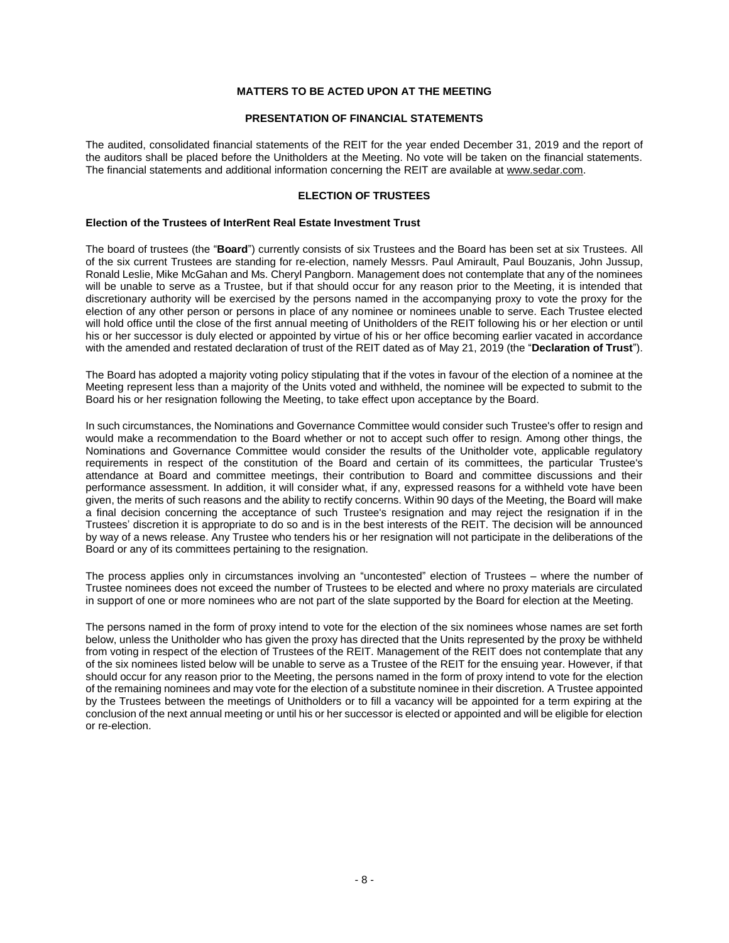# **MATTERS TO BE ACTED UPON AT THE MEETING**

### **PRESENTATION OF FINANCIAL STATEMENTS**

<span id="page-9-1"></span><span id="page-9-0"></span>The audited, consolidated financial statements of the REIT for the year ended December 31, 2019 and the report of the auditors shall be placed before the Unitholders at the Meeting. No vote will be taken on the financial statements. The financial statements and additional information concerning the REIT are available at www.sedar.com.

#### **ELECTION OF TRUSTEES**

#### <span id="page-9-2"></span>**Election of the Trustees of InterRent Real Estate Investment Trust**

The board of trustees (the "**Board**") currently consists of six Trustees and the Board has been set at six Trustees. All of the six current Trustees are standing for re-election, namely Messrs. Paul Amirault, Paul Bouzanis, John Jussup, Ronald Leslie, Mike McGahan and Ms. Cheryl Pangborn. Management does not contemplate that any of the nominees will be unable to serve as a Trustee, but if that should occur for any reason prior to the Meeting, it is intended that discretionary authority will be exercised by the persons named in the accompanying proxy to vote the proxy for the election of any other person or persons in place of any nominee or nominees unable to serve. Each Trustee elected will hold office until the close of the first annual meeting of Unitholders of the REIT following his or her election or until his or her successor is duly elected or appointed by virtue of his or her office becoming earlier vacated in accordance with the amended and restated declaration of trust of the REIT dated as of May 21, 2019 (the "**Declaration of Trust**").

The Board has adopted a majority voting policy stipulating that if the votes in favour of the election of a nominee at the Meeting represent less than a majority of the Units voted and withheld, the nominee will be expected to submit to the Board his or her resignation following the Meeting, to take effect upon acceptance by the Board.

In such circumstances, the Nominations and Governance Committee would consider such Trustee's offer to resign and would make a recommendation to the Board whether or not to accept such offer to resign. Among other things, the Nominations and Governance Committee would consider the results of the Unitholder vote, applicable regulatory requirements in respect of the constitution of the Board and certain of its committees, the particular Trustee's attendance at Board and committee meetings, their contribution to Board and committee discussions and their performance assessment. In addition, it will consider what, if any, expressed reasons for a withheld vote have been given, the merits of such reasons and the ability to rectify concerns. Within 90 days of the Meeting, the Board will make a final decision concerning the acceptance of such Trustee's resignation and may reject the resignation if in the Trustees' discretion it is appropriate to do so and is in the best interests of the REIT. The decision will be announced by way of a news release. Any Trustee who tenders his or her resignation will not participate in the deliberations of the Board or any of its committees pertaining to the resignation.

The process applies only in circumstances involving an "uncontested" election of Trustees – where the number of Trustee nominees does not exceed the number of Trustees to be elected and where no proxy materials are circulated in support of one or more nominees who are not part of the slate supported by the Board for election at the Meeting.

The persons named in the form of proxy intend to vote for the election of the six nominees whose names are set forth below, unless the Unitholder who has given the proxy has directed that the Units represented by the proxy be withheld from voting in respect of the election of Trustees of the REIT. Management of the REIT does not contemplate that any of the six nominees listed below will be unable to serve as a Trustee of the REIT for the ensuing year. However, if that should occur for any reason prior to the Meeting, the persons named in the form of proxy intend to vote for the election of the remaining nominees and may vote for the election of a substitute nominee in their discretion. A Trustee appointed by the Trustees between the meetings of Unitholders or to fill a vacancy will be appointed for a term expiring at the conclusion of the next annual meeting or until his or her successor is elected or appointed and will be eligible for election or re-election.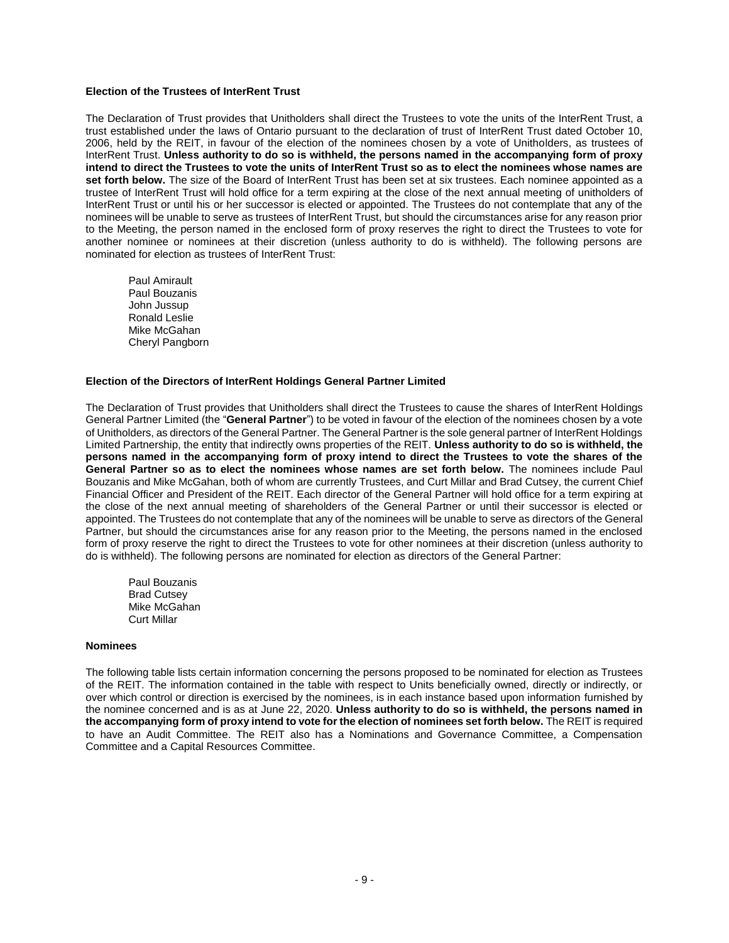#### **Election of the Trustees of InterRent Trust**

The Declaration of Trust provides that Unitholders shall direct the Trustees to vote the units of the InterRent Trust, a trust established under the laws of Ontario pursuant to the declaration of trust of InterRent Trust dated October 10, 2006, held by the REIT, in favour of the election of the nominees chosen by a vote of Unitholders, as trustees of InterRent Trust. **Unless authority to do so is withheld, the persons named in the accompanying form of proxy intend to direct the Trustees to vote the units of InterRent Trust so as to elect the nominees whose names are set forth below.** The size of the Board of InterRent Trust has been set at six trustees. Each nominee appointed as a trustee of InterRent Trust will hold office for a term expiring at the close of the next annual meeting of unitholders of InterRent Trust or until his or her successor is elected or appointed. The Trustees do not contemplate that any of the nominees will be unable to serve as trustees of InterRent Trust, but should the circumstances arise for any reason prior to the Meeting, the person named in the enclosed form of proxy reserves the right to direct the Trustees to vote for another nominee or nominees at their discretion (unless authority to do is withheld). The following persons are nominated for election as trustees of InterRent Trust:

Paul Amirault Paul Bouzanis John Jussup Ronald Leslie Mike McGahan Cheryl Pangborn

#### **Election of the Directors of InterRent Holdings General Partner Limited**

The Declaration of Trust provides that Unitholders shall direct the Trustees to cause the shares of InterRent Holdings General Partner Limited (the "**General Partner**") to be voted in favour of the election of the nominees chosen by a vote of Unitholders, as directors of the General Partner. The General Partner is the sole general partner of InterRent Holdings Limited Partnership, the entity that indirectly owns properties of the REIT. **Unless authority to do so is withheld, the persons named in the accompanying form of proxy intend to direct the Trustees to vote the shares of the General Partner so as to elect the nominees whose names are set forth below.** The nominees include Paul Bouzanis and Mike McGahan, both of whom are currently Trustees, and Curt Millar and Brad Cutsey, the current Chief Financial Officer and President of the REIT. Each director of the General Partner will hold office for a term expiring at the close of the next annual meeting of shareholders of the General Partner or until their successor is elected or appointed. The Trustees do not contemplate that any of the nominees will be unable to serve as directors of the General Partner, but should the circumstances arise for any reason prior to the Meeting, the persons named in the enclosed form of proxy reserve the right to direct the Trustees to vote for other nominees at their discretion (unless authority to do is withheld). The following persons are nominated for election as directors of the General Partner:

Paul Bouzanis Brad Cutsey Mike McGahan Curt Millar

#### **Nominees**

The following table lists certain information concerning the persons proposed to be nominated for election as Trustees of the REIT. The information contained in the table with respect to Units beneficially owned, directly or indirectly, or over which control or direction is exercised by the nominees, is in each instance based upon information furnished by the nominee concerned and is as at June 22, 2020. **Unless authority to do so is withheld, the persons named in the accompanying form of proxy intend to vote for the election of nominees set forth below.** The REIT is required to have an Audit Committee. The REIT also has a Nominations and Governance Committee, a Compensation Committee and a Capital Resources Committee.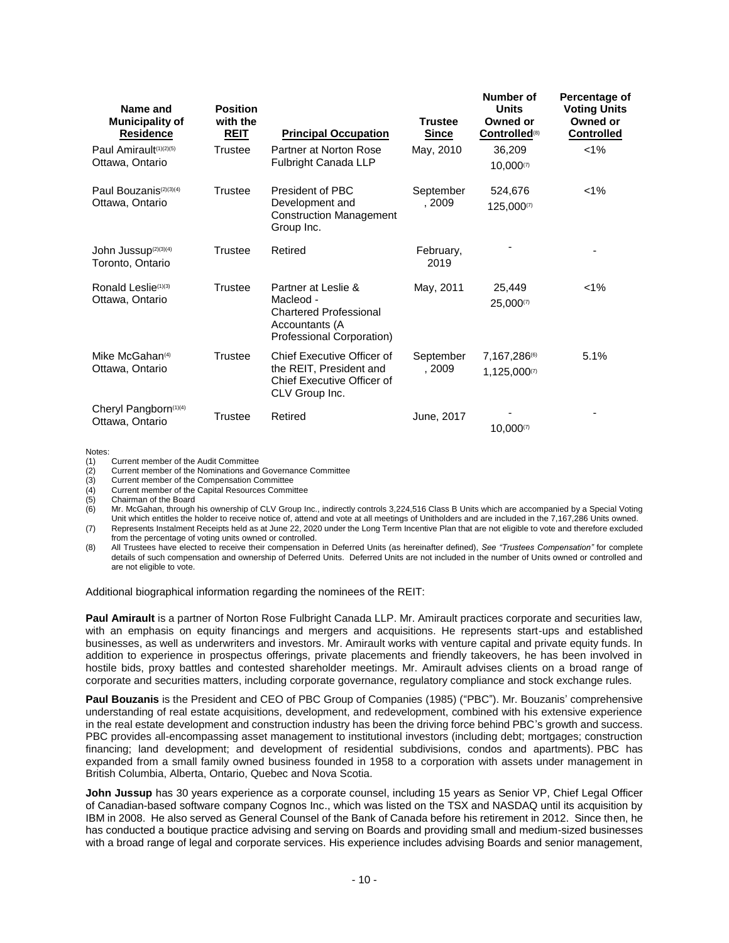| Name and<br><b>Municipality of</b><br><u>Residence</u> | <b>Position</b><br>with the<br><u>REIT</u> | <b>Principal Occupation</b>                                                                                      | <b>Trustee</b><br><b>Since</b> | Number of<br><b>Units</b><br>Owned or<br><b>Controlled</b> <sup>(8)</sup> | Percentage of<br><b>Voting Units</b><br>Owned or<br><b>Controlled</b> |
|--------------------------------------------------------|--------------------------------------------|------------------------------------------------------------------------------------------------------------------|--------------------------------|---------------------------------------------------------------------------|-----------------------------------------------------------------------|
| Paul Amirault(1)(2)(5)<br>Ottawa, Ontario              | Trustee                                    | Partner at Norton Rose<br><b>Fulbright Canada LLP</b>                                                            | May, 2010                      | 36,209<br>10,000(7)                                                       | $1\%$                                                                 |
| Paul Bouzanis(2)(3)(4)<br>Ottawa, Ontario              | Trustee                                    | President of PBC<br>Development and<br><b>Construction Management</b><br>Group Inc.                              | September<br>. 2009            | 524,676<br>125,000(7)                                                     | $1\%$                                                                 |
| John Jussup <sup>(2)(3)(4)</sup><br>Toronto, Ontario   | Trustee                                    | Retired                                                                                                          | February,<br>2019              |                                                                           | ۰                                                                     |
| Ronald Leslie(1)(3)<br>Ottawa, Ontario                 | <b>Trustee</b>                             | Partner at Leslie &<br>Macleod -<br><b>Chartered Professional</b><br>Accountants (A<br>Professional Corporation) | May, 2011                      | 25,449<br>25,000(7)                                                       | $< 1\%$                                                               |
| Mike McGahan <sup>(4)</sup><br>Ottawa, Ontario         | Trustee                                    | Chief Executive Officer of<br>the REIT, President and<br>Chief Executive Officer of<br>CLV Group Inc.            | September<br>. 2009            | 7,167,286(6)<br>1,125,000(7)                                              | 5.1%                                                                  |
| Cheryl Pangborn(1)(4)<br>Ottawa, Ontario               | Trustee                                    | Retired                                                                                                          | June, 2017                     | 10,000(7)                                                                 |                                                                       |

Notes:

(1) Current member of the Audit Committee<br>
(2) Current member of the Nominations and<br>
(3) Current member of the Compensation C Current member of the Nominations and Governance Committee

(3) Current member of the Compensation Committee<br>(4) Current member of the Capital Resources Commi

Current member of the Capital Resources Committee

(5) Chairman of the Board<br>(6) Mr. McGahan, through

Mr. McGahan, through his ownership of CLV Group Inc., indirectly controls 3,224,516 Class B Units which are accompanied by a Special Voting Unit which entitles the holder to receive notice of, attend and vote at all meetings of Unitholders and are included in the 7,167,286 Units owned. (7) Represents Instalment Receipts held as at June 22, 2020 under the Long Term Incentive Plan that are not eligible to vote and therefore excluded

from the percentage of voting units owned or controlled.

(8) All Trustees have elected to receive their compensation in Deferred Units (as hereinafter defined), *See "Trustees Compensation"* for complete details of such compensation and ownership of Deferred Units. Deferred Units are not included in the number of Units owned or controlled and are not eligible to vote.

Additional biographical information regarding the nominees of the REIT:

**Paul Amirault** is a partner of Norton Rose Fulbright Canada LLP. Mr. Amirault practices corporate and securities law, with an emphasis on equity financings and mergers and acquisitions. He represents start-ups and established businesses, as well as underwriters and investors. Mr. Amirault works with venture capital and private equity funds. In addition to experience in prospectus offerings, private placements and friendly takeovers, he has been involved in hostile bids, proxy battles and contested shareholder meetings. Mr. Amirault advises clients on a broad range of corporate and securities matters, including corporate governance, regulatory compliance and stock exchange rules.

**Paul Bouzanis** is the President and CEO of PBC Group of Companies (1985) ("PBC"). Mr. Bouzanis' comprehensive understanding of real estate acquisitions, development, and redevelopment, combined with his extensive experience in the real estate development and construction industry has been the driving force behind PBC's growth and success. PBC provides all-encompassing asset management to institutional investors (including debt; mortgages; construction financing; land development; and development of residential subdivisions, condos and apartments). PBC has expanded from a small family owned business founded in 1958 to a corporation with assets under management in British Columbia, Alberta, Ontario, Quebec and Nova Scotia.

**John Jussup** has 30 years experience as a corporate counsel, including 15 years as Senior VP, Chief Legal Officer of Canadian-based software company Cognos Inc., which was listed on the TSX and NASDAQ until its acquisition by IBM in 2008. He also served as General Counsel of the Bank of Canada before his retirement in 2012. Since then, he has conducted a boutique practice advising and serving on Boards and providing small and medium-sized businesses with a broad range of legal and corporate services. His experience includes advising Boards and senior management,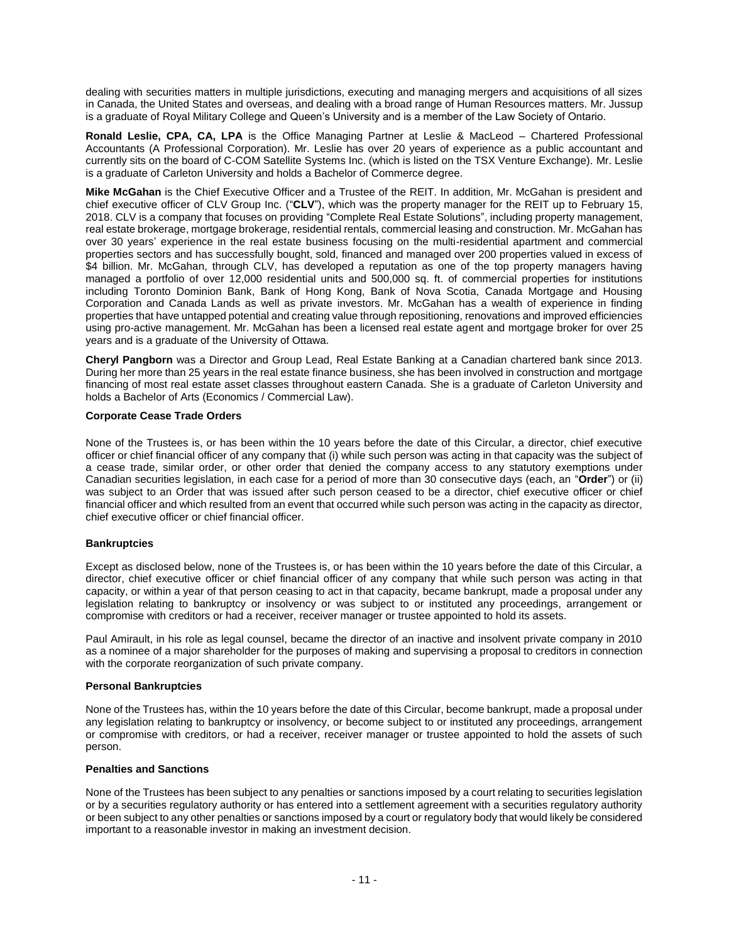dealing with securities matters in multiple jurisdictions, executing and managing mergers and acquisitions of all sizes in Canada, the United States and overseas, and dealing with a broad range of Human Resources matters. Mr. Jussup is a graduate of Royal Military College and Queen's University and is a member of the Law Society of Ontario.

**Ronald Leslie, CPA, CA, LPA** is the Office Managing Partner at Leslie & MacLeod – Chartered Professional Accountants (A Professional Corporation). Mr. Leslie has over 20 years of experience as a public accountant and currently sits on the board of C-COM Satellite Systems Inc. (which is listed on the TSX Venture Exchange). Mr. Leslie is a graduate of Carleton University and holds a Bachelor of Commerce degree.

**Mike McGahan** is the Chief Executive Officer and a Trustee of the REIT. In addition, Mr. McGahan is president and chief executive officer of CLV Group Inc. ("**CLV**"), which was the property manager for the REIT up to February 15, 2018. CLV is a company that focuses on providing "Complete Real Estate Solutions", including property management, real estate brokerage, mortgage brokerage, residential rentals, commercial leasing and construction. Mr. McGahan has over 30 years' experience in the real estate business focusing on the multi-residential apartment and commercial properties sectors and has successfully bought, sold, financed and managed over 200 properties valued in excess of \$4 billion. Mr. McGahan, through CLV, has developed a reputation as one of the top property managers having managed a portfolio of over 12,000 residential units and 500,000 sq. ft. of commercial properties for institutions including Toronto Dominion Bank, Bank of Hong Kong, Bank of Nova Scotia, Canada Mortgage and Housing Corporation and Canada Lands as well as private investors. Mr. McGahan has a wealth of experience in finding properties that have untapped potential and creating value through repositioning, renovations and improved efficiencies using pro-active management. Mr. McGahan has been a licensed real estate agent and mortgage broker for over 25 years and is a graduate of the University of Ottawa.

**Cheryl Pangborn** was a Director and Group Lead, Real Estate Banking at a Canadian chartered bank since 2013. During her more than 25 years in the real estate finance business, she has been involved in construction and mortgage financing of most real estate asset classes throughout eastern Canada. She is a graduate of Carleton University and holds a Bachelor of Arts (Economics / Commercial Law).

# **Corporate Cease Trade Orders**

None of the Trustees is, or has been within the 10 years before the date of this Circular, a director, chief executive officer or chief financial officer of any company that (i) while such person was acting in that capacity was the subject of a cease trade, similar order, or other order that denied the company access to any statutory exemptions under Canadian securities legislation, in each case for a period of more than 30 consecutive days (each, an "**Order**") or (ii) was subject to an Order that was issued after such person ceased to be a director, chief executive officer or chief financial officer and which resulted from an event that occurred while such person was acting in the capacity as director, chief executive officer or chief financial officer.

### **Bankruptcies**

Except as disclosed below, none of the Trustees is, or has been within the 10 years before the date of this Circular, a director, chief executive officer or chief financial officer of any company that while such person was acting in that capacity, or within a year of that person ceasing to act in that capacity, became bankrupt, made a proposal under any legislation relating to bankruptcy or insolvency or was subject to or instituted any proceedings, arrangement or compromise with creditors or had a receiver, receiver manager or trustee appointed to hold its assets.

Paul Amirault, in his role as legal counsel, became the director of an inactive and insolvent private company in 2010 as a nominee of a major shareholder for the purposes of making and supervising a proposal to creditors in connection with the corporate reorganization of such private company.

# **Personal Bankruptcies**

None of the Trustees has, within the 10 years before the date of this Circular, become bankrupt, made a proposal under any legislation relating to bankruptcy or insolvency, or become subject to or instituted any proceedings, arrangement or compromise with creditors, or had a receiver, receiver manager or trustee appointed to hold the assets of such person.

### **Penalties and Sanctions**

None of the Trustees has been subject to any penalties or sanctions imposed by a court relating to securities legislation or by a securities regulatory authority or has entered into a settlement agreement with a securities regulatory authority or been subject to any other penalties or sanctions imposed by a court or regulatory body that would likely be considered important to a reasonable investor in making an investment decision.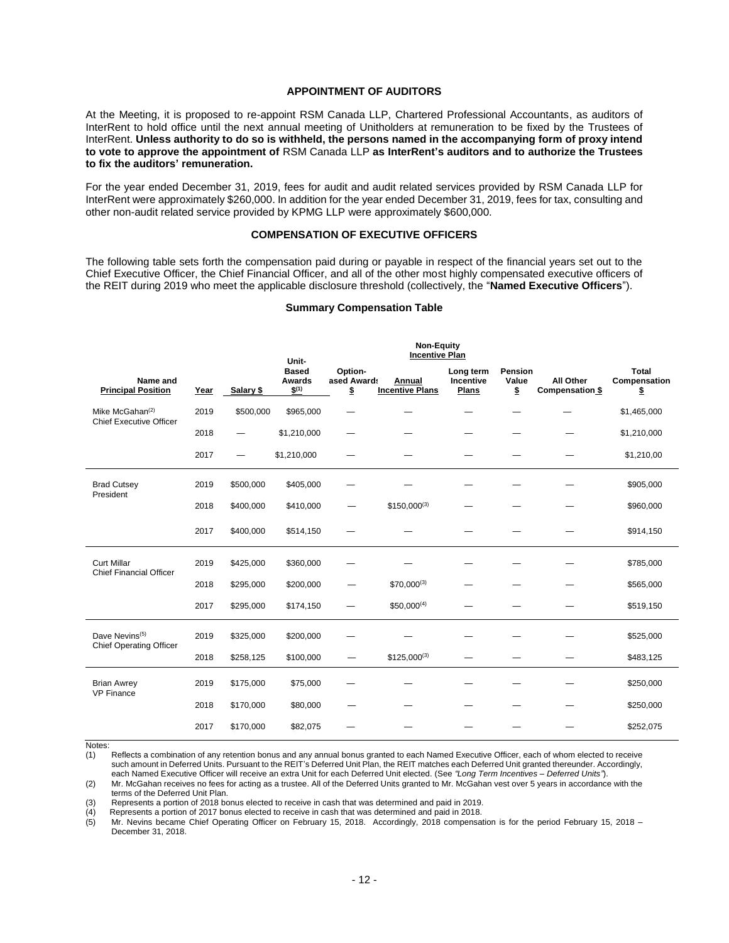#### **APPOINTMENT OF AUDITORS**

<span id="page-13-0"></span>At the Meeting, it is proposed to re-appoint RSM Canada LLP, Chartered Professional Accountants, as auditors of InterRent to hold office until the next annual meeting of Unitholders at remuneration to be fixed by the Trustees of InterRent. **Unless authority to do so is withheld, the persons named in the accompanying form of proxy intend to vote to approve the appointment of** RSM Canada LLP **as InterRent's auditors and to authorize the Trustees to fix the auditors' remuneration.**

For the year ended December 31, 2019, fees for audit and audit related services provided by RSM Canada LLP for InterRent were approximately \$260,000. In addition for the year ended December 31, 2019, fees for tax, consulting and other non-audit related service provided by KPMG LLP were approximately \$600,000.

### **COMPENSATION OF EXECUTIVE OFFICERS**

<span id="page-13-1"></span>The following table sets forth the compensation paid during or payable in respect of the financial years set out to the Chief Executive Officer, the Chief Financial Officer, and all of the other most highly compensated executive officers of the REIT during 2019 who meet the applicable disclosure threshold (collectively, the "**Named Executive Officers**").

#### **Summary Compensation Table**

|                                                              |      |                          | <b>Non-Equity</b><br><b>Incentive Plan</b><br>Unit- |                              |                                  |                                        |                               |                                     |                                    |  |
|--------------------------------------------------------------|------|--------------------------|-----------------------------------------------------|------------------------------|----------------------------------|----------------------------------------|-------------------------------|-------------------------------------|------------------------------------|--|
| Name and<br><b>Principal Position</b>                        | Year | Salary \$                | <b>Based</b><br>Awards<br>$$^{(1)}$                 | Option-<br>ased Awards<br>\$ | Annual<br><b>Incentive Plans</b> | Long term<br>Incentive<br><b>Plans</b> | <b>Pension</b><br>Value<br>\$ | All Other<br><b>Compensation \$</b> | <b>Total</b><br>Compensation<br>\$ |  |
| Mike McGahan $(2)$<br><b>Chief Executive Officer</b>         | 2019 | \$500,000                | \$965,000                                           |                              |                                  |                                        |                               |                                     | \$1,465,000                        |  |
|                                                              | 2018 |                          | \$1,210,000                                         |                              |                                  |                                        |                               |                                     | \$1,210,000                        |  |
|                                                              | 2017 | $\overline{\phantom{0}}$ | \$1,210,000                                         |                              |                                  |                                        |                               |                                     | \$1,210,00                         |  |
| <b>Brad Cutsey</b><br>President                              | 2019 | \$500,000                | \$405,000                                           |                              |                                  |                                        |                               |                                     | \$905,000                          |  |
|                                                              | 2018 | \$400,000                | \$410,000                                           |                              | $$150,000^{(3)}$                 |                                        |                               |                                     | \$960,000                          |  |
|                                                              | 2017 | \$400,000                | \$514,150                                           |                              |                                  |                                        |                               |                                     | \$914,150                          |  |
| <b>Curt Millar</b><br><b>Chief Financial Officer</b>         | 2019 | \$425,000                | \$360,000                                           |                              |                                  |                                        |                               |                                     | \$785,000                          |  |
|                                                              | 2018 | \$295,000                | \$200,000                                           |                              | $$70,000^{(3)}$                  |                                        |                               |                                     | \$565,000                          |  |
|                                                              | 2017 | \$295,000                | \$174,150                                           |                              | $$50,000^{(4)}$                  |                                        |                               |                                     | \$519,150                          |  |
| Dave Nevins <sup>(5)</sup><br><b>Chief Operating Officer</b> | 2019 | \$325,000                | \$200,000                                           |                              |                                  |                                        |                               |                                     | \$525,000                          |  |
|                                                              | 2018 | \$258,125                | \$100,000                                           |                              | $$125,000^{(3)}$                 |                                        |                               |                                     | \$483,125                          |  |
| <b>Brian Awrey</b><br><b>VP Finance</b>                      | 2019 | \$175,000                | \$75,000                                            |                              |                                  |                                        |                               |                                     | \$250,000                          |  |
|                                                              | 2018 | \$170,000                | \$80,000                                            |                              |                                  |                                        |                               |                                     | \$250,000                          |  |
|                                                              | 2017 | \$170,000                | \$82,075                                            |                              |                                  |                                        |                               |                                     | \$252,075                          |  |

Notes:

(1) Reflects a combination of any retention bonus and any annual bonus granted to each Named Executive Officer, each of whom elected to receive such amount in Deferred Units. Pursuant to the REIT's Deferred Unit Plan, the REIT matches each Deferred Unit granted thereunder. Accordingly, each Named Executive Officer will receive an extra Unit for each Deferred Unit elected. (See *"Long Term Incentives – Deferred Units"*).

(2) Mr. McGahan receives no fees for acting as a trustee. All of the Deferred Units granted to Mr. McGahan vest over 5 years in accordance with the terms of the Deferred Unit Plan. (3) Represents a portion of 2018 bonus elected to receive in cash that was determined and paid in 2019.

(4) Represents a portion of 2017 bonus elected to receive in cash that was determined and paid in 2018.

(5) Mr. Nevins became Chief Operating Officer on February 15, 2018. Accordingly, 2018 compensation is for the period February 15, 2018 – December 31, 2018.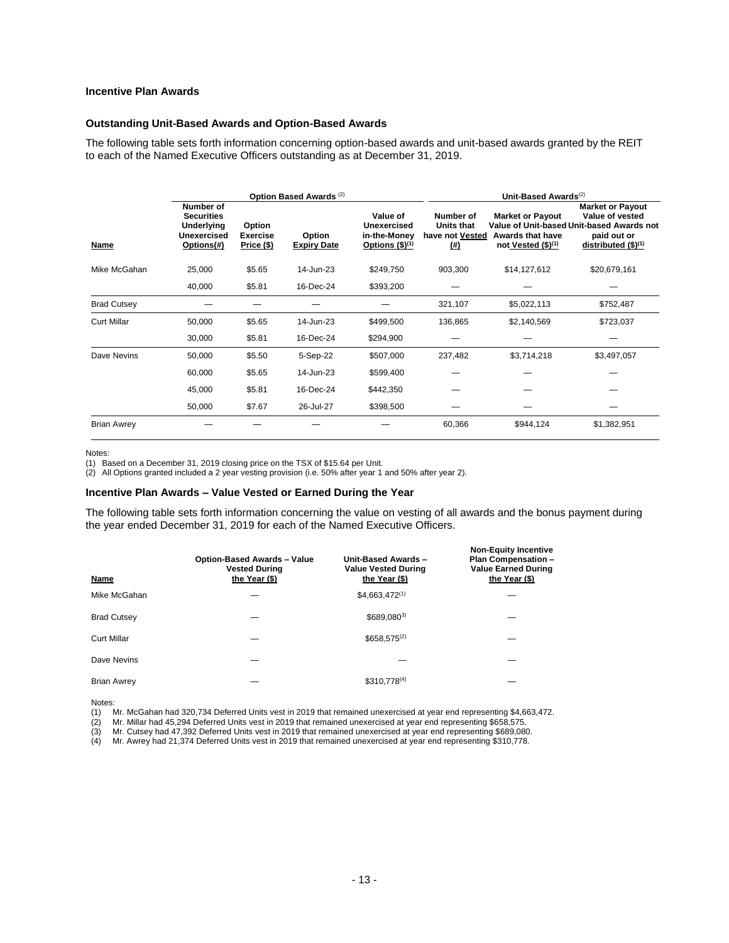# **Incentive Plan Awards**

#### **Outstanding Unit-Based Awards and Option-Based Awards**

The following table sets forth information concerning option-based awards and unit-based awards granted by the REIT to each of the Named Executive Officers outstanding as at December 31, 2019.

|                    |                                                                                  |                                                | Option Based Awards <sup>(2)</sup> |                                                             |                                                                | Unit-Based Awards <sup>(2)</sup>                                      |                                                                                                                               |  |  |  |  |
|--------------------|----------------------------------------------------------------------------------|------------------------------------------------|------------------------------------|-------------------------------------------------------------|----------------------------------------------------------------|-----------------------------------------------------------------------|-------------------------------------------------------------------------------------------------------------------------------|--|--|--|--|
| Name               | Number of<br><b>Securities</b><br><b>Underlying</b><br>Unexercised<br>Options(#) | Option<br><b>Exercise</b><br><b>Price (\$)</b> | Option<br><b>Expiry Date</b>       | Value of<br>Unexercised<br>in-the-Money<br>Options $($)(1)$ | Number of<br><b>Units that</b><br>have not Vested<br>$($ # $)$ | <b>Market or Payout</b><br>Awards that have<br>not Vested $($)^{(1)}$ | <b>Market or Payout</b><br>Value of vested<br>Value of Unit-based Unit-based Awards not<br>paid out or<br>distributed (\$)(1) |  |  |  |  |
| Mike McGahan       | 25,000                                                                           | \$5.65                                         | 14-Jun-23                          | \$249,750                                                   | 903,300                                                        | \$14,127,612                                                          | \$20,679,161                                                                                                                  |  |  |  |  |
|                    | 40,000                                                                           | \$5.81                                         | 16-Dec-24                          | \$393,200                                                   |                                                                |                                                                       |                                                                                                                               |  |  |  |  |
| <b>Brad Cutsey</b> |                                                                                  |                                                |                                    |                                                             | 321,107                                                        | \$5,022,113                                                           | \$752,487                                                                                                                     |  |  |  |  |
| <b>Curt Millar</b> | 50,000                                                                           | \$5.65                                         | 14-Jun-23                          | \$499,500                                                   | 136,865                                                        | \$2,140,569                                                           | \$723,037                                                                                                                     |  |  |  |  |
|                    | 30,000                                                                           | \$5.81                                         | 16-Dec-24                          | \$294,900                                                   |                                                                |                                                                       |                                                                                                                               |  |  |  |  |
| Dave Nevins        | 50,000                                                                           | \$5.50                                         | 5-Sep-22                           | \$507,000                                                   | 237,482                                                        | \$3,714,218                                                           | \$3,497,057                                                                                                                   |  |  |  |  |
|                    | 60,000                                                                           | \$5.65                                         | 14-Jun-23                          | \$599,400                                                   |                                                                |                                                                       |                                                                                                                               |  |  |  |  |
|                    | 45,000                                                                           | \$5.81                                         | 16-Dec-24                          | \$442,350                                                   |                                                                |                                                                       |                                                                                                                               |  |  |  |  |
|                    | 50,000                                                                           | \$7.67                                         | 26-Jul-27                          | \$398,500                                                   |                                                                |                                                                       |                                                                                                                               |  |  |  |  |
| <b>Brian Awrey</b> |                                                                                  |                                                |                                    |                                                             | 60,366                                                         | \$944,124                                                             | \$1,382,951                                                                                                                   |  |  |  |  |

#### Notes:

(1) Based on a December 31, 2019 closing price on the TSX of \$15.64 per Unit.

(2) All Options granted included a 2 year vesting provision (i.e. 50% after year 1 and 50% after year 2).

#### **Incentive Plan Awards – Value Vested or Earned During the Year**

The following table sets forth information concerning the value on vesting of all awards and the bonus payment during the year ended December 31, 2019 for each of the Named Executive Officers.

| Name               | Option-Based Awards - Value<br><b>Vested During</b><br>the Year (\$) | Unit-Based Awards -<br><b>Value Vested During</b><br>the Year (\$) | <b>Non-Equity Incentive</b><br><b>Plan Compensation -</b><br><b>Value Earned During</b><br>the Year (\$) |
|--------------------|----------------------------------------------------------------------|--------------------------------------------------------------------|----------------------------------------------------------------------------------------------------------|
| Mike McGahan       |                                                                      | $$4,663,472^{(1)}$                                                 |                                                                                                          |
| <b>Brad Cutsey</b> |                                                                      | \$689,0803)                                                        |                                                                                                          |
| Curt Millar        |                                                                      | $$658,575^{(2)}$$                                                  |                                                                                                          |
| Dave Nevins        |                                                                      |                                                                    |                                                                                                          |
| <b>Brian Awrey</b> |                                                                      | $$310.778^{(4)}$                                                   |                                                                                                          |

Notes:

(1) Mr. McGahan had 320,734 Deferred Units vest in 2019 that remained unexercised at year end representing \$4,663,472.

Mr. Cutsey had 47,392 Deferred Units vest in 2019 that remained unexercised at year end representing \$689,080.

(2) Mr. Millar had 45,294 Deferred Units vest in 2019 that remained unexercised at year end representing \$658,575.<br>(3) Mr. Cutsey had 47,392 Deferred Units vest in 2019 that remained unexercised at year end representing \$6 (4) Mr. Awrey had 21,374 Deferred Units vest in 2019 that remained unexercised at year end representing \$310,778.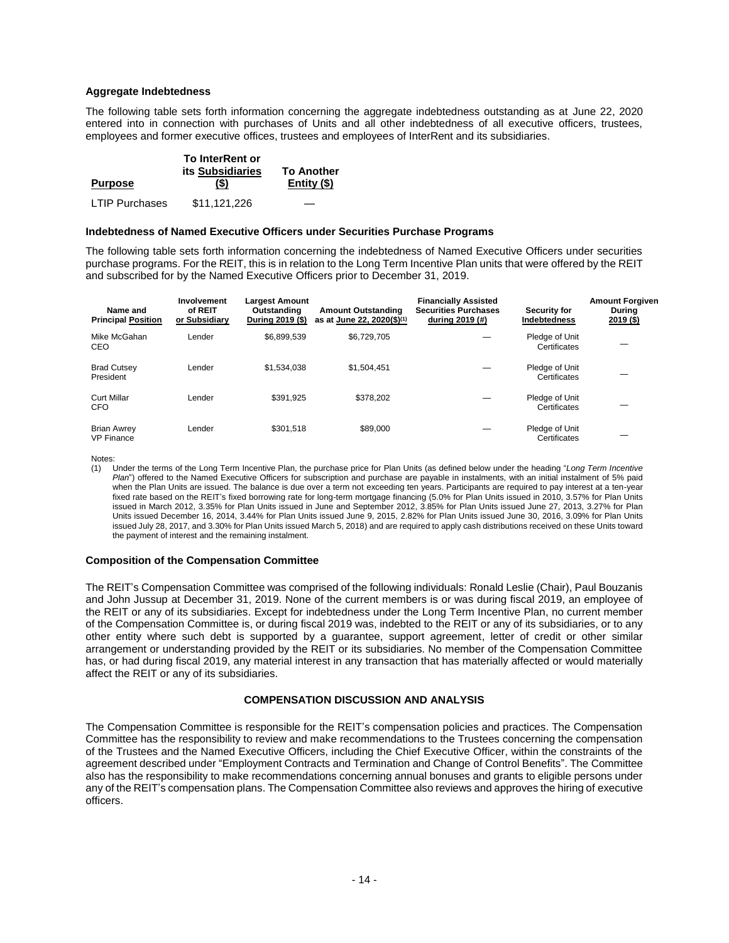### **Aggregate Indebtedness**

The following table sets forth information concerning the aggregate indebtedness outstanding as at June 22, 2020 entered into in connection with purchases of Units and all other indebtedness of all executive officers, trustees, employees and former executive offices, trustees and employees of InterRent and its subsidiaries.

|                       | <b>To InterRent or</b><br><b>its Subsidiaries</b> | <b>To Another</b> |
|-----------------------|---------------------------------------------------|-------------------|
| <b>Purpose</b>        | (\$)                                              | Entity $($ \$)    |
| <b>LTIP Purchases</b> | \$11.121.226                                      |                   |

#### **Indebtedness of Named Executive Officers under Securities Purchase Programs**

The following table sets forth information concerning the indebtedness of Named Executive Officers under securities purchase programs. For the REIT, this is in relation to the Long Term Incentive Plan units that were offered by the REIT and subscribed for by the Named Executive Officers prior to December 31, 2019.

| Name and<br><b>Principal Position</b>   | Involvement<br>of REIT<br>or Subsidiary | <b>Largest Amount</b><br>Outstanding<br>During 2019 (\$) | <b>Amount Outstanding</b><br>as at June 22, 2020(\$) <sup>(1)</sup> | <b>Financially Assisted</b><br><b>Securities Purchases</b><br>during 2019 (#) | <b>Security for</b><br>Indebtedness | <b>Amount Forgiven</b><br><b>During</b><br>2019 (\$) |
|-----------------------------------------|-----------------------------------------|----------------------------------------------------------|---------------------------------------------------------------------|-------------------------------------------------------------------------------|-------------------------------------|------------------------------------------------------|
| Mike McGahan<br>CEO                     | Lender                                  | \$6.899.539                                              | \$6.729.705                                                         |                                                                               | Pledge of Unit<br>Certificates      |                                                      |
| <b>Brad Cutsey</b><br>President         | Lender                                  | \$1.534.038                                              | \$1.504.451                                                         |                                                                               | Pledge of Unit<br>Certificates      |                                                      |
| <b>Curt Millar</b><br><b>CFO</b>        | Lender                                  | \$391.925                                                | \$378.202                                                           |                                                                               | Pledge of Unit<br>Certificates      |                                                      |
| <b>Brian Awrey</b><br><b>VP Finance</b> | Lender                                  | \$301.518                                                | \$89,000                                                            |                                                                               | Pledge of Unit<br>Certificates      |                                                      |

Notes:

(1) Under the terms of the Long Term Incentive Plan, the purchase price for Plan Units (as defined below under the heading "*Long Term Incentive Plan*") offered to the Named Executive Officers for subscription and purchase are payable in instalments, with an initial instalment of 5% paid when the Plan Units are issued. The balance is due over a term not exceeding ten years. Participants are required to pay interest at a ten-year fixed rate based on the REIT's fixed borrowing rate for long-term mortgage financing (5.0% for Plan Units issued in 2010, 3.57% for Plan Units issued in March 2012, 3.35% for Plan Units issued in June and September 2012, 3.85% for Plan Units issued June 27, 2013, 3.27% for Plan Units issued December 16, 2014, 3.44% for Plan Units issued June 9, 2015, 2.82% for Plan Units issued June 30, 2016, 3.09% for Plan Units issued July 28, 2017, and 3.30% for Plan Units issued March 5, 2018) and are required to apply cash distributions received on these Units toward the payment of interest and the remaining instalment.

#### **Composition of the Compensation Committee**

The REIT's Compensation Committee was comprised of the following individuals: Ronald Leslie (Chair), Paul Bouzanis and John Jussup at December 31, 2019. None of the current members is or was during fiscal 2019, an employee of the REIT or any of its subsidiaries. Except for indebtedness under the Long Term Incentive Plan, no current member of the Compensation Committee is, or during fiscal 2019 was, indebted to the REIT or any of its subsidiaries, or to any other entity where such debt is supported by a guarantee, support agreement, letter of credit or other similar arrangement or understanding provided by the REIT or its subsidiaries. No member of the Compensation Committee has, or had during fiscal 2019, any material interest in any transaction that has materially affected or would materially affect the REIT or any of its subsidiaries.

### **COMPENSATION DISCUSSION AND ANALYSIS**

<span id="page-15-0"></span>The Compensation Committee is responsible for the REIT's compensation policies and practices. The Compensation Committee has the responsibility to review and make recommendations to the Trustees concerning the compensation of the Trustees and the Named Executive Officers, including the Chief Executive Officer, within the constraints of the agreement described under "Employment Contracts and Termination and Change of Control Benefits". The Committee also has the responsibility to make recommendations concerning annual bonuses and grants to eligible persons under any of the REIT's compensation plans. The Compensation Committee also reviews and approves the hiring of executive officers.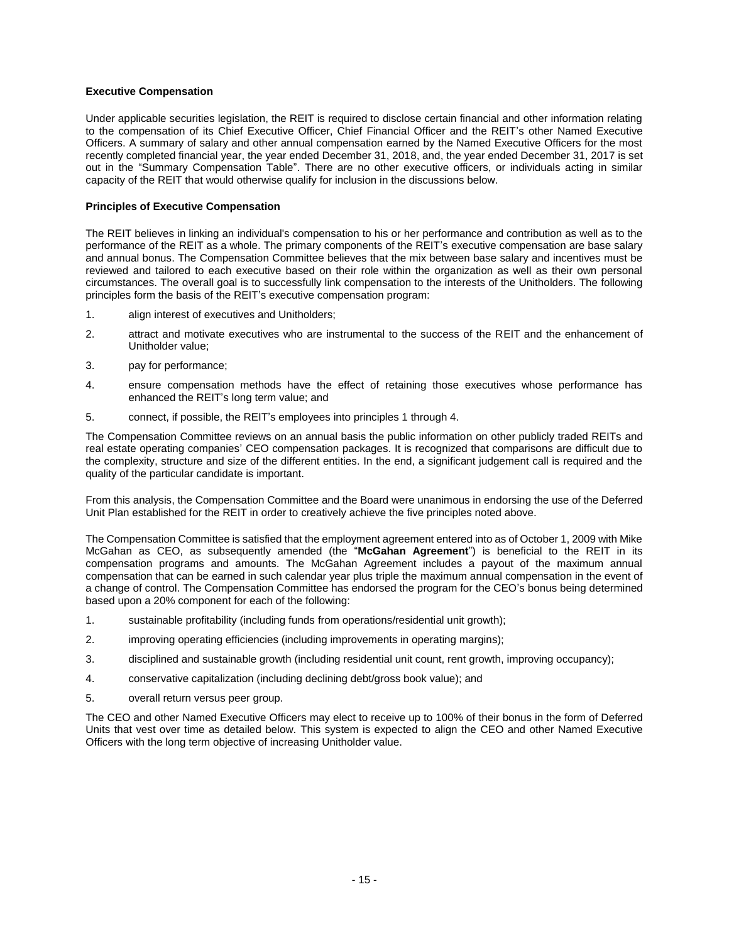### **Executive Compensation**

Under applicable securities legislation, the REIT is required to disclose certain financial and other information relating to the compensation of its Chief Executive Officer, Chief Financial Officer and the REIT's other Named Executive Officers. A summary of salary and other annual compensation earned by the Named Executive Officers for the most recently completed financial year, the year ended December 31, 2018, and, the year ended December 31, 2017 is set out in the "Summary Compensation Table". There are no other executive officers, or individuals acting in similar capacity of the REIT that would otherwise qualify for inclusion in the discussions below.

# **Principles of Executive Compensation**

The REIT believes in linking an individual's compensation to his or her performance and contribution as well as to the performance of the REIT as a whole. The primary components of the REIT's executive compensation are base salary and annual bonus. The Compensation Committee believes that the mix between base salary and incentives must be reviewed and tailored to each executive based on their role within the organization as well as their own personal circumstances. The overall goal is to successfully link compensation to the interests of the Unitholders. The following principles form the basis of the REIT's executive compensation program:

- 1. align interest of executives and Unitholders;
- 2. attract and motivate executives who are instrumental to the success of the REIT and the enhancement of Unitholder value;
- 3. pay for performance;
- 4. ensure compensation methods have the effect of retaining those executives whose performance has enhanced the REIT's long term value; and
- 5. connect, if possible, the REIT's employees into principles 1 through 4.

The Compensation Committee reviews on an annual basis the public information on other publicly traded REITs and real estate operating companies' CEO compensation packages. It is recognized that comparisons are difficult due to the complexity, structure and size of the different entities. In the end, a significant judgement call is required and the quality of the particular candidate is important.

From this analysis, the Compensation Committee and the Board were unanimous in endorsing the use of the Deferred Unit Plan established for the REIT in order to creatively achieve the five principles noted above.

The Compensation Committee is satisfied that the employment agreement entered into as of October 1, 2009 with Mike McGahan as CEO, as subsequently amended (the "**McGahan Agreement**") is beneficial to the REIT in its compensation programs and amounts. The McGahan Agreement includes a payout of the maximum annual compensation that can be earned in such calendar year plus triple the maximum annual compensation in the event of a change of control. The Compensation Committee has endorsed the program for the CEO's bonus being determined based upon a 20% component for each of the following:

- 1. sustainable profitability (including funds from operations/residential unit growth);
- 2. improving operating efficiencies (including improvements in operating margins);
- 3. disciplined and sustainable growth (including residential unit count, rent growth, improving occupancy);
- 4. conservative capitalization (including declining debt/gross book value); and
- 5. overall return versus peer group.

The CEO and other Named Executive Officers may elect to receive up to 100% of their bonus in the form of Deferred Units that vest over time as detailed below. This system is expected to align the CEO and other Named Executive Officers with the long term objective of increasing Unitholder value.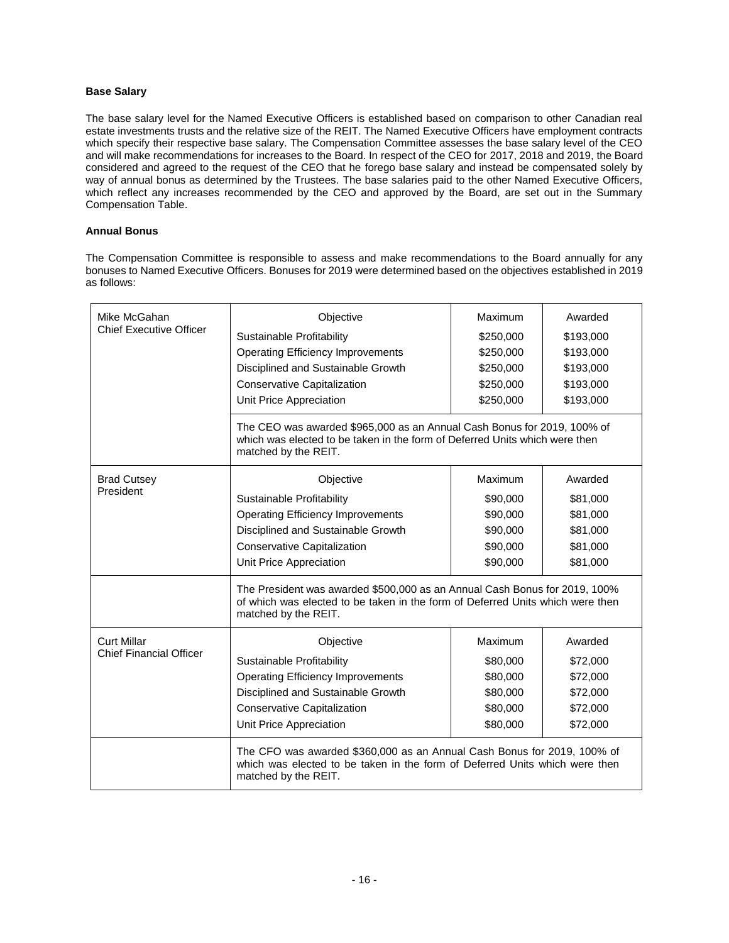# **Base Salary**

The base salary level for the Named Executive Officers is established based on comparison to other Canadian real estate investments trusts and the relative size of the REIT. The Named Executive Officers have employment contracts which specify their respective base salary. The Compensation Committee assesses the base salary level of the CEO and will make recommendations for increases to the Board. In respect of the CEO for 2017, 2018 and 2019, the Board considered and agreed to the request of the CEO that he forego base salary and instead be compensated solely by way of annual bonus as determined by the Trustees. The base salaries paid to the other Named Executive Officers, which reflect any increases recommended by the CEO and approved by the Board, are set out in the Summary Compensation Table.

# **Annual Bonus**

The Compensation Committee is responsible to assess and make recommendations to the Board annually for any bonuses to Named Executive Officers. Bonuses for 2019 were determined based on the objectives established in 2019 as follows:

| Mike McGahan                                                                                                                                                                   | Objective                                                                                                                                                                            | Maximum   | Awarded   |  |  |  |  |  |
|--------------------------------------------------------------------------------------------------------------------------------------------------------------------------------|--------------------------------------------------------------------------------------------------------------------------------------------------------------------------------------|-----------|-----------|--|--|--|--|--|
| <b>Chief Executive Officer</b>                                                                                                                                                 | Sustainable Profitability                                                                                                                                                            | \$250,000 | \$193,000 |  |  |  |  |  |
|                                                                                                                                                                                | <b>Operating Efficiency Improvements</b>                                                                                                                                             | \$250,000 | \$193,000 |  |  |  |  |  |
|                                                                                                                                                                                | Disciplined and Sustainable Growth                                                                                                                                                   | \$250,000 | \$193,000 |  |  |  |  |  |
|                                                                                                                                                                                | <b>Conservative Capitalization</b>                                                                                                                                                   | \$250,000 | \$193,000 |  |  |  |  |  |
|                                                                                                                                                                                | Unit Price Appreciation                                                                                                                                                              | \$250,000 | \$193,000 |  |  |  |  |  |
|                                                                                                                                                                                | The CEO was awarded \$965,000 as an Annual Cash Bonus for 2019, 100% of<br>which was elected to be taken in the form of Deferred Units which were then<br>matched by the REIT.       |           |           |  |  |  |  |  |
| <b>Brad Cutsey</b>                                                                                                                                                             | Objective                                                                                                                                                                            | Maximum   | Awarded   |  |  |  |  |  |
| President                                                                                                                                                                      | Sustainable Profitability                                                                                                                                                            | \$90,000  | \$81,000  |  |  |  |  |  |
|                                                                                                                                                                                | <b>Operating Efficiency Improvements</b>                                                                                                                                             | \$90,000  | \$81,000  |  |  |  |  |  |
|                                                                                                                                                                                | Disciplined and Sustainable Growth                                                                                                                                                   | \$90,000  | \$81,000  |  |  |  |  |  |
|                                                                                                                                                                                | <b>Conservative Capitalization</b>                                                                                                                                                   | \$90,000  | \$81,000  |  |  |  |  |  |
|                                                                                                                                                                                | Unit Price Appreciation                                                                                                                                                              | \$90,000  | \$81,000  |  |  |  |  |  |
|                                                                                                                                                                                | The President was awarded \$500,000 as an Annual Cash Bonus for 2019, 100%<br>of which was elected to be taken in the form of Deferred Units which were then<br>matched by the REIT. |           |           |  |  |  |  |  |
| <b>Curt Millar</b>                                                                                                                                                             | Objective                                                                                                                                                                            | Maximum   | Awarded   |  |  |  |  |  |
| <b>Chief Financial Officer</b>                                                                                                                                                 | Sustainable Profitability                                                                                                                                                            | \$80,000  | \$72,000  |  |  |  |  |  |
|                                                                                                                                                                                | <b>Operating Efficiency Improvements</b>                                                                                                                                             | \$80,000  | \$72,000  |  |  |  |  |  |
|                                                                                                                                                                                | Disciplined and Sustainable Growth                                                                                                                                                   | \$80,000  | \$72,000  |  |  |  |  |  |
|                                                                                                                                                                                | <b>Conservative Capitalization</b>                                                                                                                                                   | \$80,000  | \$72,000  |  |  |  |  |  |
|                                                                                                                                                                                | Unit Price Appreciation                                                                                                                                                              | \$80,000  | \$72,000  |  |  |  |  |  |
| The CFO was awarded \$360,000 as an Annual Cash Bonus for 2019, 100% of<br>which was elected to be taken in the form of Deferred Units which were then<br>matched by the REIT. |                                                                                                                                                                                      |           |           |  |  |  |  |  |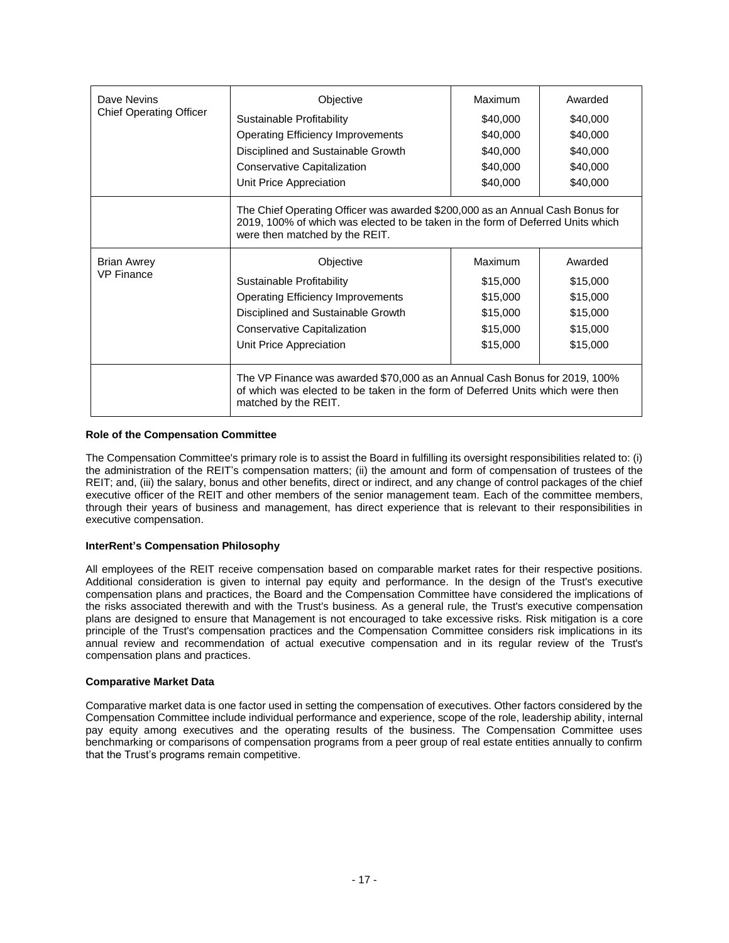| Dave Nevins                    | Objective                                                                                                                                                                                          | Maximum  | Awarded  |  |  |  |  |  |  |
|--------------------------------|----------------------------------------------------------------------------------------------------------------------------------------------------------------------------------------------------|----------|----------|--|--|--|--|--|--|
| <b>Chief Operating Officer</b> | Sustainable Profitability                                                                                                                                                                          | \$40,000 | \$40,000 |  |  |  |  |  |  |
|                                | <b>Operating Efficiency Improvements</b>                                                                                                                                                           | \$40,000 | \$40,000 |  |  |  |  |  |  |
|                                | Disciplined and Sustainable Growth                                                                                                                                                                 | \$40,000 | \$40,000 |  |  |  |  |  |  |
|                                | <b>Conservative Capitalization</b>                                                                                                                                                                 | \$40,000 | \$40,000 |  |  |  |  |  |  |
|                                | Unit Price Appreciation                                                                                                                                                                            | \$40,000 | \$40,000 |  |  |  |  |  |  |
|                                | The Chief Operating Officer was awarded \$200,000 as an Annual Cash Bonus for<br>2019, 100% of which was elected to be taken in the form of Deferred Units which<br>were then matched by the REIT. |          |          |  |  |  |  |  |  |
| <b>Brian Awrey</b>             | Objective                                                                                                                                                                                          | Maximum  | Awarded  |  |  |  |  |  |  |
| <b>VP Finance</b>              | Sustainable Profitability                                                                                                                                                                          | \$15,000 | \$15,000 |  |  |  |  |  |  |
|                                | <b>Operating Efficiency Improvements</b>                                                                                                                                                           | \$15,000 | \$15,000 |  |  |  |  |  |  |
|                                | Disciplined and Sustainable Growth                                                                                                                                                                 | \$15,000 | \$15,000 |  |  |  |  |  |  |
|                                | Conservative Capitalization                                                                                                                                                                        | \$15,000 | \$15,000 |  |  |  |  |  |  |
|                                | Unit Price Appreciation                                                                                                                                                                            | \$15,000 | \$15,000 |  |  |  |  |  |  |
|                                | The VP Finance was awarded \$70,000 as an Annual Cash Bonus for 2019, 100%<br>of which was elected to be taken in the form of Deferred Units which were then<br>matched by the REIT.               |          |          |  |  |  |  |  |  |

### **Role of the Compensation Committee**

The Compensation Committee's primary role is to assist the Board in fulfilling its oversight responsibilities related to: (i) the administration of the REIT's compensation matters; (ii) the amount and form of compensation of trustees of the REIT; and, (iii) the salary, bonus and other benefits, direct or indirect, and any change of control packages of the chief executive officer of the REIT and other members of the senior management team. Each of the committee members, through their years of business and management, has direct experience that is relevant to their responsibilities in executive compensation.

### **InterRent's Compensation Philosophy**

All employees of the REIT receive compensation based on comparable market rates for their respective positions. Additional consideration is given to internal pay equity and performance. In the design of the Trust's executive compensation plans and practices, the Board and the Compensation Committee have considered the implications of the risks associated therewith and with the Trust's business. As a general rule, the Trust's executive compensation plans are designed to ensure that Management is not encouraged to take excessive risks. Risk mitigation is a core principle of the Trust's compensation practices and the Compensation Committee considers risk implications in its annual review and recommendation of actual executive compensation and in its regular review of the Trust's compensation plans and practices.

#### **Comparative Market Data**

Comparative market data is one factor used in setting the compensation of executives. Other factors considered by the Compensation Committee include individual performance and experience, scope of the role, leadership ability, internal pay equity among executives and the operating results of the business. The Compensation Committee uses benchmarking or comparisons of compensation programs from a peer group of real estate entities annually to confirm that the Trust's programs remain competitive.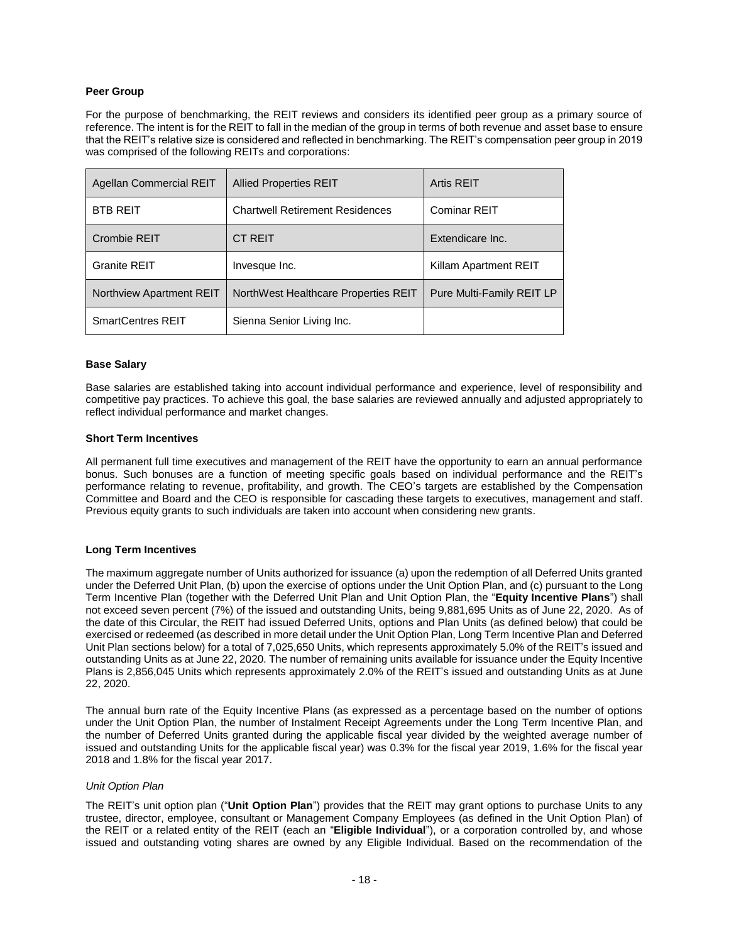# **Peer Group**

For the purpose of benchmarking, the REIT reviews and considers its identified peer group as a primary source of reference. The intent is for the REIT to fall in the median of the group in terms of both revenue and asset base to ensure that the REIT's relative size is considered and reflected in benchmarking. The REIT's compensation peer group in 2019 was comprised of the following REITs and corporations:

| Agellan Commercial REIT  | <b>Allied Properties REIT</b>          | <b>Artis REIT</b>         |
|--------------------------|----------------------------------------|---------------------------|
| <b>BTB REIT</b>          | <b>Chartwell Retirement Residences</b> | Cominar REIT              |
| Crombie REIT             | <b>CT REIT</b>                         | Extendicare Inc.          |
| Granite REIT             | Invesque Inc.                          | Killam Apartment REIT     |
| Northview Apartment REIT | NorthWest Healthcare Properties REIT   | Pure Multi-Family REIT LP |
| <b>SmartCentres REIT</b> | Sienna Senior Living Inc.              |                           |

### **Base Salary**

Base salaries are established taking into account individual performance and experience, level of responsibility and competitive pay practices. To achieve this goal, the base salaries are reviewed annually and adjusted appropriately to reflect individual performance and market changes.

### **Short Term Incentives**

All permanent full time executives and management of the REIT have the opportunity to earn an annual performance bonus. Such bonuses are a function of meeting specific goals based on individual performance and the REIT's performance relating to revenue, profitability, and growth. The CEO's targets are established by the Compensation Committee and Board and the CEO is responsible for cascading these targets to executives, management and staff. Previous equity grants to such individuals are taken into account when considering new grants.

### **Long Term Incentives**

The maximum aggregate number of Units authorized for issuance (a) upon the redemption of all Deferred Units granted under the Deferred Unit Plan, (b) upon the exercise of options under the Unit Option Plan, and (c) pursuant to the Long Term Incentive Plan (together with the Deferred Unit Plan and Unit Option Plan, the "**Equity Incentive Plans**") shall not exceed seven percent (7%) of the issued and outstanding Units, being 9,881,695 Units as of June 22, 2020. As of the date of this Circular, the REIT had issued Deferred Units, options and Plan Units (as defined below) that could be exercised or redeemed (as described in more detail under the Unit Option Plan, Long Term Incentive Plan and Deferred Unit Plan sections below) for a total of 7,025,650 Units, which represents approximately 5.0% of the REIT's issued and outstanding Units as at June 22, 2020. The number of remaining units available for issuance under the Equity Incentive Plans is 2,856,045 Units which represents approximately 2.0% of the REIT's issued and outstanding Units as at June 22, 2020.

The annual burn rate of the Equity Incentive Plans (as expressed as a percentage based on the number of options under the Unit Option Plan, the number of Instalment Receipt Agreements under the Long Term Incentive Plan, and the number of Deferred Units granted during the applicable fiscal year divided by the weighted average number of issued and outstanding Units for the applicable fiscal year) was 0.3% for the fiscal year 2019, 1.6% for the fiscal year 2018 and 1.8% for the fiscal year 2017.

#### *Unit Option Plan*

The REIT's unit option plan ("**Unit Option Plan**") provides that the REIT may grant options to purchase Units to any trustee, director, employee, consultant or Management Company Employees (as defined in the Unit Option Plan) of the REIT or a related entity of the REIT (each an "**Eligible Individual**"), or a corporation controlled by, and whose issued and outstanding voting shares are owned by any Eligible Individual. Based on the recommendation of the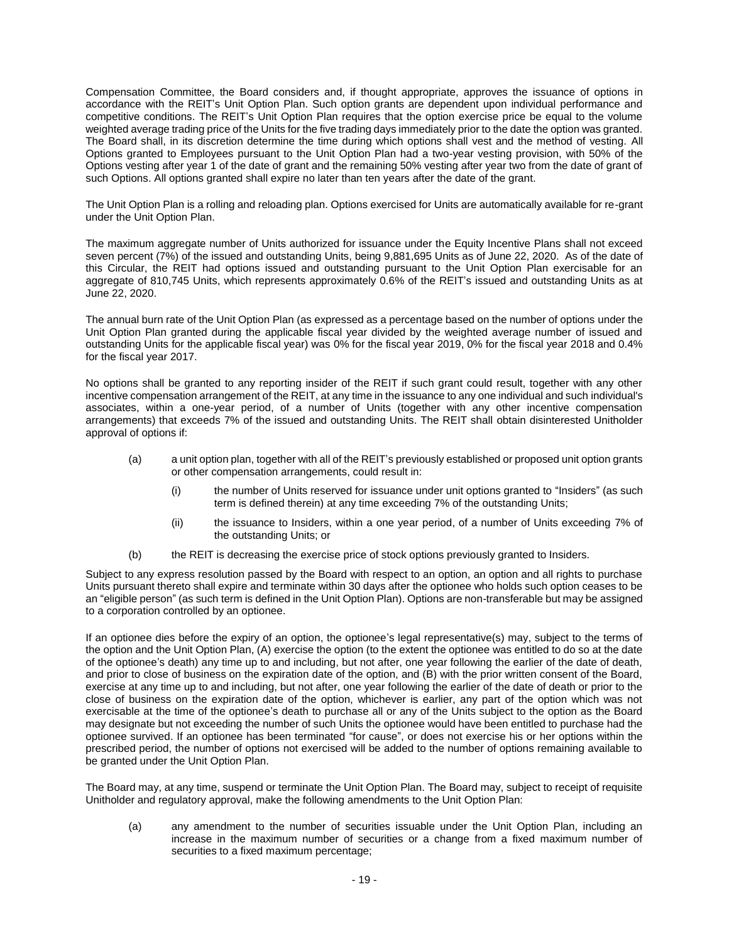Compensation Committee, the Board considers and, if thought appropriate, approves the issuance of options in accordance with the REIT's Unit Option Plan. Such option grants are dependent upon individual performance and competitive conditions. The REIT's Unit Option Plan requires that the option exercise price be equal to the volume weighted average trading price of the Units for the five trading days immediately prior to the date the option was granted. The Board shall, in its discretion determine the time during which options shall vest and the method of vesting. All Options granted to Employees pursuant to the Unit Option Plan had a two-year vesting provision, with 50% of the Options vesting after year 1 of the date of grant and the remaining 50% vesting after year two from the date of grant of such Options. All options granted shall expire no later than ten years after the date of the grant.

The Unit Option Plan is a rolling and reloading plan. Options exercised for Units are automatically available for re-grant under the Unit Option Plan.

The maximum aggregate number of Units authorized for issuance under the Equity Incentive Plans shall not exceed seven percent (7%) of the issued and outstanding Units, being 9,881,695 Units as of June 22, 2020. As of the date of this Circular, the REIT had options issued and outstanding pursuant to the Unit Option Plan exercisable for an aggregate of 810,745 Units, which represents approximately 0.6% of the REIT's issued and outstanding Units as at June 22, 2020.

The annual burn rate of the Unit Option Plan (as expressed as a percentage based on the number of options under the Unit Option Plan granted during the applicable fiscal year divided by the weighted average number of issued and outstanding Units for the applicable fiscal year) was 0% for the fiscal year 2019, 0% for the fiscal year 2018 and 0.4% for the fiscal year 2017.

No options shall be granted to any reporting insider of the REIT if such grant could result, together with any other incentive compensation arrangement of the REIT, at any time in the issuance to any one individual and such individual's associates, within a one-year period, of a number of Units (together with any other incentive compensation arrangements) that exceeds 7% of the issued and outstanding Units. The REIT shall obtain disinterested Unitholder approval of options if:

- (a) a unit option plan, together with all of the REIT's previously established or proposed unit option grants or other compensation arrangements, could result in:
	- (i) the number of Units reserved for issuance under unit options granted to "Insiders" (as such term is defined therein) at any time exceeding 7% of the outstanding Units;
	- (ii) the issuance to Insiders, within a one year period, of a number of Units exceeding 7% of the outstanding Units; or
- (b) the REIT is decreasing the exercise price of stock options previously granted to Insiders.

Subject to any express resolution passed by the Board with respect to an option, an option and all rights to purchase Units pursuant thereto shall expire and terminate within 30 days after the optionee who holds such option ceases to be an "eligible person" (as such term is defined in the Unit Option Plan). Options are non-transferable but may be assigned to a corporation controlled by an optionee.

If an optionee dies before the expiry of an option, the optionee's legal representative(s) may, subject to the terms of the option and the Unit Option Plan, (A) exercise the option (to the extent the optionee was entitled to do so at the date of the optionee's death) any time up to and including, but not after, one year following the earlier of the date of death, and prior to close of business on the expiration date of the option, and (B) with the prior written consent of the Board, exercise at any time up to and including, but not after, one year following the earlier of the date of death or prior to the close of business on the expiration date of the option, whichever is earlier, any part of the option which was not exercisable at the time of the optionee's death to purchase all or any of the Units subject to the option as the Board may designate but not exceeding the number of such Units the optionee would have been entitled to purchase had the optionee survived. If an optionee has been terminated "for cause", or does not exercise his or her options within the prescribed period, the number of options not exercised will be added to the number of options remaining available to be granted under the Unit Option Plan.

The Board may, at any time, suspend or terminate the Unit Option Plan. The Board may, subject to receipt of requisite Unitholder and regulatory approval, make the following amendments to the Unit Option Plan:

(a) any amendment to the number of securities issuable under the Unit Option Plan, including an increase in the maximum number of securities or a change from a fixed maximum number of securities to a fixed maximum percentage;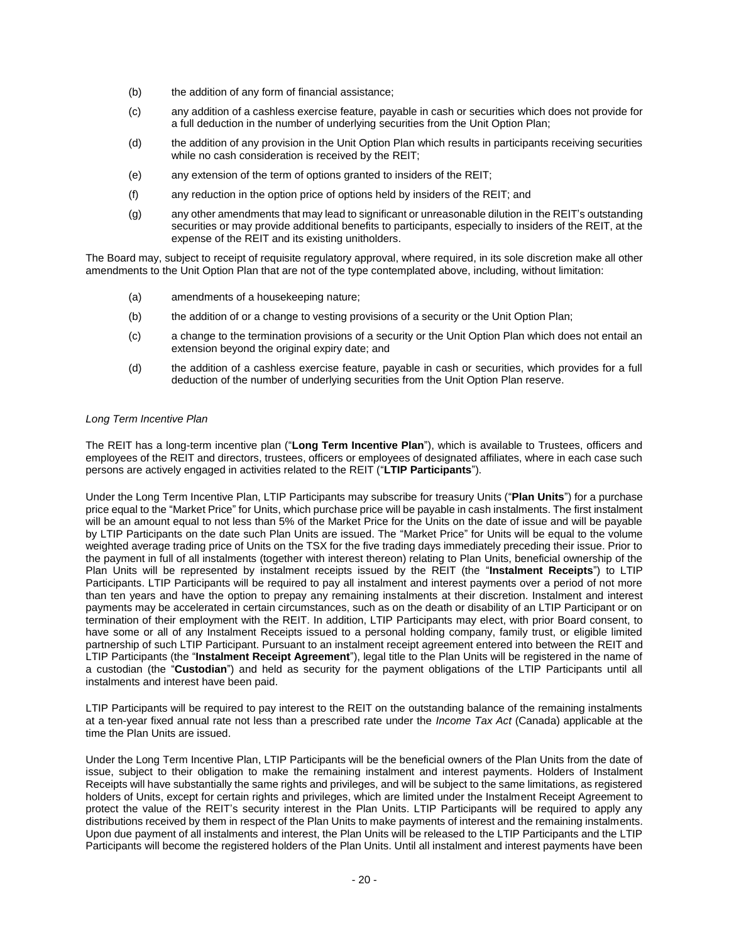- (b) the addition of any form of financial assistance;
- (c) any addition of a cashless exercise feature, payable in cash or securities which does not provide for a full deduction in the number of underlying securities from the Unit Option Plan;
- (d) the addition of any provision in the Unit Option Plan which results in participants receiving securities while no cash consideration is received by the REIT;
- (e) any extension of the term of options granted to insiders of the REIT;
- (f) any reduction in the option price of options held by insiders of the REIT; and
- (g) any other amendments that may lead to significant or unreasonable dilution in the REIT's outstanding securities or may provide additional benefits to participants, especially to insiders of the REIT, at the expense of the REIT and its existing unitholders.

The Board may, subject to receipt of requisite regulatory approval, where required, in its sole discretion make all other amendments to the Unit Option Plan that are not of the type contemplated above, including, without limitation:

- (a) amendments of a housekeeping nature;
- (b) the addition of or a change to vesting provisions of a security or the Unit Option Plan;
- (c) a change to the termination provisions of a security or the Unit Option Plan which does not entail an extension beyond the original expiry date; and
- (d) the addition of a cashless exercise feature, payable in cash or securities, which provides for a full deduction of the number of underlying securities from the Unit Option Plan reserve.

### *Long Term Incentive Plan*

The REIT has a long-term incentive plan ("**Long Term Incentive Plan**"), which is available to Trustees, officers and employees of the REIT and directors, trustees, officers or employees of designated affiliates, where in each case such persons are actively engaged in activities related to the REIT ("**LTIP Participants**").

Under the Long Term Incentive Plan, LTIP Participants may subscribe for treasury Units ("**Plan Units**") for a purchase price equal to the "Market Price" for Units, which purchase price will be payable in cash instalments. The first instalment will be an amount equal to not less than 5% of the Market Price for the Units on the date of issue and will be payable by LTIP Participants on the date such Plan Units are issued. The "Market Price" for Units will be equal to the volume weighted average trading price of Units on the TSX for the five trading days immediately preceding their issue. Prior to the payment in full of all instalments (together with interest thereon) relating to Plan Units, beneficial ownership of the Plan Units will be represented by instalment receipts issued by the REIT (the "**Instalment Receipts**") to LTIP Participants. LTIP Participants will be required to pay all instalment and interest payments over a period of not more than ten years and have the option to prepay any remaining instalments at their discretion. Instalment and interest payments may be accelerated in certain circumstances, such as on the death or disability of an LTIP Participant or on termination of their employment with the REIT. In addition, LTIP Participants may elect, with prior Board consent, to have some or all of any Instalment Receipts issued to a personal holding company, family trust, or eligible limited partnership of such LTIP Participant. Pursuant to an instalment receipt agreement entered into between the REIT and LTIP Participants (the "**Instalment Receipt Agreement**"), legal title to the Plan Units will be registered in the name of a custodian (the "**Custodian**") and held as security for the payment obligations of the LTIP Participants until all instalments and interest have been paid.

LTIP Participants will be required to pay interest to the REIT on the outstanding balance of the remaining instalments at a ten-year fixed annual rate not less than a prescribed rate under the *Income Tax Act* (Canada) applicable at the time the Plan Units are issued.

Under the Long Term Incentive Plan, LTIP Participants will be the beneficial owners of the Plan Units from the date of issue, subject to their obligation to make the remaining instalment and interest payments. Holders of Instalment Receipts will have substantially the same rights and privileges, and will be subject to the same limitations, as registered holders of Units, except for certain rights and privileges, which are limited under the Instalment Receipt Agreement to protect the value of the REIT's security interest in the Plan Units. LTIP Participants will be required to apply any distributions received by them in respect of the Plan Units to make payments of interest and the remaining instalments. Upon due payment of all instalments and interest, the Plan Units will be released to the LTIP Participants and the LTIP Participants will become the registered holders of the Plan Units. Until all instalment and interest payments have been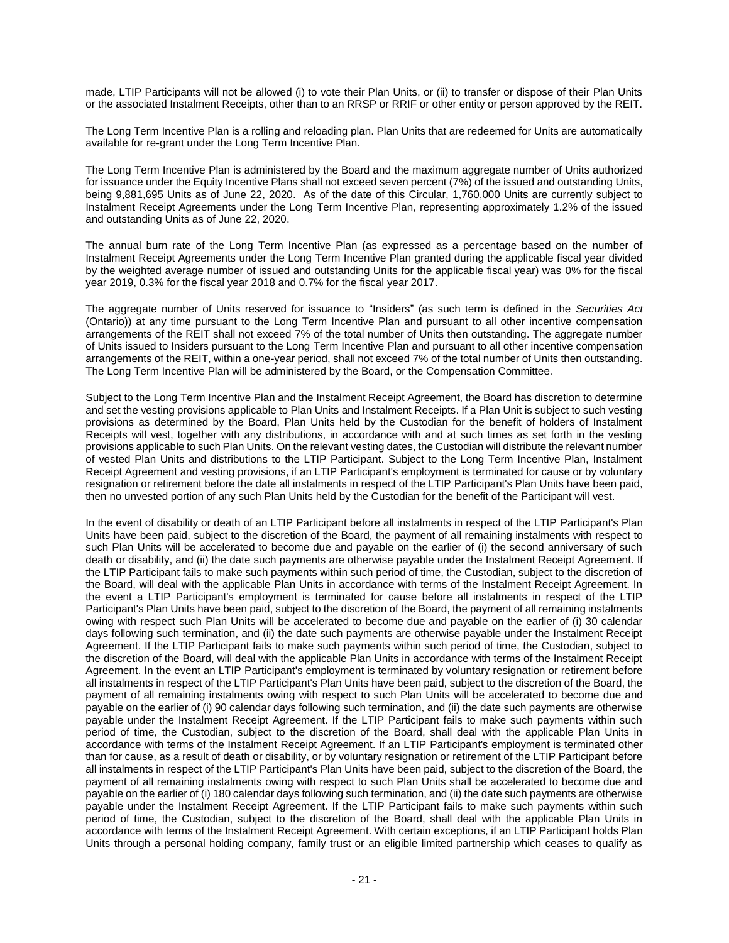made, LTIP Participants will not be allowed (i) to vote their Plan Units, or (ii) to transfer or dispose of their Plan Units or the associated Instalment Receipts, other than to an RRSP or RRIF or other entity or person approved by the REIT.

The Long Term Incentive Plan is a rolling and reloading plan. Plan Units that are redeemed for Units are automatically available for re-grant under the Long Term Incentive Plan.

The Long Term Incentive Plan is administered by the Board and the maximum aggregate number of Units authorized for issuance under the Equity Incentive Plans shall not exceed seven percent (7%) of the issued and outstanding Units, being 9,881,695 Units as of June 22, 2020. As of the date of this Circular, 1,760,000 Units are currently subject to Instalment Receipt Agreements under the Long Term Incentive Plan, representing approximately 1.2% of the issued and outstanding Units as of June 22, 2020.

The annual burn rate of the Long Term Incentive Plan (as expressed as a percentage based on the number of Instalment Receipt Agreements under the Long Term Incentive Plan granted during the applicable fiscal year divided by the weighted average number of issued and outstanding Units for the applicable fiscal year) was 0% for the fiscal year 2019, 0.3% for the fiscal year 2018 and 0.7% for the fiscal year 2017.

The aggregate number of Units reserved for issuance to "Insiders" (as such term is defined in the *Securities Act* (Ontario)) at any time pursuant to the Long Term Incentive Plan and pursuant to all other incentive compensation arrangements of the REIT shall not exceed 7% of the total number of Units then outstanding. The aggregate number of Units issued to Insiders pursuant to the Long Term Incentive Plan and pursuant to all other incentive compensation arrangements of the REIT, within a one-year period, shall not exceed 7% of the total number of Units then outstanding. The Long Term Incentive Plan will be administered by the Board, or the Compensation Committee.

Subject to the Long Term Incentive Plan and the Instalment Receipt Agreement, the Board has discretion to determine and set the vesting provisions applicable to Plan Units and Instalment Receipts. If a Plan Unit is subject to such vesting provisions as determined by the Board, Plan Units held by the Custodian for the benefit of holders of Instalment Receipts will vest, together with any distributions, in accordance with and at such times as set forth in the vesting provisions applicable to such Plan Units. On the relevant vesting dates, the Custodian will distribute the relevant number of vested Plan Units and distributions to the LTIP Participant. Subject to the Long Term Incentive Plan, Instalment Receipt Agreement and vesting provisions, if an LTIP Participant's employment is terminated for cause or by voluntary resignation or retirement before the date all instalments in respect of the LTIP Participant's Plan Units have been paid, then no unvested portion of any such Plan Units held by the Custodian for the benefit of the Participant will vest.

In the event of disability or death of an LTIP Participant before all instalments in respect of the LTIP Participant's Plan Units have been paid, subject to the discretion of the Board, the payment of all remaining instalments with respect to such Plan Units will be accelerated to become due and payable on the earlier of (i) the second anniversary of such death or disability, and (ii) the date such payments are otherwise payable under the Instalment Receipt Agreement. If the LTIP Participant fails to make such payments within such period of time, the Custodian, subject to the discretion of the Board, will deal with the applicable Plan Units in accordance with terms of the Instalment Receipt Agreement. In the event a LTIP Participant's employment is terminated for cause before all instalments in respect of the LTIP Participant's Plan Units have been paid, subject to the discretion of the Board, the payment of all remaining instalments owing with respect such Plan Units will be accelerated to become due and payable on the earlier of (i) 30 calendar days following such termination, and (ii) the date such payments are otherwise payable under the Instalment Receipt Agreement. If the LTIP Participant fails to make such payments within such period of time, the Custodian, subject to the discretion of the Board, will deal with the applicable Plan Units in accordance with terms of the Instalment Receipt Agreement. In the event an LTIP Participant's employment is terminated by voluntary resignation or retirement before all instalments in respect of the LTIP Participant's Plan Units have been paid, subject to the discretion of the Board, the payment of all remaining instalments owing with respect to such Plan Units will be accelerated to become due and payable on the earlier of (i) 90 calendar days following such termination, and (ii) the date such payments are otherwise payable under the Instalment Receipt Agreement. If the LTIP Participant fails to make such payments within such period of time, the Custodian, subject to the discretion of the Board, shall deal with the applicable Plan Units in accordance with terms of the Instalment Receipt Agreement. If an LTIP Participant's employment is terminated other than for cause, as a result of death or disability, or by voluntary resignation or retirement of the LTIP Participant before all instalments in respect of the LTIP Participant's Plan Units have been paid, subject to the discretion of the Board, the payment of all remaining instalments owing with respect to such Plan Units shall be accelerated to become due and payable on the earlier of (i) 180 calendar days following such termination, and (ii) the date such payments are otherwise payable under the Instalment Receipt Agreement. If the LTIP Participant fails to make such payments within such period of time, the Custodian, subject to the discretion of the Board, shall deal with the applicable Plan Units in accordance with terms of the Instalment Receipt Agreement. With certain exceptions, if an LTIP Participant holds Plan Units through a personal holding company, family trust or an eligible limited partnership which ceases to qualify as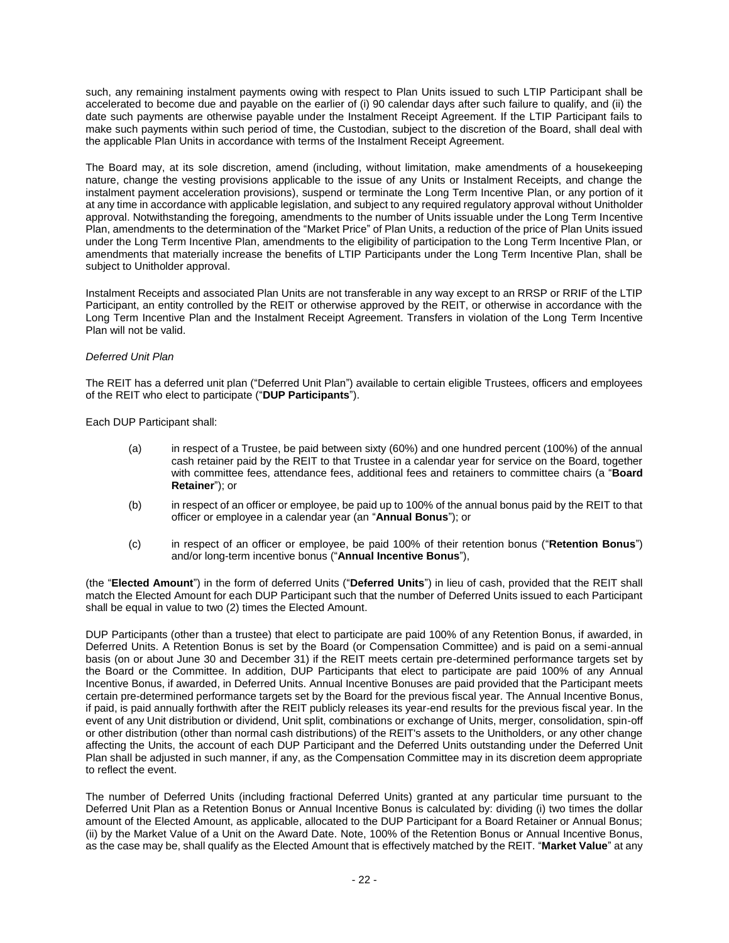such, any remaining instalment payments owing with respect to Plan Units issued to such LTIP Participant shall be accelerated to become due and payable on the earlier of (i) 90 calendar days after such failure to qualify, and (ii) the date such payments are otherwise payable under the Instalment Receipt Agreement. If the LTIP Participant fails to make such payments within such period of time, the Custodian, subject to the discretion of the Board, shall deal with the applicable Plan Units in accordance with terms of the Instalment Receipt Agreement.

The Board may, at its sole discretion, amend (including, without limitation, make amendments of a housekeeping nature, change the vesting provisions applicable to the issue of any Units or Instalment Receipts, and change the instalment payment acceleration provisions), suspend or terminate the Long Term Incentive Plan, or any portion of it at any time in accordance with applicable legislation, and subject to any required regulatory approval without Unitholder approval. Notwithstanding the foregoing, amendments to the number of Units issuable under the Long Term Incentive Plan, amendments to the determination of the "Market Price" of Plan Units, a reduction of the price of Plan Units issued under the Long Term Incentive Plan, amendments to the eligibility of participation to the Long Term Incentive Plan, or amendments that materially increase the benefits of LTIP Participants under the Long Term Incentive Plan, shall be subject to Unitholder approval.

Instalment Receipts and associated Plan Units are not transferable in any way except to an RRSP or RRIF of the LTIP Participant, an entity controlled by the REIT or otherwise approved by the REIT, or otherwise in accordance with the Long Term Incentive Plan and the Instalment Receipt Agreement. Transfers in violation of the Long Term Incentive Plan will not be valid.

### *Deferred Unit Plan*

The REIT has a deferred unit plan ("Deferred Unit Plan") available to certain eligible Trustees, officers and employees of the REIT who elect to participate ("**DUP Participants**").

Each DUP Participant shall:

- (a) in respect of a Trustee, be paid between sixty (60%) and one hundred percent (100%) of the annual cash retainer paid by the REIT to that Trustee in a calendar year for service on the Board, together with committee fees, attendance fees, additional fees and retainers to committee chairs (a "**Board Retainer**"); or
- (b) in respect of an officer or employee, be paid up to 100% of the annual bonus paid by the REIT to that officer or employee in a calendar year (an "**Annual Bonus**"); or
- (c) in respect of an officer or employee, be paid 100% of their retention bonus ("**Retention Bonus**") and/or long-term incentive bonus ("**Annual Incentive Bonus**"),

(the "**Elected Amount**") in the form of deferred Units ("**Deferred Units**") in lieu of cash, provided that the REIT shall match the Elected Amount for each DUP Participant such that the number of Deferred Units issued to each Participant shall be equal in value to two (2) times the Elected Amount.

DUP Participants (other than a trustee) that elect to participate are paid 100% of any Retention Bonus, if awarded, in Deferred Units. A Retention Bonus is set by the Board (or Compensation Committee) and is paid on a semi-annual basis (on or about June 30 and December 31) if the REIT meets certain pre-determined performance targets set by the Board or the Committee. In addition, DUP Participants that elect to participate are paid 100% of any Annual Incentive Bonus, if awarded, in Deferred Units. Annual Incentive Bonuses are paid provided that the Participant meets certain pre-determined performance targets set by the Board for the previous fiscal year. The Annual Incentive Bonus, if paid, is paid annually forthwith after the REIT publicly releases its year-end results for the previous fiscal year. In the event of any Unit distribution or dividend, Unit split, combinations or exchange of Units, merger, consolidation, spin-off or other distribution (other than normal cash distributions) of the REIT's assets to the Unitholders, or any other change affecting the Units, the account of each DUP Participant and the Deferred Units outstanding under the Deferred Unit Plan shall be adjusted in such manner, if any, as the Compensation Committee may in its discretion deem appropriate to reflect the event.

The number of Deferred Units (including fractional Deferred Units) granted at any particular time pursuant to the Deferred Unit Plan as a Retention Bonus or Annual Incentive Bonus is calculated by: dividing (i) two times the dollar amount of the Elected Amount, as applicable, allocated to the DUP Participant for a Board Retainer or Annual Bonus; (ii) by the Market Value of a Unit on the Award Date. Note, 100% of the Retention Bonus or Annual Incentive Bonus, as the case may be, shall qualify as the Elected Amount that is effectively matched by the REIT. "**Market Value**" at any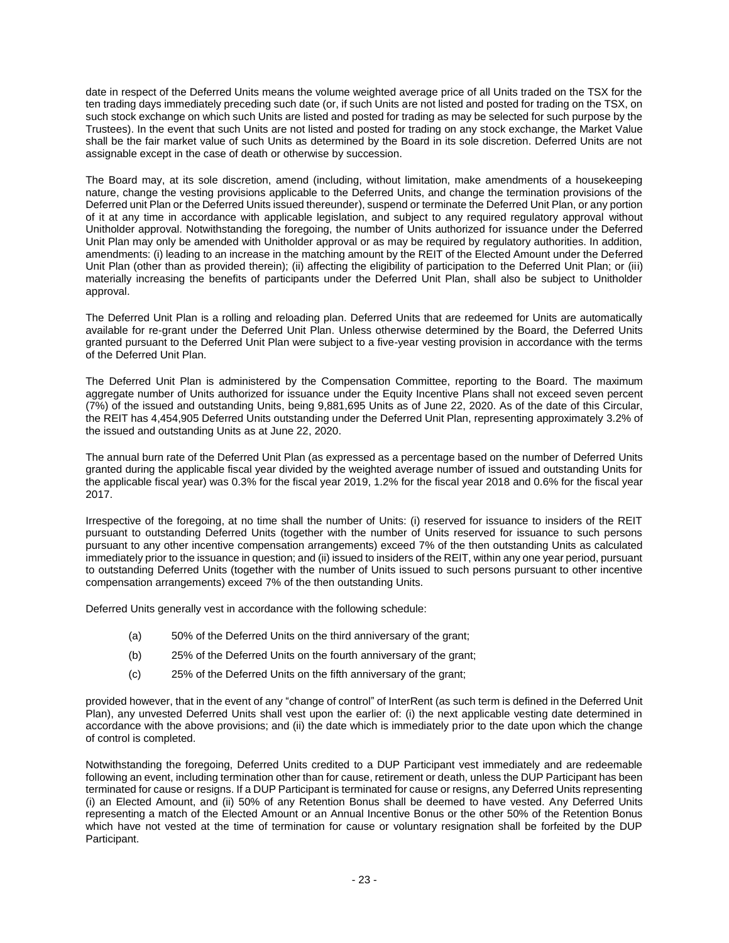date in respect of the Deferred Units means the volume weighted average price of all Units traded on the TSX for the ten trading days immediately preceding such date (or, if such Units are not listed and posted for trading on the TSX, on such stock exchange on which such Units are listed and posted for trading as may be selected for such purpose by the Trustees). In the event that such Units are not listed and posted for trading on any stock exchange, the Market Value shall be the fair market value of such Units as determined by the Board in its sole discretion. Deferred Units are not assignable except in the case of death or otherwise by succession.

The Board may, at its sole discretion, amend (including, without limitation, make amendments of a housekeeping nature, change the vesting provisions applicable to the Deferred Units, and change the termination provisions of the Deferred unit Plan or the Deferred Units issued thereunder), suspend or terminate the Deferred Unit Plan, or any portion of it at any time in accordance with applicable legislation, and subject to any required regulatory approval without Unitholder approval. Notwithstanding the foregoing, the number of Units authorized for issuance under the Deferred Unit Plan may only be amended with Unitholder approval or as may be required by regulatory authorities. In addition, amendments: (i) leading to an increase in the matching amount by the REIT of the Elected Amount under the Deferred Unit Plan (other than as provided therein); (ii) affecting the eligibility of participation to the Deferred Unit Plan; or (iii) materially increasing the benefits of participants under the Deferred Unit Plan, shall also be subject to Unitholder approval.

The Deferred Unit Plan is a rolling and reloading plan. Deferred Units that are redeemed for Units are automatically available for re-grant under the Deferred Unit Plan. Unless otherwise determined by the Board, the Deferred Units granted pursuant to the Deferred Unit Plan were subject to a five-year vesting provision in accordance with the terms of the Deferred Unit Plan.

The Deferred Unit Plan is administered by the Compensation Committee, reporting to the Board. The maximum aggregate number of Units authorized for issuance under the Equity Incentive Plans shall not exceed seven percent (7%) of the issued and outstanding Units, being 9,881,695 Units as of June 22, 2020. As of the date of this Circular, the REIT has 4,454,905 Deferred Units outstanding under the Deferred Unit Plan, representing approximately 3.2% of the issued and outstanding Units as at June 22, 2020.

The annual burn rate of the Deferred Unit Plan (as expressed as a percentage based on the number of Deferred Units granted during the applicable fiscal year divided by the weighted average number of issued and outstanding Units for the applicable fiscal year) was 0.3% for the fiscal year 2019, 1.2% for the fiscal year 2018 and 0.6% for the fiscal year 2017.

Irrespective of the foregoing, at no time shall the number of Units: (i) reserved for issuance to insiders of the REIT pursuant to outstanding Deferred Units (together with the number of Units reserved for issuance to such persons pursuant to any other incentive compensation arrangements) exceed 7% of the then outstanding Units as calculated immediately prior to the issuance in question; and (ii) issued to insiders of the REIT, within any one year period, pursuant to outstanding Deferred Units (together with the number of Units issued to such persons pursuant to other incentive compensation arrangements) exceed 7% of the then outstanding Units.

Deferred Units generally vest in accordance with the following schedule:

- (a) 50% of the Deferred Units on the third anniversary of the grant;
- (b) 25% of the Deferred Units on the fourth anniversary of the grant;
- (c) 25% of the Deferred Units on the fifth anniversary of the grant;

provided however, that in the event of any "change of control" of InterRent (as such term is defined in the Deferred Unit Plan), any unvested Deferred Units shall vest upon the earlier of: (i) the next applicable vesting date determined in accordance with the above provisions; and (ii) the date which is immediately prior to the date upon which the change of control is completed.

Notwithstanding the foregoing, Deferred Units credited to a DUP Participant vest immediately and are redeemable following an event, including termination other than for cause, retirement or death, unless the DUP Participant has been terminated for cause or resigns. If a DUP Participant is terminated for cause or resigns, any Deferred Units representing (i) an Elected Amount, and (ii) 50% of any Retention Bonus shall be deemed to have vested. Any Deferred Units representing a match of the Elected Amount or an Annual Incentive Bonus or the other 50% of the Retention Bonus which have not vested at the time of termination for cause or voluntary resignation shall be forfeited by the DUP Participant.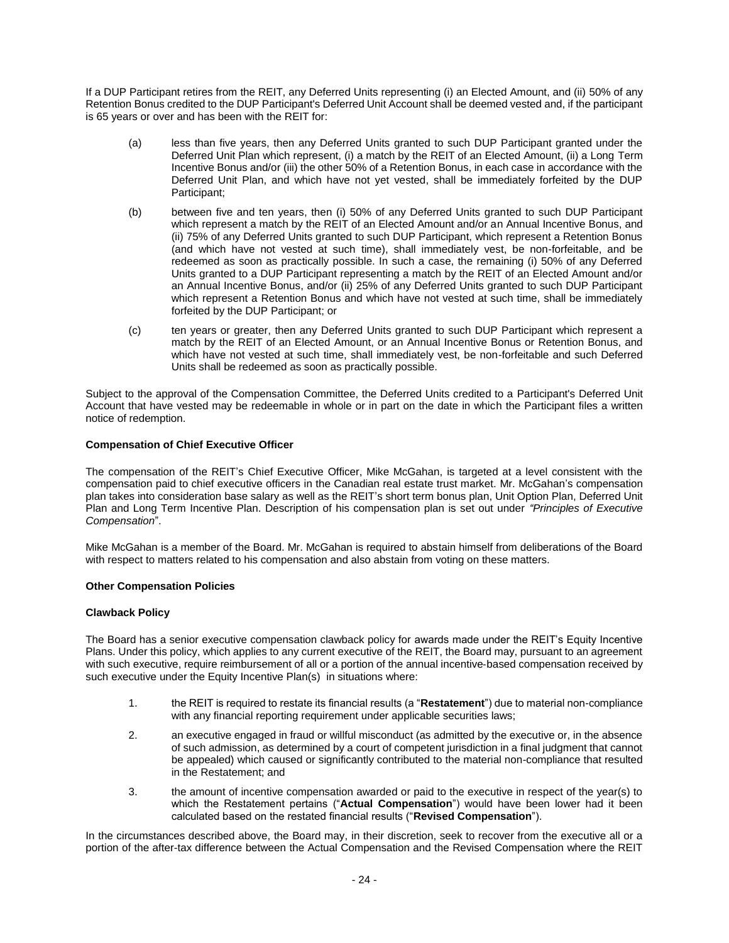If a DUP Participant retires from the REIT, any Deferred Units representing (i) an Elected Amount, and (ii) 50% of any Retention Bonus credited to the DUP Participant's Deferred Unit Account shall be deemed vested and, if the participant is 65 years or over and has been with the REIT for:

- (a) less than five years, then any Deferred Units granted to such DUP Participant granted under the Deferred Unit Plan which represent, (i) a match by the REIT of an Elected Amount, (ii) a Long Term Incentive Bonus and/or (iii) the other 50% of a Retention Bonus, in each case in accordance with the Deferred Unit Plan, and which have not yet vested, shall be immediately forfeited by the DUP Participant;
- (b) between five and ten years, then (i) 50% of any Deferred Units granted to such DUP Participant which represent a match by the REIT of an Elected Amount and/or an Annual Incentive Bonus, and (ii) 75% of any Deferred Units granted to such DUP Participant, which represent a Retention Bonus (and which have not vested at such time), shall immediately vest, be non-forfeitable, and be redeemed as soon as practically possible. In such a case, the remaining (i) 50% of any Deferred Units granted to a DUP Participant representing a match by the REIT of an Elected Amount and/or an Annual Incentive Bonus, and/or (ii) 25% of any Deferred Units granted to such DUP Participant which represent a Retention Bonus and which have not vested at such time, shall be immediately forfeited by the DUP Participant; or
- (c) ten years or greater, then any Deferred Units granted to such DUP Participant which represent a match by the REIT of an Elected Amount, or an Annual Incentive Bonus or Retention Bonus, and which have not vested at such time, shall immediately vest, be non-forfeitable and such Deferred Units shall be redeemed as soon as practically possible.

Subject to the approval of the Compensation Committee, the Deferred Units credited to a Participant's Deferred Unit Account that have vested may be redeemable in whole or in part on the date in which the Participant files a written notice of redemption.

# **Compensation of Chief Executive Officer**

The compensation of the REIT's Chief Executive Officer, Mike McGahan, is targeted at a level consistent with the compensation paid to chief executive officers in the Canadian real estate trust market. Mr. McGahan's compensation plan takes into consideration base salary as well as the REIT's short term bonus plan, Unit Option Plan, Deferred Unit Plan and Long Term Incentive Plan. Description of his compensation plan is set out under *"Principles of Executive Compensation*".

Mike McGahan is a member of the Board. Mr. McGahan is required to abstain himself from deliberations of the Board with respect to matters related to his compensation and also abstain from voting on these matters.

### **Other Compensation Policies**

### **Clawback Policy**

The Board has a senior executive compensation clawback policy for awards made under the REIT's Equity Incentive Plans. Under this policy, which applies to any current executive of the REIT, the Board may, pursuant to an agreement with such executive, require reimbursement of all or a portion of the annual incentive-based compensation received by such executive under the Equity Incentive Plan(s) in situations where:

- 1. the REIT is required to restate its financial results (a "**Restatement**") due to material non-compliance with any financial reporting requirement under applicable securities laws;
- 2. an executive engaged in fraud or willful misconduct (as admitted by the executive or, in the absence of such admission, as determined by a court of competent jurisdiction in a final judgment that cannot be appealed) which caused or significantly contributed to the material non-compliance that resulted in the Restatement; and
- 3. the amount of incentive compensation awarded or paid to the executive in respect of the year(s) to which the Restatement pertains ("**Actual Compensation**") would have been lower had it been calculated based on the restated financial results ("**Revised Compensation**").

In the circumstances described above, the Board may, in their discretion, seek to recover from the executive all or a portion of the after-tax difference between the Actual Compensation and the Revised Compensation where the REIT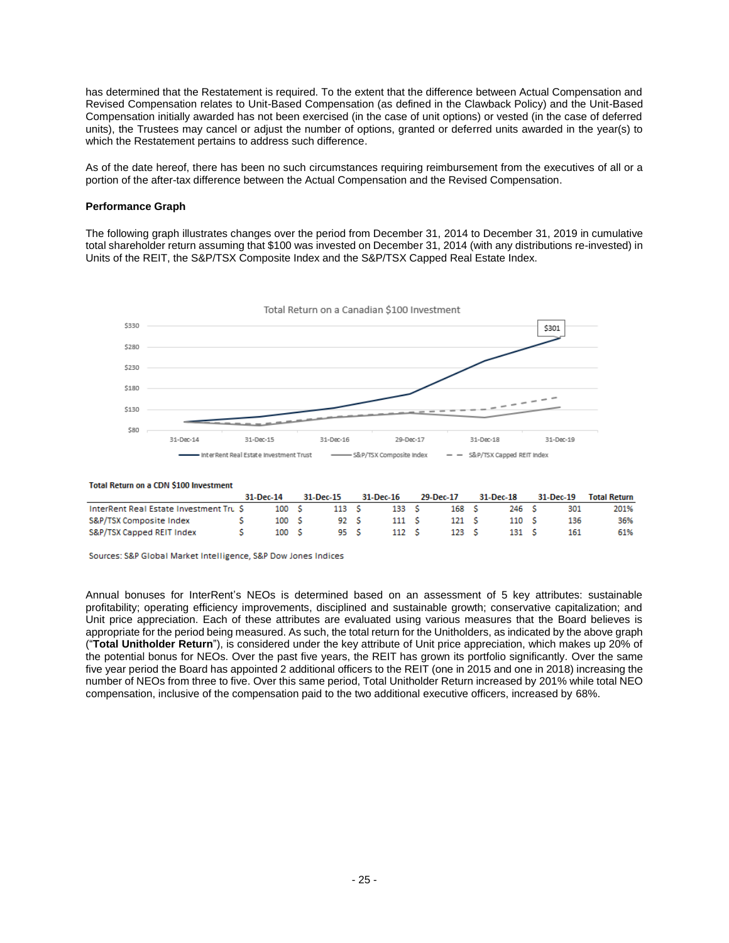has determined that the Restatement is required. To the extent that the difference between Actual Compensation and Revised Compensation relates to Unit-Based Compensation (as defined in the Clawback Policy) and the Unit-Based Compensation initially awarded has not been exercised (in the case of unit options) or vested (in the case of deferred units), the Trustees may cancel or adjust the number of options, granted or deferred units awarded in the year(s) to which the Restatement pertains to address such difference.

As of the date hereof, there has been no such circumstances requiring reimbursement from the executives of all or a portion of the after-tax difference between the Actual Compensation and the Revised Compensation.

#### **Performance Graph**

The following graph illustrates changes over the period from December 31, 2014 to December 31, 2019 in cumulative total shareholder return assuming that \$100 was invested on December 31, 2014 (with any distributions re-invested) in Units of the REIT, the S&P/TSX Composite Index and the S&P/TSX Capped Real Estate Index.



#### Total Return on a CDN \$100 Investment

|                                        | 31-Dec-14 |                  | 31-Dec-15 | 31-Dec-16        | 29-Dec-17        | 31-Dec-18 | 31-Dec-19 | Total Return |
|----------------------------------------|-----------|------------------|-----------|------------------|------------------|-----------|-----------|--------------|
| InterRent Real Estate Investment Tru S |           | 100 <sub>5</sub> | 113 S     | 133 <sub>5</sub> | 168 <sub>5</sub> | 246 S     | 301       | 201%         |
| S&P/TSX Composite Index                |           | 100 <sub>5</sub> | 92 S      | 111 S            | 121 <sub>5</sub> | 110S      | 136       | 36%          |
| S&P/TSX Capped REIT Index              |           | 100 <sub>5</sub> | 95 S      | 112 S            | 123 <sub>5</sub> | 131 S     | 161       | 61%          |

Sources: S&P Global Market Intelligence, S&P Dow Jones Indices

Annual bonuses for InterRent's NEOs is determined based on an assessment of 5 key attributes: sustainable profitability; operating efficiency improvements, disciplined and sustainable growth; conservative capitalization; and Unit price appreciation. Each of these attributes are evaluated using various measures that the Board believes is appropriate for the period being measured. As such, the total return for the Unitholders, as indicated by the above graph ("**Total Unitholder Return**"), is considered under the key attribute of Unit price appreciation, which makes up 20% of the potential bonus for NEOs. Over the past five years, the REIT has grown its portfolio significantly. Over the same five year period the Board has appointed 2 additional officers to the REIT (one in 2015 and one in 2018) increasing the number of NEOs from three to five. Over this same period, Total Unitholder Return increased by 201% while total NEO compensation, inclusive of the compensation paid to the two additional executive officers, increased by 68%.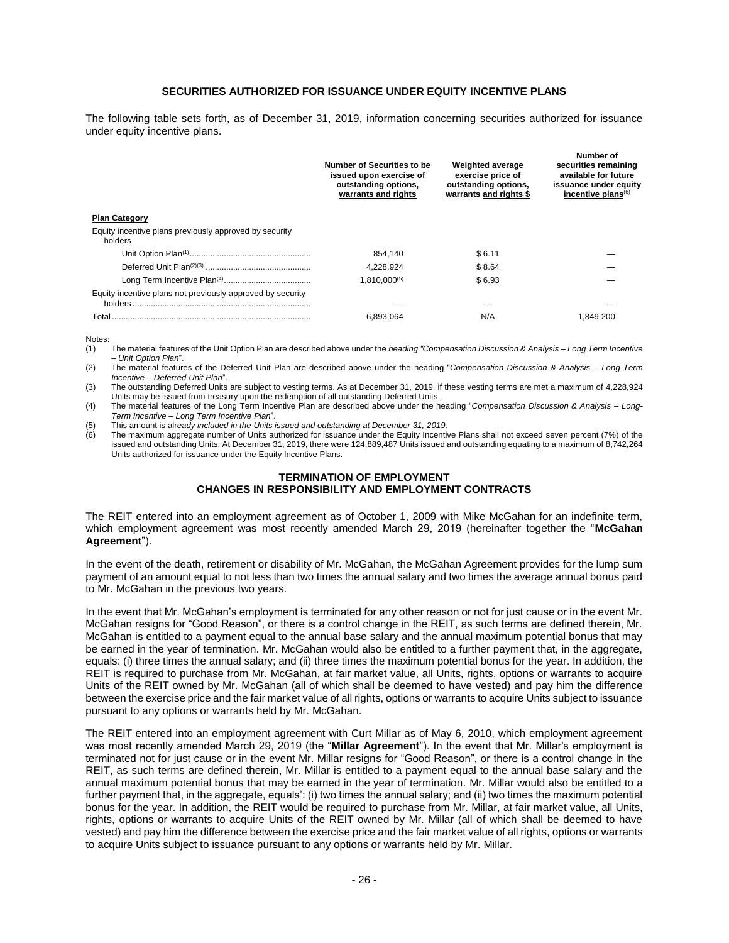# **SECURITIES AUTHORIZED FOR ISSUANCE UNDER EQUITY INCENTIVE PLANS**

<span id="page-27-0"></span>The following table sets forth, as of December 31, 2019, information concerning securities authorized for issuance under equity incentive plans.

|                                                                   | Number of Securities to be<br>issued upon exercise of<br>outstanding options,<br>warrants and rights | <b>Weighted average</b><br>exercise price of<br>outstanding options,<br>warrants and rights \$ | Number of<br>securities remaining<br>available for future<br>issuance under equity<br>incentive plans $(6)$ |
|-------------------------------------------------------------------|------------------------------------------------------------------------------------------------------|------------------------------------------------------------------------------------------------|-------------------------------------------------------------------------------------------------------------|
| <b>Plan Category</b>                                              |                                                                                                      |                                                                                                |                                                                                                             |
| Equity incentive plans previously approved by security<br>holders |                                                                                                      |                                                                                                |                                                                                                             |
|                                                                   | 854.140                                                                                              | \$6.11                                                                                         |                                                                                                             |
|                                                                   | 4.228.924                                                                                            | \$8.64                                                                                         |                                                                                                             |
|                                                                   | $1.810.000^{(5)}$                                                                                    | \$6.93                                                                                         |                                                                                                             |
| Equity incentive plans not previously approved by security        |                                                                                                      |                                                                                                |                                                                                                             |
| Total                                                             | 6.893.064                                                                                            | N/A                                                                                            | .849.200                                                                                                    |

Notes:

- (1) The material features of the Unit Option Plan are described above under the *heading "Compensation Discussion & Analysis – Long Term Incentive – Unit Option Plan*".
- (2) The material features of the Deferred Unit Plan are described above under the heading "*Compensation Discussion & Analysis – Long Term Incentive – Deferred Unit Plan*".
- (3) The outstanding Deferred Units are subject to vesting terms. As at December 31, 2019, if these vesting terms are met a maximum of 4,228,924 Units may be issued from treasury upon the redemption of all outstanding Deferred Units.
- (4) The material features of the Long Term Incentive Plan are described above under the heading "*Compensation Discussion & Analysis – Long-Term Incentive – Long Term Incentive Plan*".
- (5) This amount is alr*eady included in the Units issued and outstanding at December 31, 2019.*

(6) The maximum aggregate number of Units authorized for issuance under the Equity Incentive Plans shall not exceed seven percent (7%) of the issued and outstanding Units. At December 31, 2019, there were 124,889,487 Units issued and outstanding equating to a maximum of 8,742,264 Units authorized for issuance under the Equity Incentive Plans.

# **TERMINATION OF EMPLOYMENT CHANGES IN RESPONSIBILITY AND EMPLOYMENT CONTRACTS**

<span id="page-27-1"></span>The REIT entered into an employment agreement as of October 1, 2009 with Mike McGahan for an indefinite term, which employment agreement was most recently amended March 29, 2019 (hereinafter together the "**McGahan Agreement**").

In the event of the death, retirement or disability of Mr. McGahan, the McGahan Agreement provides for the lump sum payment of an amount equal to not less than two times the annual salary and two times the average annual bonus paid to Mr. McGahan in the previous two years.

In the event that Mr. McGahan's employment is terminated for any other reason or not for just cause or in the event Mr. McGahan resigns for "Good Reason", or there is a control change in the REIT, as such terms are defined therein, Mr. McGahan is entitled to a payment equal to the annual base salary and the annual maximum potential bonus that may be earned in the year of termination. Mr. McGahan would also be entitled to a further payment that, in the aggregate, equals: (i) three times the annual salary; and (ii) three times the maximum potential bonus for the year. In addition, the REIT is required to purchase from Mr. McGahan, at fair market value, all Units, rights, options or warrants to acquire Units of the REIT owned by Mr. McGahan (all of which shall be deemed to have vested) and pay him the difference between the exercise price and the fair market value of all rights, options or warrants to acquire Units subject to issuance pursuant to any options or warrants held by Mr. McGahan.

The REIT entered into an employment agreement with Curt Millar as of May 6, 2010, which employment agreement was most recently amended March 29, 2019 (the "**Millar Agreement**"). In the event that Mr. Millar's employment is terminated not for just cause or in the event Mr. Millar resigns for "Good Reason", or there is a control change in the REIT, as such terms are defined therein, Mr. Millar is entitled to a payment equal to the annual base salary and the annual maximum potential bonus that may be earned in the year of termination. Mr. Millar would also be entitled to a further payment that, in the aggregate, equals': (i) two times the annual salary; and (ii) two times the maximum potential bonus for the year. In addition, the REIT would be required to purchase from Mr. Millar, at fair market value, all Units, rights, options or warrants to acquire Units of the REIT owned by Mr. Millar (all of which shall be deemed to have vested) and pay him the difference between the exercise price and the fair market value of all rights, options or warrants to acquire Units subject to issuance pursuant to any options or warrants held by Mr. Millar.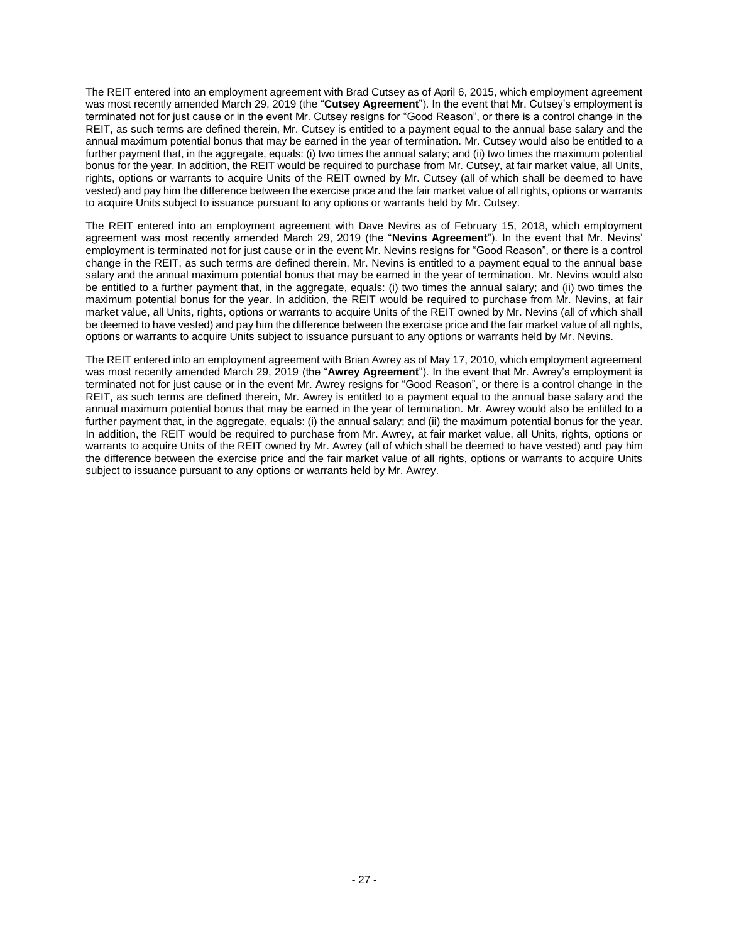The REIT entered into an employment agreement with Brad Cutsey as of April 6, 2015, which employment agreement was most recently amended March 29, 2019 (the "**Cutsey Agreement**"). In the event that Mr. Cutsey's employment is terminated not for just cause or in the event Mr. Cutsey resigns for "Good Reason", or there is a control change in the REIT, as such terms are defined therein, Mr. Cutsey is entitled to a payment equal to the annual base salary and the annual maximum potential bonus that may be earned in the year of termination. Mr. Cutsey would also be entitled to a further payment that, in the aggregate, equals: (i) two times the annual salary; and (ii) two times the maximum potential bonus for the year. In addition, the REIT would be required to purchase from Mr. Cutsey, at fair market value, all Units, rights, options or warrants to acquire Units of the REIT owned by Mr. Cutsey (all of which shall be deemed to have vested) and pay him the difference between the exercise price and the fair market value of all rights, options or warrants to acquire Units subject to issuance pursuant to any options or warrants held by Mr. Cutsey.

The REIT entered into an employment agreement with Dave Nevins as of February 15, 2018, which employment agreement was most recently amended March 29, 2019 (the "**Nevins Agreement**"). In the event that Mr. Nevins' employment is terminated not for just cause or in the event Mr. Nevins resigns for "Good Reason", or there is a control change in the REIT, as such terms are defined therein, Mr. Nevins is entitled to a payment equal to the annual base salary and the annual maximum potential bonus that may be earned in the year of termination. Mr. Nevins would also be entitled to a further payment that, in the aggregate, equals: (i) two times the annual salary; and (ii) two times the maximum potential bonus for the year. In addition, the REIT would be required to purchase from Mr. Nevins, at fair market value, all Units, rights, options or warrants to acquire Units of the REIT owned by Mr. Nevins (all of which shall be deemed to have vested) and pay him the difference between the exercise price and the fair market value of all rights, options or warrants to acquire Units subject to issuance pursuant to any options or warrants held by Mr. Nevins.

<span id="page-28-0"></span>The REIT entered into an employment agreement with Brian Awrey as of May 17, 2010, which employment agreement was most recently amended March 29, 2019 (the "**Awrey Agreement**"). In the event that Mr. Awrey's employment is terminated not for just cause or in the event Mr. Awrey resigns for "Good Reason", or there is a control change in the REIT, as such terms are defined therein, Mr. Awrey is entitled to a payment equal to the annual base salary and the annual maximum potential bonus that may be earned in the year of termination. Mr. Awrey would also be entitled to a further payment that, in the aggregate, equals: (i) the annual salary; and (ii) the maximum potential bonus for the year. In addition, the REIT would be required to purchase from Mr. Awrey, at fair market value, all Units, rights, options or warrants to acquire Units of the REIT owned by Mr. Awrey (all of which shall be deemed to have vested) and pay him the difference between the exercise price and the fair market value of all rights, options or warrants to acquire Units subject to issuance pursuant to any options or warrants held by Mr. Awrey.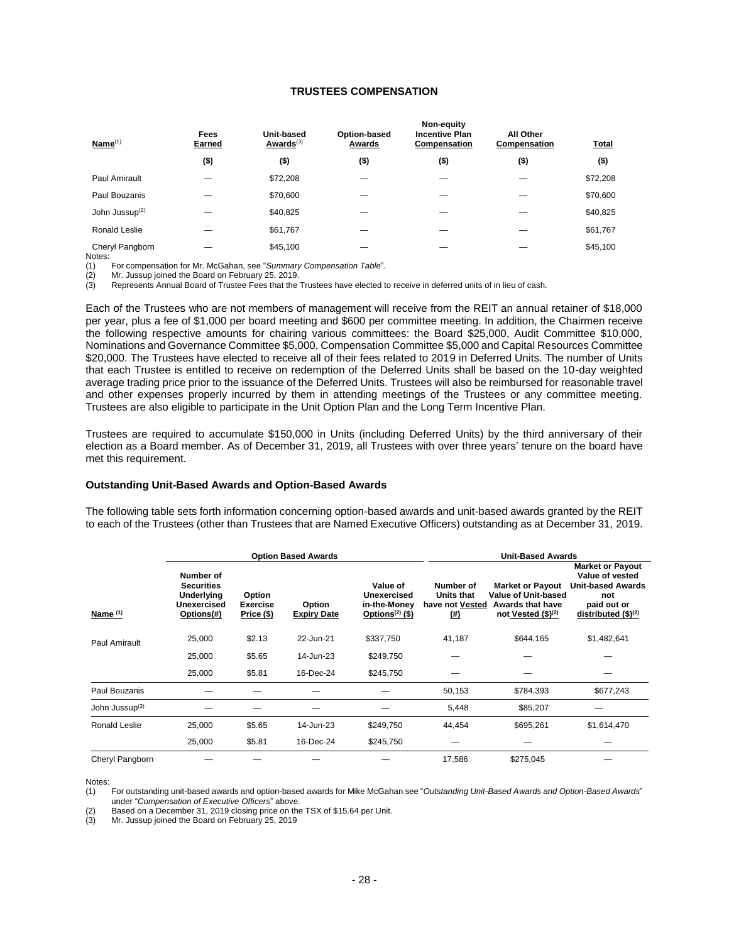# **TRUSTEES COMPENSATION**

| Name <sup>(1)</sup>        | Fees<br>Earned | Unit-based<br>Awards $(3)$ | Option-based<br>Awards | Non-equity<br><b>Incentive Plan</b><br>Compensation | All Other<br>Compensation | <b>Total</b> |
|----------------------------|----------------|----------------------------|------------------------|-----------------------------------------------------|---------------------------|--------------|
|                            | $($ \$)        | $($ \$)                    | $($ \$)                | $($ \$)                                             | $($ \$)                   | $($ \$)      |
| Paul Amirault              |                | \$72,208                   |                        |                                                     |                           | \$72,208     |
| Paul Bouzanis              |                | \$70,600                   |                        |                                                     |                           | \$70,600     |
| John Jussup <sup>(2)</sup> |                | \$40,825                   |                        |                                                     |                           | \$40,825     |
| Ronald Leslie              |                | \$61,767                   |                        |                                                     |                           | \$61,767     |
| Cheryl Pangborn            |                | \$45,100                   |                        |                                                     |                           | \$45,100     |

Notes:<br>(1) (1) For compensation for Mr. McGahan, see "*Summary Compensation Table*".

(2) Mr. Jussup joined the Board on February 25, 2019.

(3) Represents Annual Board of Trustee Fees that the Trustees have elected to receive in deferred units of in lieu of cash.

Each of the Trustees who are not members of management will receive from the REIT an annual retainer of \$18,000 per year, plus a fee of \$1,000 per board meeting and \$600 per committee meeting. In addition, the Chairmen receive the following respective amounts for chairing various committees: the Board \$25,000, Audit Committee \$10,000, Nominations and Governance Committee \$5,000, Compensation Committee \$5,000 and Capital Resources Committee \$20,000. The Trustees have elected to receive all of their fees related to 2019 in Deferred Units. The number of Units that each Trustee is entitled to receive on redemption of the Deferred Units shall be based on the 10-day weighted average trading price prior to the issuance of the Deferred Units. Trustees will also be reimbursed for reasonable travel and other expenses properly incurred by them in attending meetings of the Trustees or any committee meeting. Trustees are also eligible to participate in the Unit Option Plan and the Long Term Incentive Plan.

Trustees are required to accumulate \$150,000 in Units (including Deferred Units) by the third anniversary of their election as a Board member. As of December 31, 2019, all Trustees with over three years' tenure on the board have met this requirement.

#### **Outstanding Unit-Based Awards and Option-Based Awards**

The following table sets forth information concerning option-based awards and unit-based awards granted by the REIT to each of the Trustees (other than Trustees that are Named Executive Officers) outstanding as at December 31, 2019.

|                            | <b>Option Based Awards</b>                                                       |                                         |                              |                                                               |                                                             | <b>Unit-Based Awards</b>                                                                 |                                                                                                                        |  |
|----------------------------|----------------------------------------------------------------------------------|-----------------------------------------|------------------------------|---------------------------------------------------------------|-------------------------------------------------------------|------------------------------------------------------------------------------------------|------------------------------------------------------------------------------------------------------------------------|--|
| Name $(1)$                 | Number of<br><b>Securities</b><br>Underlying<br><b>Unexercised</b><br>Options(#) | Option<br><b>Exercise</b><br>Price (\$) | Option<br><b>Expiry Date</b> | Value of<br>Unexercised<br>in-the-Money<br>Options $(2)$ (\$) | Number of<br><b>Units that</b><br>have not Vested<br>$(\#)$ | <b>Market or Payout</b><br>Value of Unit-based<br>Awards that have<br>not Vested (\$)(2) | <b>Market or Payout</b><br>Value of vested<br><b>Unit-based Awards</b><br>not<br>paid out or<br>distributed $$^{(2)}$$ |  |
| Paul Amirault              | 25,000                                                                           | \$2.13                                  | 22-Jun-21                    | \$337,750                                                     | 41,187                                                      | \$644,165                                                                                | \$1,482,641                                                                                                            |  |
|                            | 25,000                                                                           | \$5.65                                  | 14-Jun-23                    | \$249,750                                                     |                                                             |                                                                                          |                                                                                                                        |  |
|                            | 25,000                                                                           | \$5.81                                  | 16-Dec-24                    | \$245,750                                                     |                                                             |                                                                                          |                                                                                                                        |  |
| Paul Bouzanis              |                                                                                  |                                         |                              |                                                               | 50,153                                                      | \$784,393                                                                                | \$677,243                                                                                                              |  |
| John Jussup <sup>(3)</sup> |                                                                                  |                                         |                              |                                                               | 5,448                                                       | \$85,207                                                                                 |                                                                                                                        |  |
| Ronald Leslie              | 25,000                                                                           | \$5.65                                  | 14-Jun-23                    | \$249,750                                                     | 44,454                                                      | \$695,261                                                                                | \$1,614,470                                                                                                            |  |
|                            | 25,000                                                                           | \$5.81                                  | 16-Dec-24                    | \$245,750                                                     |                                                             |                                                                                          |                                                                                                                        |  |
| Cheryl Pangborn            |                                                                                  |                                         |                              |                                                               | 17,586                                                      | \$275,045                                                                                |                                                                                                                        |  |

Notes:

(1) For outstanding unit-based awards and option-based awards for Mike McGahan see "*Outstanding Unit-Based Awards and Option-Based Awards*" under "*Compensation of Executive Officers*" above.

(2) Based on a December 31, 2019 closing price on the TSX of \$15.64 per Unit.

Mr. Jussup joined the Board on February 25, 2019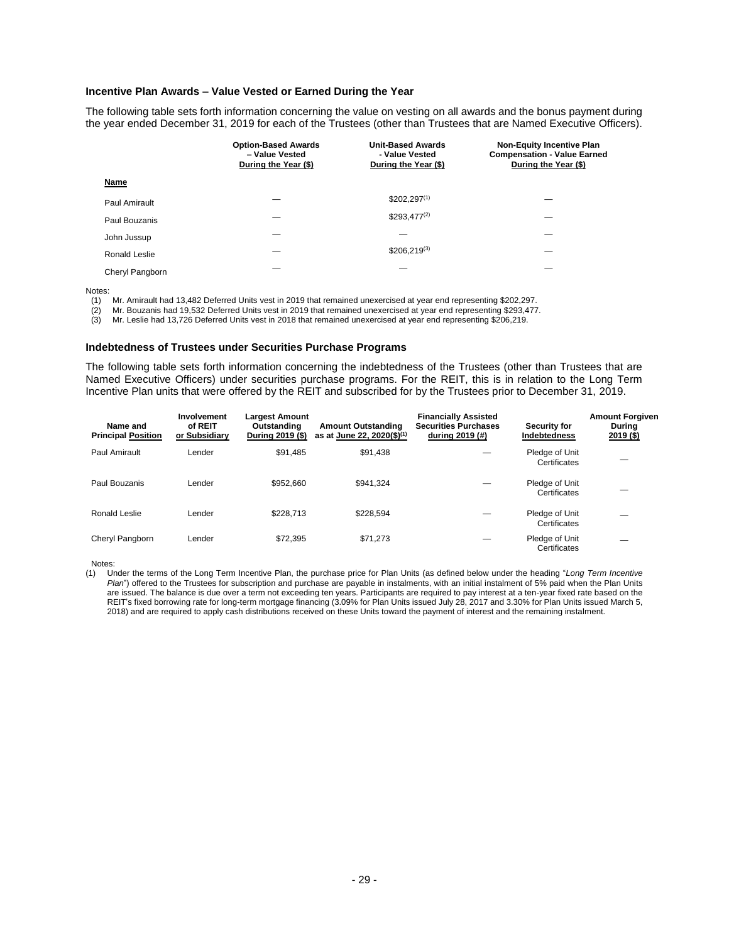# **Incentive Plan Awards – Value Vested or Earned During the Year**

The following table sets forth information concerning the value on vesting on all awards and the bonus payment during the year ended December 31, 2019 for each of the Trustees (other than Trustees that are Named Executive Officers).

|                 | <b>Option-Based Awards</b><br>- Value Vested<br>During the Year (\$) | <b>Unit-Based Awards</b><br>- Value Vested<br>During the Year (\$) | <b>Non-Equity Incentive Plan</b><br><b>Compensation - Value Earned</b><br>During the Year (\$) |
|-----------------|----------------------------------------------------------------------|--------------------------------------------------------------------|------------------------------------------------------------------------------------------------|
| Name            |                                                                      |                                                                    |                                                                                                |
| Paul Amirault   |                                                                      | $$202,297^{(1)}$                                                   |                                                                                                |
| Paul Bouzanis   |                                                                      | $$293,477^{(2)}$                                                   |                                                                                                |
| John Jussup     |                                                                      |                                                                    |                                                                                                |
| Ronald Leslie   |                                                                      | $$206.219^{(3)}$                                                   |                                                                                                |
| Cheryl Pangborn |                                                                      |                                                                    |                                                                                                |

Notes:

(1) Mr. Amirault had 13,482 Deferred Units vest in 2019 that remained unexercised at year end representing \$202,297.

(2) Mr. Bouzanis had 19,532 Deferred Units vest in 2019 that remained unexercised at year end representing \$293,477.<br>(3) Mr. Leslie had 13,726 Deferred Units vest in 2018 that remained unexercised at year end representing (3) Mr. Leslie had 13,726 Deferred Units vest in 2018 that remained unexercised at year end representing \$206,219.

#### **Indebtedness of Trustees under Securities Purchase Programs**

The following table sets forth information concerning the indebtedness of the Trustees (other than Trustees that are Named Executive Officers) under securities purchase programs. For the REIT, this is in relation to the Long Term Incentive Plan units that were offered by the REIT and subscribed for by the Trustees prior to December 31, 2019.

| Name and<br><b>Principal Position</b> | Involvement<br>of REIT<br>or Subsidiary | <b>Largest Amount</b><br>Outstanding<br>During 2019 (\$) | <b>Amount Outstanding</b><br>as at June 22, 2020(\$) <sup>(1)</sup> | <b>Financially Assisted</b><br><b>Securities Purchases</b><br>during 2019 (#) | <b>Security for</b><br><b>Indebtedness</b> | <b>Amount Forgiven</b><br><b>Durina</b><br>$2019($ \$) |
|---------------------------------------|-----------------------------------------|----------------------------------------------------------|---------------------------------------------------------------------|-------------------------------------------------------------------------------|--------------------------------------------|--------------------------------------------------------|
| Paul Amirault                         | Lender                                  | \$91.485                                                 | \$91.438                                                            |                                                                               | Pledge of Unit<br>Certificates             |                                                        |
| Paul Bouzanis                         | Lender                                  | \$952.660                                                | \$941.324                                                           |                                                                               | Pledge of Unit<br>Certificates             |                                                        |
| Ronald Leslie                         | Lender                                  | \$228.713                                                | \$228,594                                                           |                                                                               | Pledge of Unit<br>Certificates             |                                                        |
| Cheryl Pangborn                       | Lender                                  | \$72.395                                                 | \$71.273                                                            |                                                                               | Pledge of Unit<br>Certificates             |                                                        |

Notes:

<sup>(1)</sup> Under the terms of the Long Term Incentive Plan, the purchase price for Plan Units (as defined below under the heading "*Long Term Incentive Plan*") offered to the Trustees for subscription and purchase are payable in instalments, with an initial instalment of 5% paid when the Plan Units are issued. The balance is due over a term not exceeding ten years. Participants are required to pay interest at a ten-year fixed rate based on the REIT's fixed borrowing rate for long-term mortgage financing (3.09% for Plan Units issued July 28, 2017 and 3.30% for Plan Units issued March 5, 2018) and are required to apply cash distributions received on these Units toward the payment of interest and the remaining instalment.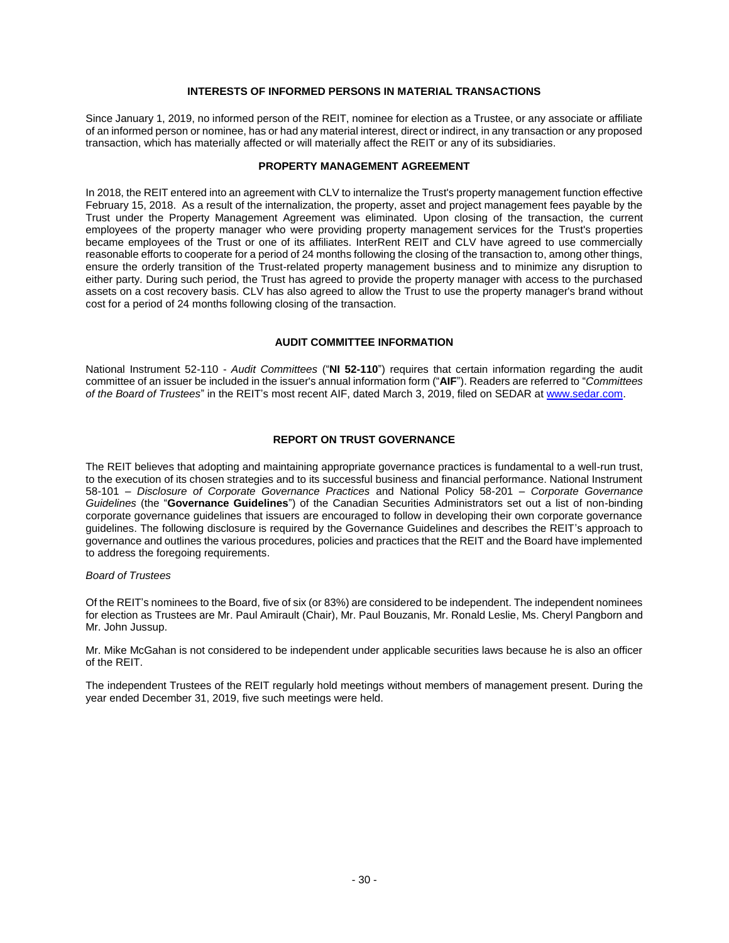### **INTERESTS OF INFORMED PERSONS IN MATERIAL TRANSACTIONS**

<span id="page-31-0"></span>Since January 1, 2019, no informed person of the REIT, nominee for election as a Trustee, or any associate or affiliate of an informed person or nominee, has or had any material interest, direct or indirect, in any transaction or any proposed transaction, which has materially affected or will materially affect the REIT or any of its subsidiaries.

#### **PROPERTY MANAGEMENT AGREEMENT**

<span id="page-31-1"></span>In 2018, the REIT entered into an agreement with CLV to internalize the Trust's property management function effective February 15, 2018. As a result of the internalization, the property, asset and project management fees payable by the Trust under the Property Management Agreement was eliminated. Upon closing of the transaction, the current employees of the property manager who were providing property management services for the Trust's properties became employees of the Trust or one of its affiliates. InterRent REIT and CLV have agreed to use commercially reasonable efforts to cooperate for a period of 24 months following the closing of the transaction to, among other things, ensure the orderly transition of the Trust-related property management business and to minimize any disruption to either party. During such period, the Trust has agreed to provide the property manager with access to the purchased assets on a cost recovery basis. CLV has also agreed to allow the Trust to use the property manager's brand without cost for a period of 24 months following closing of the transaction.

### **AUDIT COMMITTEE INFORMATION**

<span id="page-31-2"></span>National Instrument 52-110 - *Audit Committees* ("**NI 52-110**") requires that certain information regarding the audit committee of an issuer be included in the issuer's annual information form ("**AIF**"). Readers are referred to "*Committees of the Board of Trustees*" in the REIT's most recent AIF, dated March 3, 2019, filed on SEDAR at [www.sedar.com.](http://www.sedar.com/)

### **REPORT ON TRUST GOVERNANCE**

<span id="page-31-3"></span>The REIT believes that adopting and maintaining appropriate governance practices is fundamental to a well-run trust, to the execution of its chosen strategies and to its successful business and financial performance. National Instrument 58-101 – *Disclosure of Corporate Governance Practices* and National Policy 58-201 – *Corporate Governance Guidelines* (the "**Governance Guidelines**") of the Canadian Securities Administrators set out a list of non-binding corporate governance guidelines that issuers are encouraged to follow in developing their own corporate governance guidelines. The following disclosure is required by the Governance Guidelines and describes the REIT's approach to governance and outlines the various procedures, policies and practices that the REIT and the Board have implemented to address the foregoing requirements.

#### *Board of Trustees*

Of the REIT's nominees to the Board, five of six (or 83%) are considered to be independent. The independent nominees for election as Trustees are Mr. Paul Amirault (Chair), Mr. Paul Bouzanis, Mr. Ronald Leslie, Ms. Cheryl Pangborn and Mr. John Jussup.

Mr. Mike McGahan is not considered to be independent under applicable securities laws because he is also an officer of the REIT.

The independent Trustees of the REIT regularly hold meetings without members of management present. During the year ended December 31, 2019, five such meetings were held.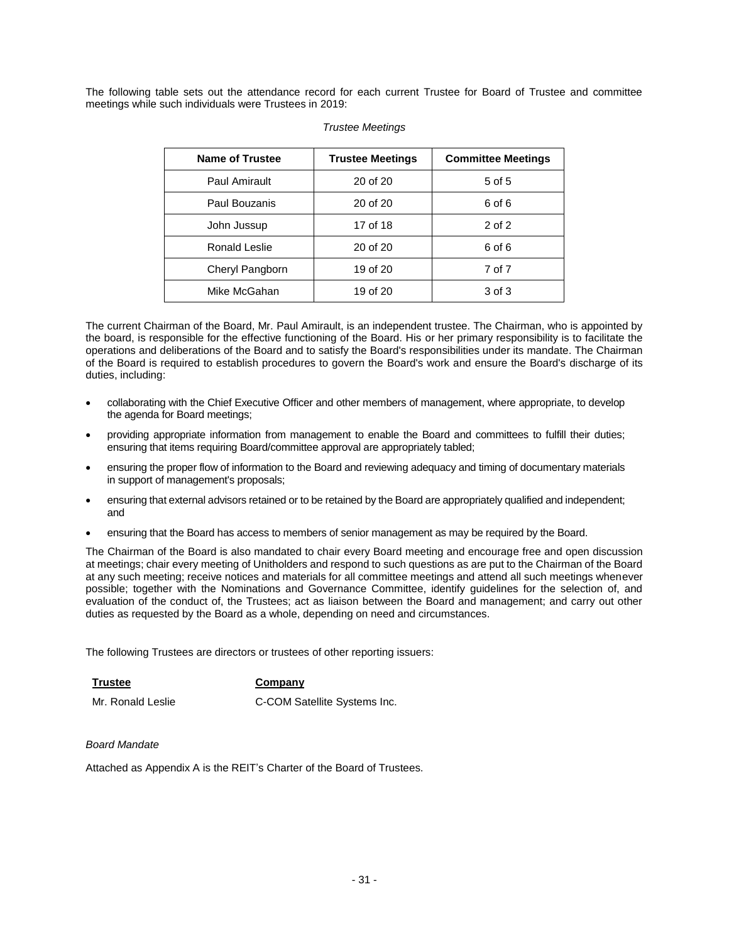The following table sets out the attendance record for each current Trustee for Board of Trustee and committee meetings while such individuals were Trustees in 2019:

| <b>Name of Trustee</b> | <b>Trustee Meetings</b> | <b>Committee Meetings</b> |
|------------------------|-------------------------|---------------------------|
| Paul Amirault          | 20 of 20                | 5 of 5                    |
| Paul Bouzanis          | 20 of 20                | 6 of 6                    |
| John Jussup            | 17 of 18                | $2$ of $2$                |
| Ronald Leslie          | 20 of 20                | 6 of 6                    |
| Cheryl Pangborn        | 19 of 20                | 7 of 7                    |
| Mike McGahan           | 19 of 20                | 3 of 3                    |

#### *Trustee Meetings*

The current Chairman of the Board, Mr. Paul Amirault, is an independent trustee. The Chairman, who is appointed by the board, is responsible for the effective functioning of the Board. His or her primary responsibility is to facilitate the operations and deliberations of the Board and to satisfy the Board's responsibilities under its mandate. The Chairman of the Board is required to establish procedures to govern the Board's work and ensure the Board's discharge of its duties, including:

- collaborating with the Chief Executive Officer and other members of management, where appropriate, to develop the agenda for Board meetings;
- providing appropriate information from management to enable the Board and committees to fulfill their duties; ensuring that items requiring Board/committee approval are appropriately tabled;
- ensuring the proper flow of information to the Board and reviewing adequacy and timing of documentary materials in support of management's proposals;
- ensuring that external advisors retained or to be retained by the Board are appropriately qualified and independent; and
- ensuring that the Board has access to members of senior management as may be required by the Board.

The Chairman of the Board is also mandated to chair every Board meeting and encourage free and open discussion at meetings; chair every meeting of Unitholders and respond to such questions as are put to the Chairman of the Board at any such meeting; receive notices and materials for all committee meetings and attend all such meetings whenever possible; together with the Nominations and Governance Committee, identify guidelines for the selection of, and evaluation of the conduct of, the Trustees; act as liaison between the Board and management; and carry out other duties as requested by the Board as a whole, depending on need and circumstances.

The following Trustees are directors or trustees of other reporting issuers:

**Trustee Company**

Mr. Ronald Leslie **C-COM Satellite Systems Inc.** 

#### *Board Mandate*

Attached as Appendix A is the REIT's Charter of the Board of Trustees.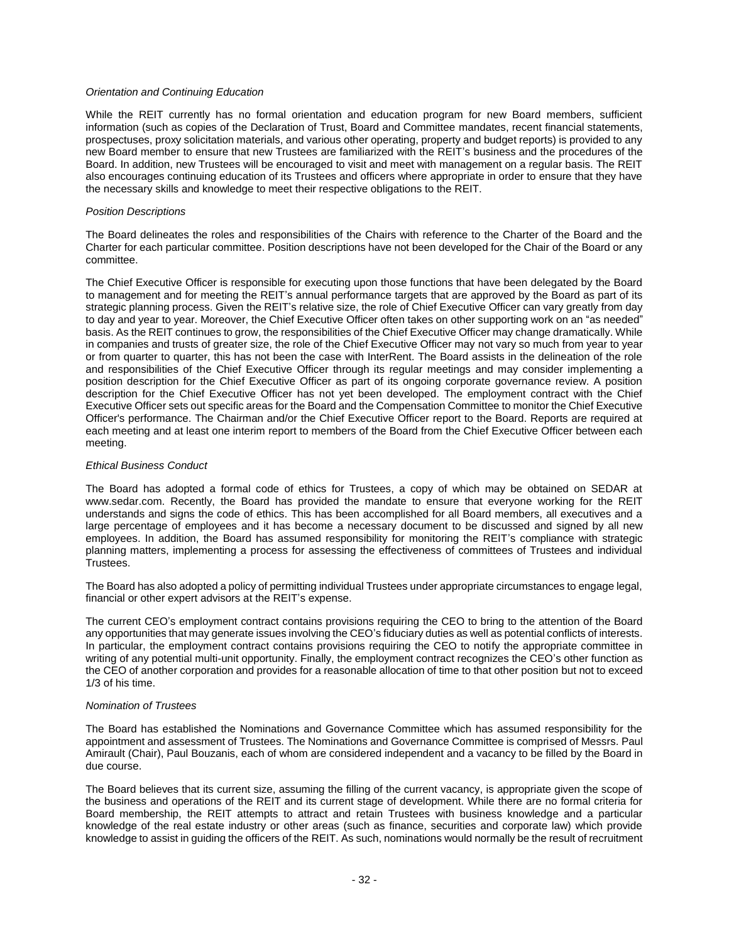#### *Orientation and Continuing Education*

While the REIT currently has no formal orientation and education program for new Board members, sufficient information (such as copies of the Declaration of Trust, Board and Committee mandates, recent financial statements, prospectuses, proxy solicitation materials, and various other operating, property and budget reports) is provided to any new Board member to ensure that new Trustees are familiarized with the REIT's business and the procedures of the Board. In addition, new Trustees will be encouraged to visit and meet with management on a regular basis. The REIT also encourages continuing education of its Trustees and officers where appropriate in order to ensure that they have the necessary skills and knowledge to meet their respective obligations to the REIT.

#### *Position Descriptions*

The Board delineates the roles and responsibilities of the Chairs with reference to the Charter of the Board and the Charter for each particular committee. Position descriptions have not been developed for the Chair of the Board or any committee.

The Chief Executive Officer is responsible for executing upon those functions that have been delegated by the Board to management and for meeting the REIT's annual performance targets that are approved by the Board as part of its strategic planning process. Given the REIT's relative size, the role of Chief Executive Officer can vary greatly from day to day and year to year. Moreover, the Chief Executive Officer often takes on other supporting work on an "as needed" basis. As the REIT continues to grow, the responsibilities of the Chief Executive Officer may change dramatically. While in companies and trusts of greater size, the role of the Chief Executive Officer may not vary so much from year to year or from quarter to quarter, this has not been the case with InterRent. The Board assists in the delineation of the role and responsibilities of the Chief Executive Officer through its regular meetings and may consider implementing a position description for the Chief Executive Officer as part of its ongoing corporate governance review. A position description for the Chief Executive Officer has not yet been developed. The employment contract with the Chief Executive Officer sets out specific areas for the Board and the Compensation Committee to monitor the Chief Executive Officer's performance. The Chairman and/or the Chief Executive Officer report to the Board. Reports are required at each meeting and at least one interim report to members of the Board from the Chief Executive Officer between each meeting.

#### *Ethical Business Conduct*

The Board has adopted a formal code of ethics for Trustees, a copy of which may be obtained on SEDAR at www.sedar.com. Recently, the Board has provided the mandate to ensure that everyone working for the REIT understands and signs the code of ethics. This has been accomplished for all Board members, all executives and a large percentage of employees and it has become a necessary document to be discussed and signed by all new employees. In addition, the Board has assumed responsibility for monitoring the REIT's compliance with strategic planning matters, implementing a process for assessing the effectiveness of committees of Trustees and individual Trustees.

The Board has also adopted a policy of permitting individual Trustees under appropriate circumstances to engage legal, financial or other expert advisors at the REIT's expense.

The current CEO's employment contract contains provisions requiring the CEO to bring to the attention of the Board any opportunities that may generate issues involving the CEO's fiduciary duties as well as potential conflicts of interests. In particular, the employment contract contains provisions requiring the CEO to notify the appropriate committee in writing of any potential multi-unit opportunity. Finally, the employment contract recognizes the CEO's other function as the CEO of another corporation and provides for a reasonable allocation of time to that other position but not to exceed 1/3 of his time.

#### *Nomination of Trustees*

The Board has established the Nominations and Governance Committee which has assumed responsibility for the appointment and assessment of Trustees. The Nominations and Governance Committee is comprised of Messrs. Paul Amirault (Chair), Paul Bouzanis, each of whom are considered independent and a vacancy to be filled by the Board in due course.

The Board believes that its current size, assuming the filling of the current vacancy, is appropriate given the scope of the business and operations of the REIT and its current stage of development. While there are no formal criteria for Board membership, the REIT attempts to attract and retain Trustees with business knowledge and a particular knowledge of the real estate industry or other areas (such as finance, securities and corporate law) which provide knowledge to assist in guiding the officers of the REIT. As such, nominations would normally be the result of recruitment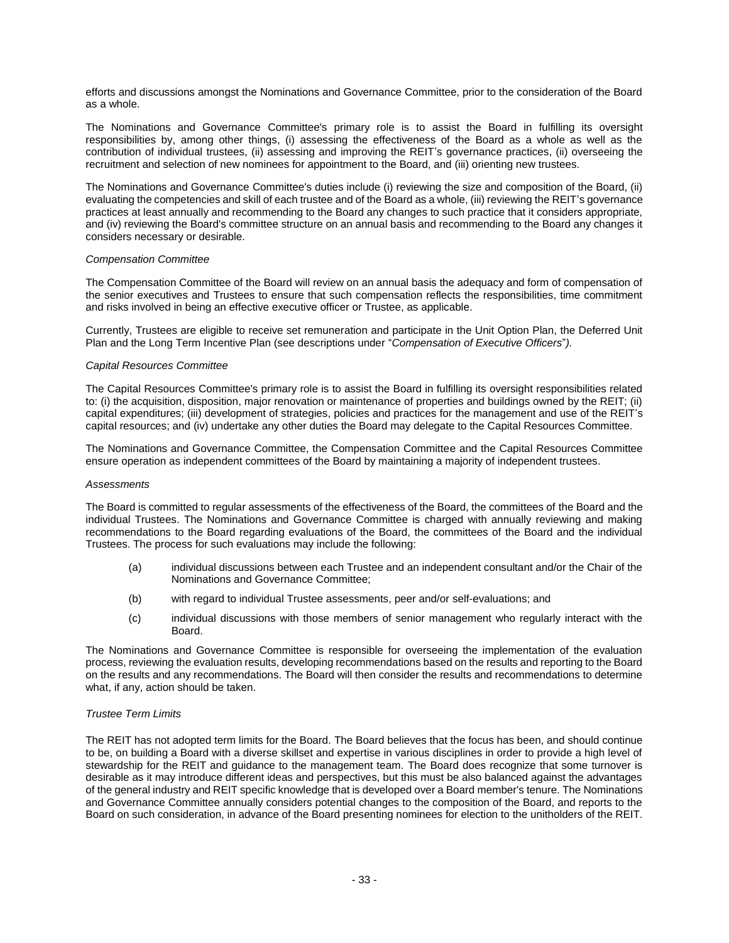efforts and discussions amongst the Nominations and Governance Committee, prior to the consideration of the Board as a whole.

The Nominations and Governance Committee's primary role is to assist the Board in fulfilling its oversight responsibilities by, among other things, (i) assessing the effectiveness of the Board as a whole as well as the contribution of individual trustees, (ii) assessing and improving the REIT's governance practices, (ii) overseeing the recruitment and selection of new nominees for appointment to the Board, and (iii) orienting new trustees.

The Nominations and Governance Committee's duties include (i) reviewing the size and composition of the Board, (ii) evaluating the competencies and skill of each trustee and of the Board as a whole, (iii) reviewing the REIT's governance practices at least annually and recommending to the Board any changes to such practice that it considers appropriate, and (iv) reviewing the Board's committee structure on an annual basis and recommending to the Board any changes it considers necessary or desirable.

#### *Compensation Committee*

The Compensation Committee of the Board will review on an annual basis the adequacy and form of compensation of the senior executives and Trustees to ensure that such compensation reflects the responsibilities, time commitment and risks involved in being an effective executive officer or Trustee, as applicable.

Currently, Trustees are eligible to receive set remuneration and participate in the Unit Option Plan, the Deferred Unit Plan and the Long Term Incentive Plan (see descriptions under "*Compensation of Executive Officers*"*).*

#### *Capital Resources Committee*

The Capital Resources Committee's primary role is to assist the Board in fulfilling its oversight responsibilities related to: (i) the acquisition, disposition, major renovation or maintenance of properties and buildings owned by the REIT; (ii) capital expenditures; (iii) development of strategies, policies and practices for the management and use of the REIT's capital resources; and (iv) undertake any other duties the Board may delegate to the Capital Resources Committee.

The Nominations and Governance Committee, the Compensation Committee and the Capital Resources Committee ensure operation as independent committees of the Board by maintaining a majority of independent trustees.

#### *Assessments*

The Board is committed to regular assessments of the effectiveness of the Board, the committees of the Board and the individual Trustees. The Nominations and Governance Committee is charged with annually reviewing and making recommendations to the Board regarding evaluations of the Board, the committees of the Board and the individual Trustees. The process for such evaluations may include the following:

- (a) individual discussions between each Trustee and an independent consultant and/or the Chair of the Nominations and Governance Committee;
- (b) with regard to individual Trustee assessments, peer and/or self-evaluations; and
- (c) individual discussions with those members of senior management who regularly interact with the Board.

The Nominations and Governance Committee is responsible for overseeing the implementation of the evaluation process, reviewing the evaluation results, developing recommendations based on the results and reporting to the Board on the results and any recommendations. The Board will then consider the results and recommendations to determine what, if any, action should be taken.

#### *Trustee Term Limits*

The REIT has not adopted term limits for the Board. The Board believes that the focus has been, and should continue to be, on building a Board with a diverse skillset and expertise in various disciplines in order to provide a high level of stewardship for the REIT and guidance to the management team. The Board does recognize that some turnover is desirable as it may introduce different ideas and perspectives, but this must be also balanced against the advantages of the general industry and REIT specific knowledge that is developed over a Board member's tenure. The Nominations and Governance Committee annually considers potential changes to the composition of the Board, and reports to the Board on such consideration, in advance of the Board presenting nominees for election to the unitholders of the REIT.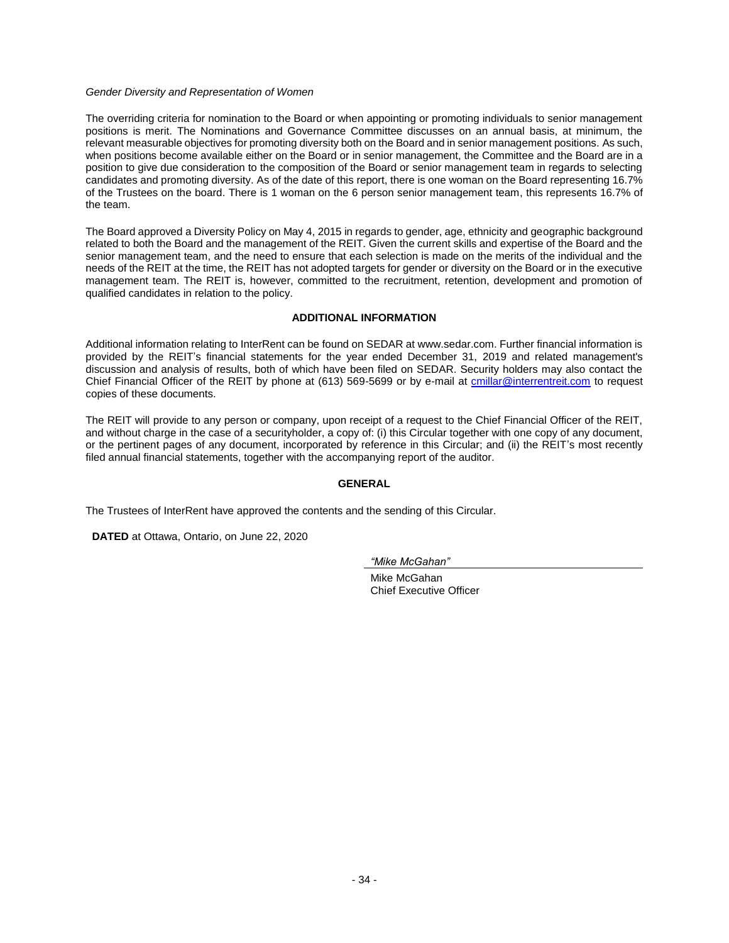#### *Gender Diversity and Representation of Women*

The overriding criteria for nomination to the Board or when appointing or promoting individuals to senior management positions is merit. The Nominations and Governance Committee discusses on an annual basis, at minimum, the relevant measurable objectives for promoting diversity both on the Board and in senior management positions. As such, when positions become available either on the Board or in senior management, the Committee and the Board are in a position to give due consideration to the composition of the Board or senior management team in regards to selecting candidates and promoting diversity. As of the date of this report, there is one woman on the Board representing 16.7% of the Trustees on the board. There is 1 woman on the 6 person senior management team, this represents 16.7% of the team.

The Board approved a Diversity Policy on May 4, 2015 in regards to gender, age, ethnicity and geographic background related to both the Board and the management of the REIT. Given the current skills and expertise of the Board and the senior management team, and the need to ensure that each selection is made on the merits of the individual and the needs of the REIT at the time, the REIT has not adopted targets for gender or diversity on the Board or in the executive management team. The REIT is, however, committed to the recruitment, retention, development and promotion of qualified candidates in relation to the policy.

### **ADDITIONAL INFORMATION**

<span id="page-35-0"></span>Additional information relating to InterRent can be found on SEDAR at www.sedar.com. Further financial information is provided by the REIT's financial statements for the year ended December 31, 2019 and related management's discussion and analysis of results, both of which have been filed on SEDAR. Security holders may also contact the Chief Financial Officer of the REIT by phone at (613) 569-5699 or by e-mail at [cmillar@interrentreit.com](mailto:cmillar@interrentreit.com) to request copies of these documents.

The REIT will provide to any person or company, upon receipt of a request to the Chief Financial Officer of the REIT, and without charge in the case of a securityholder, a copy of: (i) this Circular together with one copy of any document, or the pertinent pages of any document, incorporated by reference in this Circular; and (ii) the REIT's most recently filed annual financial statements, together with the accompanying report of the auditor.

# **GENERAL**

The Trustees of InterRent have approved the contents and the sending of this Circular.

**DATED** at Ottawa, Ontario, on June 22, 2020

*"Mike McGahan"*

Mike McGahan Chief Executive Officer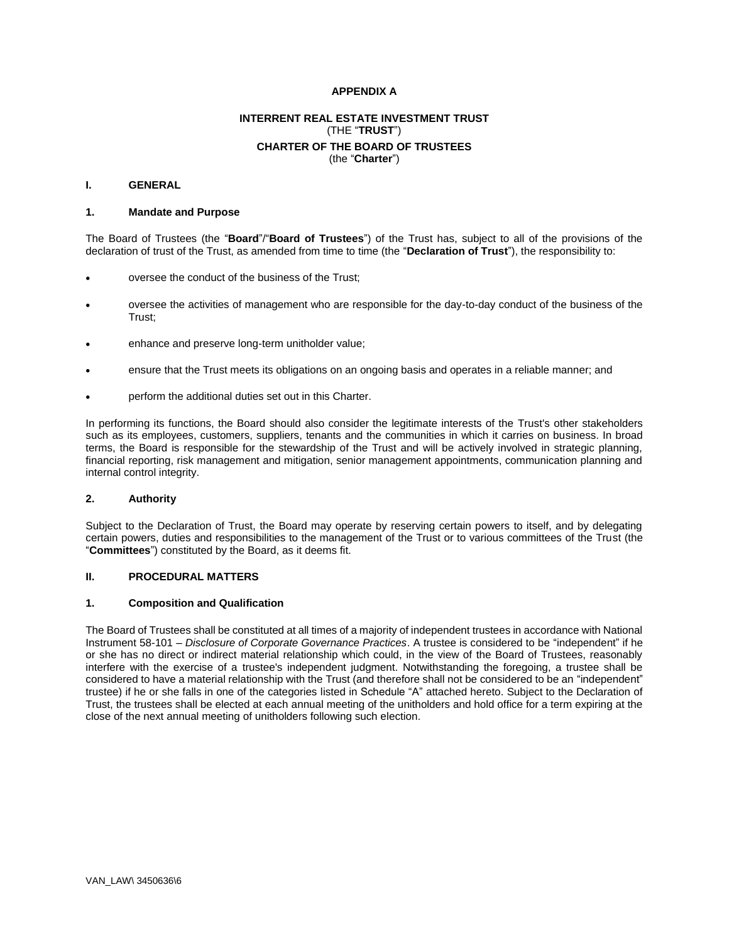### **APPENDIX A**

# **INTERRENT REAL ESTATE INVESTMENT TRUST** (THE "**TRUST**") **CHARTER OF THE BOARD OF TRUSTEES** (the "**Charter**")

#### <span id="page-36-0"></span>**I. GENERAL**

#### **1. Mandate and Purpose**

The Board of Trustees (the "**Board**"/"**Board of Trustees**") of the Trust has, subject to all of the provisions of the declaration of trust of the Trust, as amended from time to time (the "**Declaration of Trust**"), the responsibility to:

- oversee the conduct of the business of the Trust;
- oversee the activities of management who are responsible for the day-to-day conduct of the business of the Trust;
- enhance and preserve long-term unitholder value;
- ensure that the Trust meets its obligations on an ongoing basis and operates in a reliable manner; and
- perform the additional duties set out in this Charter.

In performing its functions, the Board should also consider the legitimate interests of the Trust's other stakeholders such as its employees, customers, suppliers, tenants and the communities in which it carries on business. In broad terms, the Board is responsible for the stewardship of the Trust and will be actively involved in strategic planning, financial reporting, risk management and mitigation, senior management appointments, communication planning and internal control integrity.

#### **2. Authority**

Subject to the Declaration of Trust, the Board may operate by reserving certain powers to itself, and by delegating certain powers, duties and responsibilities to the management of the Trust or to various committees of the Trust (the "**Committees**") constituted by the Board, as it deems fit.

# **II. PROCEDURAL MATTERS**

#### **1. Composition and Qualification**

The Board of Trustees shall be constituted at all times of a majority of independent trustees in accordance with National Instrument 58-101 – *Disclosure of Corporate Governance Practices*. A trustee is considered to be "independent" if he or she has no direct or indirect material relationship which could, in the view of the Board of Trustees, reasonably interfere with the exercise of a trustee's independent judgment. Notwithstanding the foregoing, a trustee shall be considered to have a material relationship with the Trust (and therefore shall not be considered to be an "independent" trustee) if he or she falls in one of the categories listed in Schedule "A" attached hereto. Subject to the Declaration of Trust, the trustees shall be elected at each annual meeting of the unitholders and hold office for a term expiring at the close of the next annual meeting of unitholders following such election.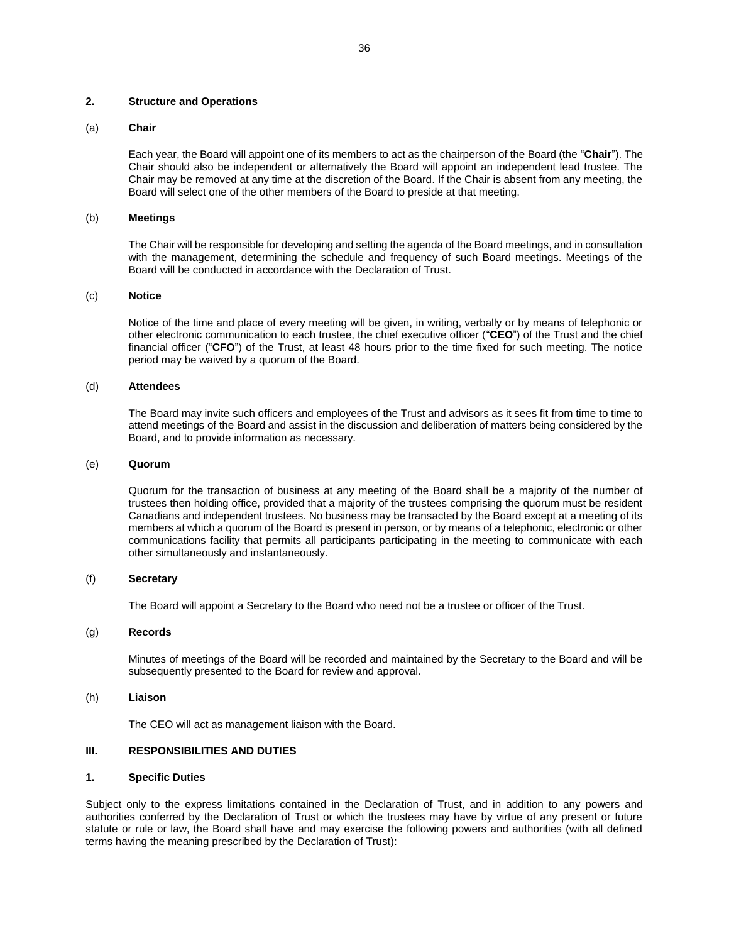#### **2. Structure and Operations**

#### (a) **Chair**

Each year, the Board will appoint one of its members to act as the chairperson of the Board (the "**Chair**"). The Chair should also be independent or alternatively the Board will appoint an independent lead trustee. The Chair may be removed at any time at the discretion of the Board. If the Chair is absent from any meeting, the Board will select one of the other members of the Board to preside at that meeting.

#### (b) **Meetings**

The Chair will be responsible for developing and setting the agenda of the Board meetings, and in consultation with the management, determining the schedule and frequency of such Board meetings. Meetings of the Board will be conducted in accordance with the Declaration of Trust.

#### (c) **Notice**

Notice of the time and place of every meeting will be given, in writing, verbally or by means of telephonic or other electronic communication to each trustee, the chief executive officer ("**CEO**") of the Trust and the chief financial officer ("**CFO**") of the Trust, at least 48 hours prior to the time fixed for such meeting. The notice period may be waived by a quorum of the Board.

#### (d) **Attendees**

The Board may invite such officers and employees of the Trust and advisors as it sees fit from time to time to attend meetings of the Board and assist in the discussion and deliberation of matters being considered by the Board, and to provide information as necessary.

#### (e) **Quorum**

Quorum for the transaction of business at any meeting of the Board shall be a majority of the number of trustees then holding office, provided that a majority of the trustees comprising the quorum must be resident Canadians and independent trustees. No business may be transacted by the Board except at a meeting of its members at which a quorum of the Board is present in person, or by means of a telephonic, electronic or other communications facility that permits all participants participating in the meeting to communicate with each other simultaneously and instantaneously.

#### (f) **Secretary**

The Board will appoint a Secretary to the Board who need not be a trustee or officer of the Trust.

#### (g) **Records**

Minutes of meetings of the Board will be recorded and maintained by the Secretary to the Board and will be subsequently presented to the Board for review and approval.

#### (h) **Liaison**

The CEO will act as management liaison with the Board.

#### **III. RESPONSIBILITIES AND DUTIES**

#### **1. Specific Duties**

Subject only to the express limitations contained in the Declaration of Trust, and in addition to any powers and authorities conferred by the Declaration of Trust or which the trustees may have by virtue of any present or future statute or rule or law, the Board shall have and may exercise the following powers and authorities (with all defined terms having the meaning prescribed by the Declaration of Trust):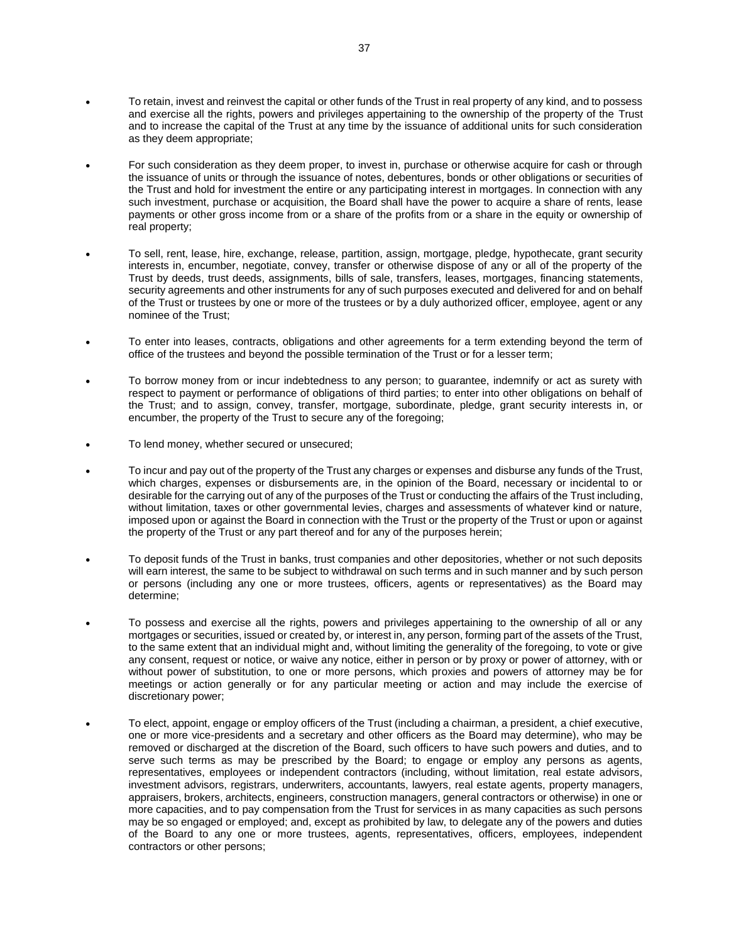- To retain, invest and reinvest the capital or other funds of the Trust in real property of any kind, and to possess and exercise all the rights, powers and privileges appertaining to the ownership of the property of the Trust and to increase the capital of the Trust at any time by the issuance of additional units for such consideration as they deem appropriate;
- For such consideration as they deem proper, to invest in, purchase or otherwise acquire for cash or through the issuance of units or through the issuance of notes, debentures, bonds or other obligations or securities of the Trust and hold for investment the entire or any participating interest in mortgages. In connection with any such investment, purchase or acquisition, the Board shall have the power to acquire a share of rents, lease payments or other gross income from or a share of the profits from or a share in the equity or ownership of real property;
- To sell, rent, lease, hire, exchange, release, partition, assign, mortgage, pledge, hypothecate, grant security interests in, encumber, negotiate, convey, transfer or otherwise dispose of any or all of the property of the Trust by deeds, trust deeds, assignments, bills of sale, transfers, leases, mortgages, financing statements, security agreements and other instruments for any of such purposes executed and delivered for and on behalf of the Trust or trustees by one or more of the trustees or by a duly authorized officer, employee, agent or any nominee of the Trust;
- To enter into leases, contracts, obligations and other agreements for a term extending beyond the term of office of the trustees and beyond the possible termination of the Trust or for a lesser term;
- To borrow money from or incur indebtedness to any person; to guarantee, indemnify or act as surety with respect to payment or performance of obligations of third parties; to enter into other obligations on behalf of the Trust; and to assign, convey, transfer, mortgage, subordinate, pledge, grant security interests in, or encumber, the property of the Trust to secure any of the foregoing;
- To lend money, whether secured or unsecured;
- To incur and pay out of the property of the Trust any charges or expenses and disburse any funds of the Trust, which charges, expenses or disbursements are, in the opinion of the Board, necessary or incidental to or desirable for the carrying out of any of the purposes of the Trust or conducting the affairs of the Trust including, without limitation, taxes or other governmental levies, charges and assessments of whatever kind or nature, imposed upon or against the Board in connection with the Trust or the property of the Trust or upon or against the property of the Trust or any part thereof and for any of the purposes herein;
- To deposit funds of the Trust in banks, trust companies and other depositories, whether or not such deposits will earn interest, the same to be subject to withdrawal on such terms and in such manner and by such person or persons (including any one or more trustees, officers, agents or representatives) as the Board may determine;
- To possess and exercise all the rights, powers and privileges appertaining to the ownership of all or any mortgages or securities, issued or created by, or interest in, any person, forming part of the assets of the Trust, to the same extent that an individual might and, without limiting the generality of the foregoing, to vote or give any consent, request or notice, or waive any notice, either in person or by proxy or power of attorney, with or without power of substitution, to one or more persons, which proxies and powers of attorney may be for meetings or action generally or for any particular meeting or action and may include the exercise of discretionary power;
- To elect, appoint, engage or employ officers of the Trust (including a chairman, a president, a chief executive, one or more vice-presidents and a secretary and other officers as the Board may determine), who may be removed or discharged at the discretion of the Board, such officers to have such powers and duties, and to serve such terms as may be prescribed by the Board; to engage or employ any persons as agents, representatives, employees or independent contractors (including, without limitation, real estate advisors, investment advisors, registrars, underwriters, accountants, lawyers, real estate agents, property managers, appraisers, brokers, architects, engineers, construction managers, general contractors or otherwise) in one or more capacities, and to pay compensation from the Trust for services in as many capacities as such persons may be so engaged or employed; and, except as prohibited by law, to delegate any of the powers and duties of the Board to any one or more trustees, agents, representatives, officers, employees, independent contractors or other persons;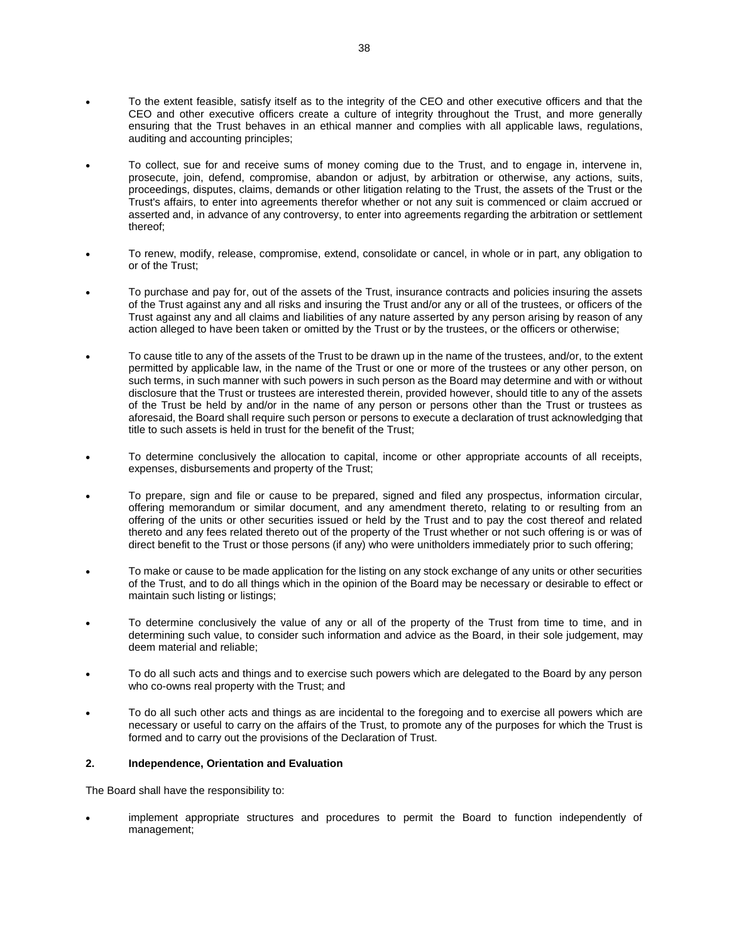- To the extent feasible, satisfy itself as to the integrity of the CEO and other executive officers and that the CEO and other executive officers create a culture of integrity throughout the Trust, and more generally ensuring that the Trust behaves in an ethical manner and complies with all applicable laws, regulations, auditing and accounting principles;
- To collect, sue for and receive sums of money coming due to the Trust, and to engage in, intervene in, prosecute, join, defend, compromise, abandon or adjust, by arbitration or otherwise, any actions, suits, proceedings, disputes, claims, demands or other litigation relating to the Trust, the assets of the Trust or the Trust's affairs, to enter into agreements therefor whether or not any suit is commenced or claim accrued or asserted and, in advance of any controversy, to enter into agreements regarding the arbitration or settlement thereof;
- To renew, modify, release, compromise, extend, consolidate or cancel, in whole or in part, any obligation to or of the Trust;
- To purchase and pay for, out of the assets of the Trust, insurance contracts and policies insuring the assets of the Trust against any and all risks and insuring the Trust and/or any or all of the trustees, or officers of the Trust against any and all claims and liabilities of any nature asserted by any person arising by reason of any action alleged to have been taken or omitted by the Trust or by the trustees, or the officers or otherwise;
- To cause title to any of the assets of the Trust to be drawn up in the name of the trustees, and/or, to the extent permitted by applicable law, in the name of the Trust or one or more of the trustees or any other person, on such terms, in such manner with such powers in such person as the Board may determine and with or without disclosure that the Trust or trustees are interested therein, provided however, should title to any of the assets of the Trust be held by and/or in the name of any person or persons other than the Trust or trustees as aforesaid, the Board shall require such person or persons to execute a declaration of trust acknowledging that title to such assets is held in trust for the benefit of the Trust;
- To determine conclusively the allocation to capital, income or other appropriate accounts of all receipts, expenses, disbursements and property of the Trust;
- To prepare, sign and file or cause to be prepared, signed and filed any prospectus, information circular, offering memorandum or similar document, and any amendment thereto, relating to or resulting from an offering of the units or other securities issued or held by the Trust and to pay the cost thereof and related thereto and any fees related thereto out of the property of the Trust whether or not such offering is or was of direct benefit to the Trust or those persons (if any) who were unitholders immediately prior to such offering;
- To make or cause to be made application for the listing on any stock exchange of any units or other securities of the Trust, and to do all things which in the opinion of the Board may be necessary or desirable to effect or maintain such listing or listings;
- To determine conclusively the value of any or all of the property of the Trust from time to time, and in determining such value, to consider such information and advice as the Board, in their sole judgement, may deem material and reliable;
- To do all such acts and things and to exercise such powers which are delegated to the Board by any person who co-owns real property with the Trust; and
- To do all such other acts and things as are incidental to the foregoing and to exercise all powers which are necessary or useful to carry on the affairs of the Trust, to promote any of the purposes for which the Trust is formed and to carry out the provisions of the Declaration of Trust.

### **2. Independence, Orientation and Evaluation**

The Board shall have the responsibility to:

 implement appropriate structures and procedures to permit the Board to function independently of management;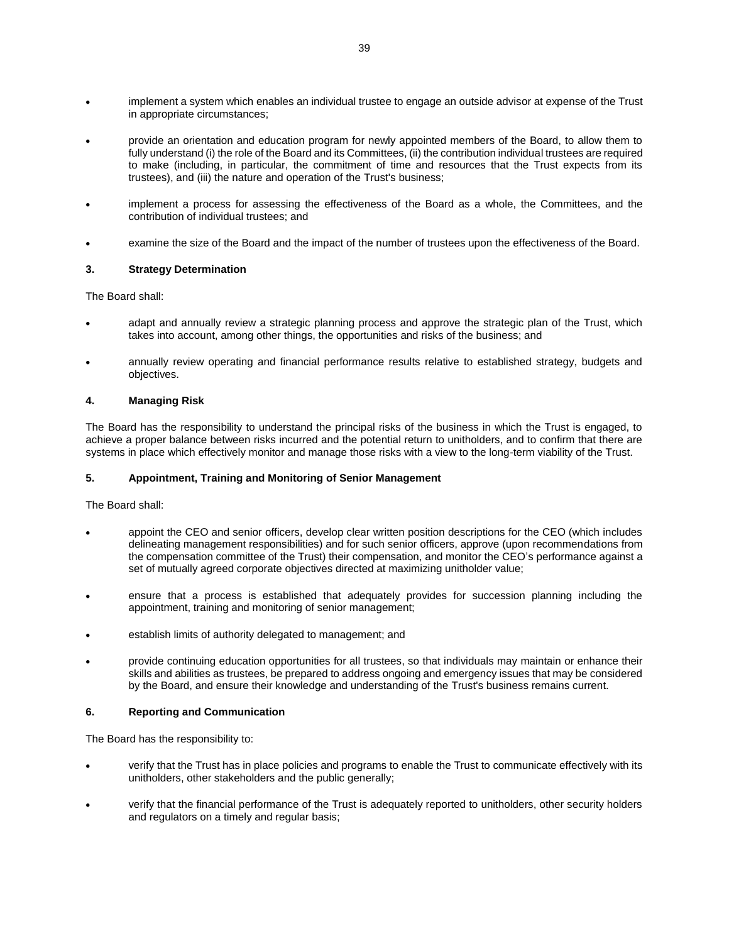- implement a system which enables an individual trustee to engage an outside advisor at expense of the Trust in appropriate circumstances;
- provide an orientation and education program for newly appointed members of the Board, to allow them to fully understand (i) the role of the Board and its Committees, (ii) the contribution individual trustees are required to make (including, in particular, the commitment of time and resources that the Trust expects from its trustees), and (iii) the nature and operation of the Trust's business;
- implement a process for assessing the effectiveness of the Board as a whole, the Committees, and the contribution of individual trustees; and
- examine the size of the Board and the impact of the number of trustees upon the effectiveness of the Board.

### **3. Strategy Determination**

The Board shall:

- adapt and annually review a strategic planning process and approve the strategic plan of the Trust, which takes into account, among other things, the opportunities and risks of the business; and
- annually review operating and financial performance results relative to established strategy, budgets and objectives.

#### **4. Managing Risk**

The Board has the responsibility to understand the principal risks of the business in which the Trust is engaged, to achieve a proper balance between risks incurred and the potential return to unitholders, and to confirm that there are systems in place which effectively monitor and manage those risks with a view to the long-term viability of the Trust.

# **5. Appointment, Training and Monitoring of Senior Management**

The Board shall:

- appoint the CEO and senior officers, develop clear written position descriptions for the CEO (which includes delineating management responsibilities) and for such senior officers, approve (upon recommendations from the compensation committee of the Trust) their compensation, and monitor the CEO's performance against a set of mutually agreed corporate objectives directed at maximizing unitholder value;
- ensure that a process is established that adequately provides for succession planning including the appointment, training and monitoring of senior management;
- establish limits of authority delegated to management; and
- provide continuing education opportunities for all trustees, so that individuals may maintain or enhance their skills and abilities as trustees, be prepared to address ongoing and emergency issues that may be considered by the Board, and ensure their knowledge and understanding of the Trust's business remains current.

#### **6. Reporting and Communication**

The Board has the responsibility to:

- verify that the Trust has in place policies and programs to enable the Trust to communicate effectively with its unitholders, other stakeholders and the public generally;
- verify that the financial performance of the Trust is adequately reported to unitholders, other security holders and regulators on a timely and regular basis;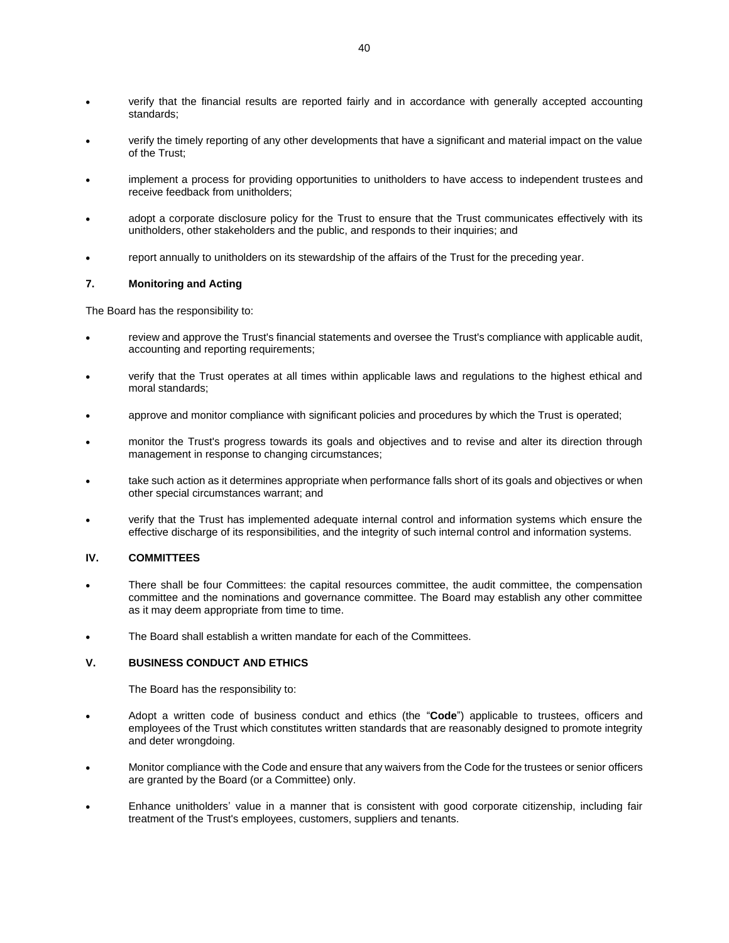- verify that the financial results are reported fairly and in accordance with generally accepted accounting standards;
- verify the timely reporting of any other developments that have a significant and material impact on the value of the Trust;
- implement a process for providing opportunities to unitholders to have access to independent trustees and receive feedback from unitholders;
- adopt a corporate disclosure policy for the Trust to ensure that the Trust communicates effectively with its unitholders, other stakeholders and the public, and responds to their inquiries; and
- report annually to unitholders on its stewardship of the affairs of the Trust for the preceding year.

#### **7. Monitoring and Acting**

The Board has the responsibility to:

- review and approve the Trust's financial statements and oversee the Trust's compliance with applicable audit, accounting and reporting requirements;
- verify that the Trust operates at all times within applicable laws and regulations to the highest ethical and moral standards;
- approve and monitor compliance with significant policies and procedures by which the Trust is operated;
- monitor the Trust's progress towards its goals and objectives and to revise and alter its direction through management in response to changing circumstances;
- take such action as it determines appropriate when performance falls short of its goals and objectives or when other special circumstances warrant; and
- verify that the Trust has implemented adequate internal control and information systems which ensure the effective discharge of its responsibilities, and the integrity of such internal control and information systems.

# **IV. COMMITTEES**

- There shall be four Committees: the capital resources committee, the audit committee, the compensation committee and the nominations and governance committee. The Board may establish any other committee as it may deem appropriate from time to time.
- The Board shall establish a written mandate for each of the Committees.

# **V. BUSINESS CONDUCT AND ETHICS**

The Board has the responsibility to:

- Adopt a written code of business conduct and ethics (the "**Code**") applicable to trustees, officers and employees of the Trust which constitutes written standards that are reasonably designed to promote integrity and deter wrongdoing.
- Monitor compliance with the Code and ensure that any waivers from the Code for the trustees or senior officers are granted by the Board (or a Committee) only.
- Enhance unitholders' value in a manner that is consistent with good corporate citizenship, including fair treatment of the Trust's employees, customers, suppliers and tenants.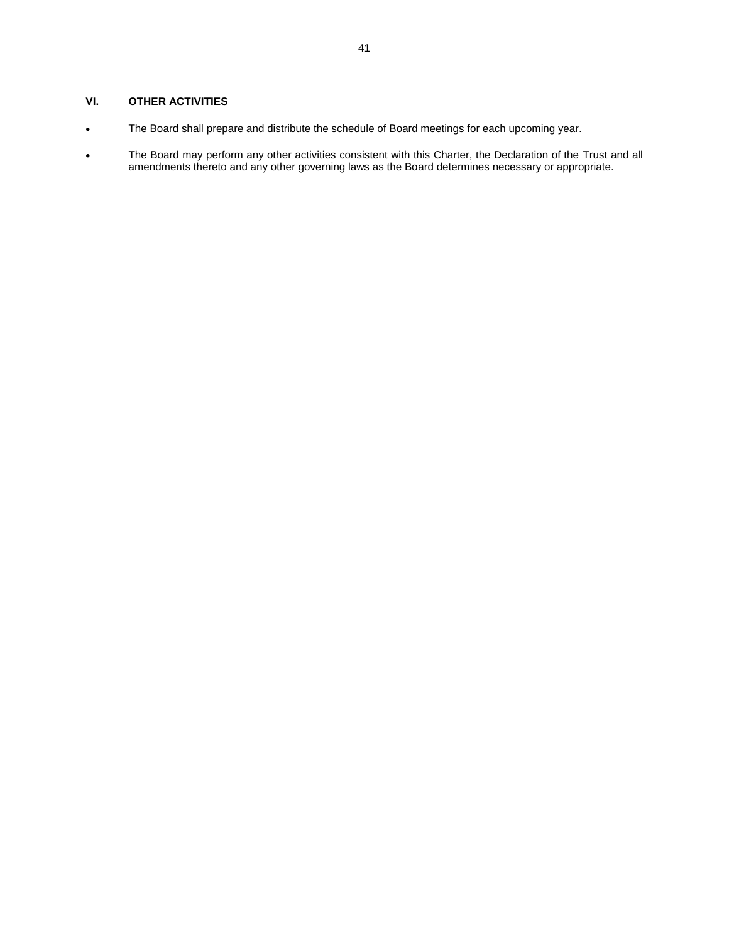# **VI. OTHER ACTIVITIES**

- The Board shall prepare and distribute the schedule of Board meetings for each upcoming year.
- The Board may perform any other activities consistent with this Charter, the Declaration of the Trust and all amendments thereto and any other governing laws as the Board determines necessary or appropriate.